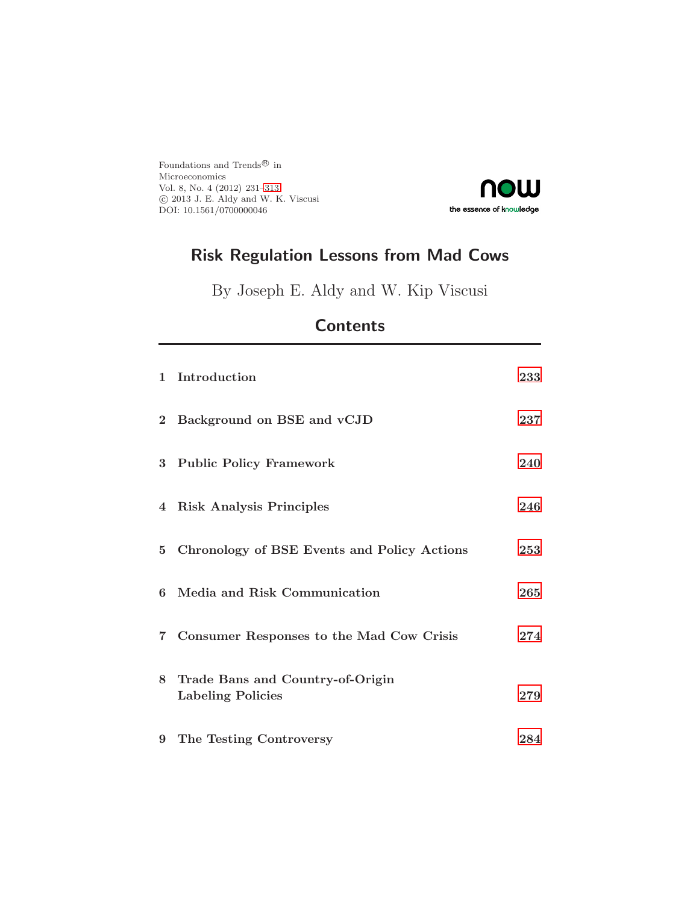Foundations and  $\operatorname{Trends}^{\textcircledR}$  in Microeconomics Vol. 8, No. 4 (2012) 231[–313](#page-74-0)  $\odot$  2013 J. E. Aldy and W. K. Viscusi DOI: 10.1561/0700000046



## **Risk Regulation Lessons from Mad Cows**

By Joseph E. Aldy and W. Kip Viscusi

# **Contents**

| 1 Introduction                                                 | 233 |
|----------------------------------------------------------------|-----|
| 2 Background on BSE and vCJD                                   | 237 |
| 3 Public Policy Framework                                      | 240 |
| 4 Risk Analysis Principles                                     | 246 |
| 5 Chronology of BSE Events and Policy Actions                  | 253 |
| 6 Media and Risk Communication                                 | 265 |
| 7 Consumer Responses to the Mad Cow Crisis                     | 274 |
| 8 Trade Bans and Country-of-Origin<br><b>Labeling Policies</b> | 279 |
| 9 The Testing Controversy                                      | 284 |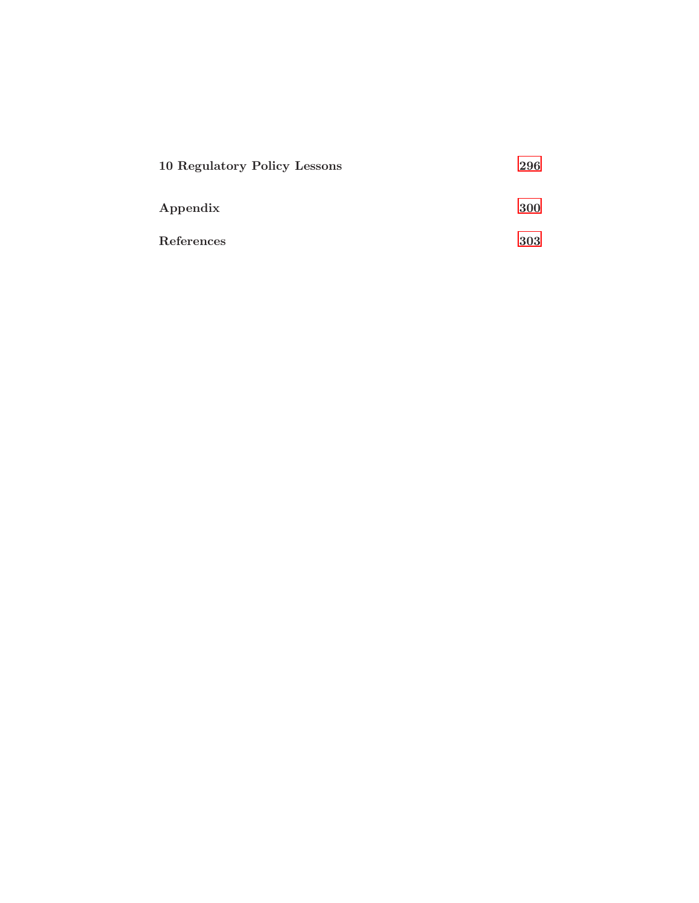| 10 Regulatory Policy Lessons | 296 |
|------------------------------|-----|
| Appendix                     | 300 |
| References                   | 303 |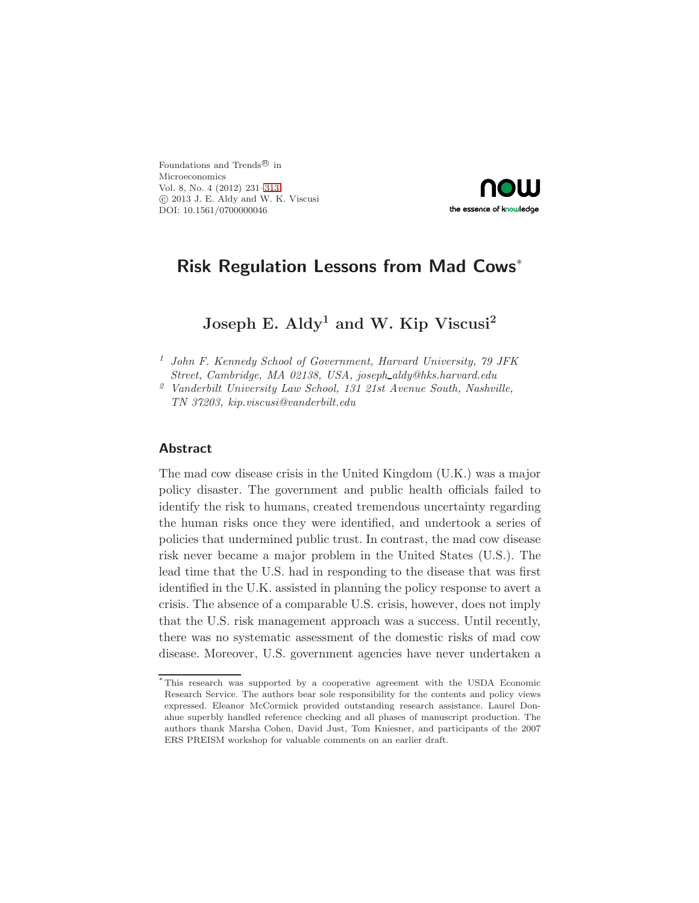Foundations and Trends<sup>®</sup> in Microeconomics Vol. 8, No. 4 (2012) 231[–313](#page-74-0) c 2013 J. E. Aldy and W. K. Viscusi DOI: 10.1561/0700000046



### **Risk Regulation Lessons from Mad Cows**<sup>∗</sup>

Joseph E. Aldy<sup>1</sup> and W. Kip Viscusi<sup>2</sup>

*<sup>1</sup> John F. Kennedy School of Government, Harvard University, 79 JFK Street, Cambridge, MA 02138, USA, joseph aldy@hks.harvard.edu*

*<sup>2</sup> Vanderbilt University Law School, 131 21st Avenue South, Nashville, TN 37203, kip.viscusi@vanderbilt.edu*

### **Abstract**

The mad cow disease crisis in the United Kingdom (U.K.) was a major policy disaster. The government and public health officials failed to identify the risk to humans, created tremendous uncertainty regarding the human risks once they were identified, and undertook a series of policies that undermined public trust. In contrast, the mad cow disease risk never became a major problem in the United States (U.S.). The lead time that the U.S. had in responding to the disease that was first identified in the U.K. assisted in planning the policy response to avert a crisis. The absence of a comparable U.S. crisis, however, does not imply that the U.S. risk management approach was a success. Until recently, there was no systematic assessment of the domestic risks of mad cow disease. Moreover, U.S. government agencies have never undertaken a

<sup>\*</sup> This research was supported by a cooperative agreement with the USDA Economic Research Service. The authors bear sole responsibility for the contents and policy views expressed. Eleanor McCormick provided outstanding research assistance. Laurel Donahue superbly handled reference checking and all phases of manuscript production. The authors thank Marsha Cohen, David Just, Tom Kniesner, and participants of the 2007 ERS PREISM workshop for valuable comments on an earlier draft.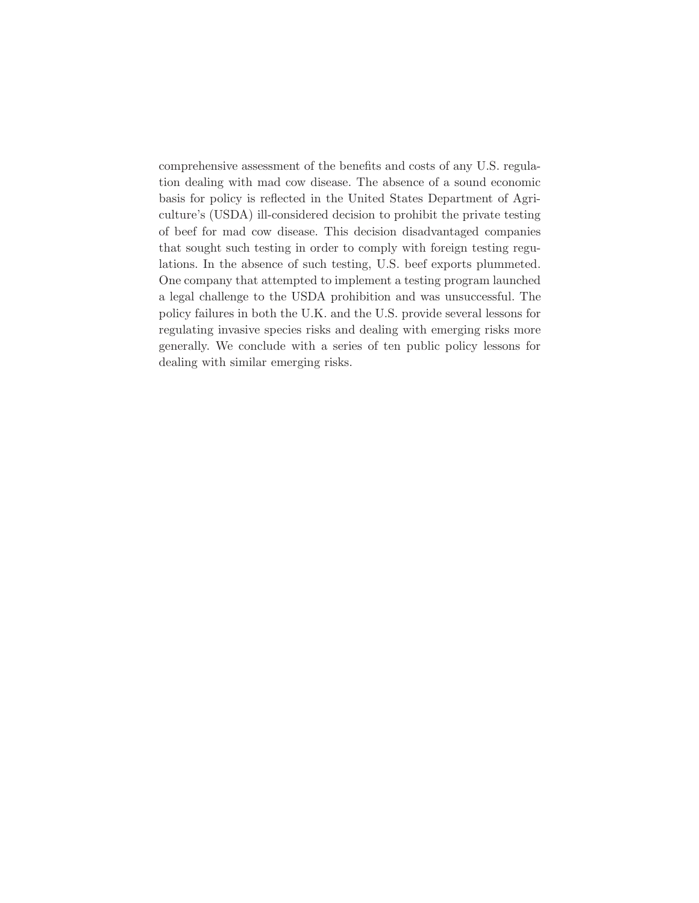comprehensive assessment of the benefits and costs of any U.S. regulation dealing with mad cow disease. The absence of a sound economic basis for policy is reflected in the United States Department of Agriculture's (USDA) ill-considered decision to prohibit the private testing of beef for mad cow disease. This decision disadvantaged companies that sought such testing in order to comply with foreign testing regulations. In the absence of such testing, U.S. beef exports plummeted. One company that attempted to implement a testing program launched a legal challenge to the USDA prohibition and was unsuccessful. The policy failures in both the U.K. and the U.S. provide several lessons for regulating invasive species risks and dealing with emerging risks more generally. We conclude with a series of ten public policy lessons for dealing with similar emerging risks.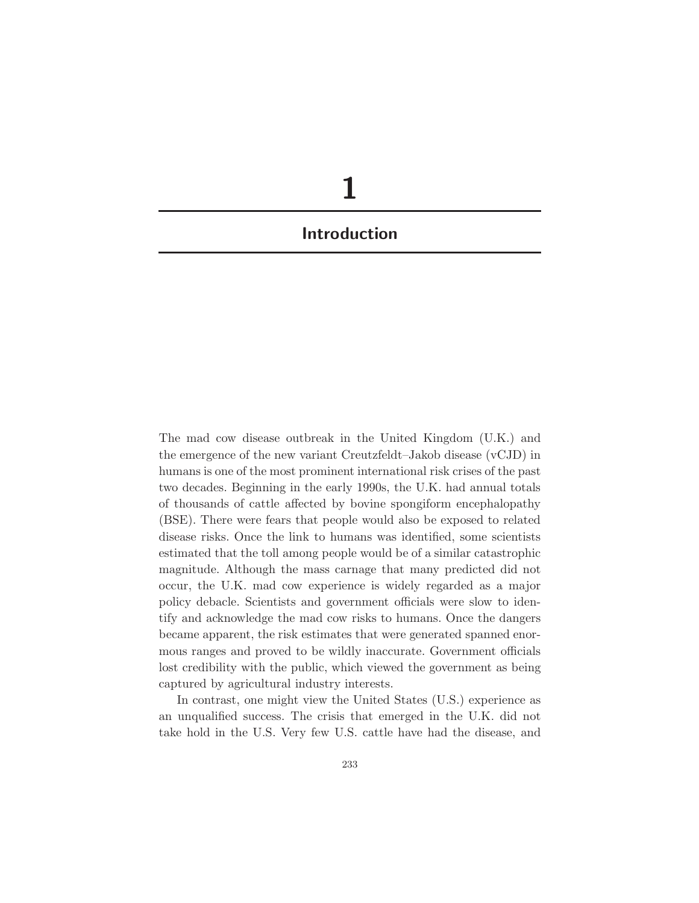# <span id="page-4-0"></span>**1 Introduction**

The mad cow disease outbreak in the United Kingdom (U.K.) and the emergence of the new variant Creutzfeldt–Jakob disease (vCJD) in humans is one of the most prominent international risk crises of the past two decades. Beginning in the early 1990s, the U.K. had annual totals of thousands of cattle affected by bovine spongiform encephalopathy (BSE). There were fears that people would also be exposed to related disease risks. Once the link to humans was identified, some scientists estimated that the toll among people would be of a similar catastrophic magnitude. Although the mass carnage that many predicted did not occur, the U.K. mad cow experience is widely regarded as a major policy debacle. Scientists and government officials were slow to identify and acknowledge the mad cow risks to humans. Once the dangers became apparent, the risk estimates that were generated spanned enormous ranges and proved to be wildly inaccurate. Government officials lost credibility with the public, which viewed the government as being captured by agricultural industry interests.

In contrast, one might view the United States (U.S.) experience as an unqualified success. The crisis that emerged in the U.K. did not take hold in the U.S. Very few U.S. cattle have had the disease, and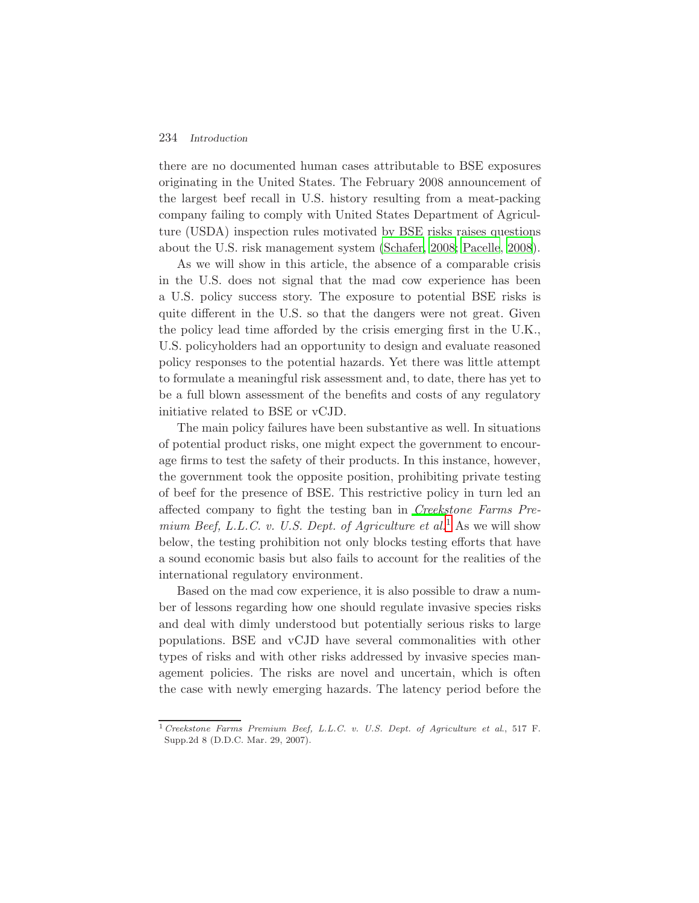### 234 *Introduction*

there are no documented human cases attributable to BSE exposures originating in the United States. The February 2008 announcement of the largest beef recall in U.S. history resulting from a meat-packing company failing to comply with United States Department of Agriculture (USDA) inspection rules motivated by BSE risks raises questions about the U.S. risk management system [\(Schafer, 2008;](#page-81-0) [Pacelle](#page-81-1), [2008](#page-81-1)).

As we will show in this article, the absence of a comparable crisis in the U.S. does not signal that the mad cow experience has been a U.S. policy success story. The exposure to potential BSE risks is quite different in the U.S. so that the dangers were not great. Given the policy lead time afforded by the crisis emerging first in the U.K., U.S. policyholders had an opportunity to design and evaluate reasoned policy responses to the potential hazards. Yet there was little attempt to formulate a meaningful risk assessment and, to date, there has yet to be a full blown assessment of the benefits and costs of any regulatory initiative related to BSE or vCJD.

The main policy failures have been substantive as well. In situations of potential product risks, one might expect the government to encourage firms to test the safety of their products. In this instance, however, the government took the opposite position, prohibiting private testing of beef for the presence of BSE. This restrictive policy in turn led an affected company to fight the testing ban in *[Creeks](#page-77-0)tone Farms Premium Beef, L.L.C. v. U.S. Dept. of Agriculture et al.*[1](#page-5-0) As we will show below, the testing prohibition not only blocks testing efforts that have a sound economic basis but also fails to account for the realities of the international regulatory environment.

Based on the mad cow experience, it is also possible to draw a number of lessons regarding how one should regulate invasive species risks and deal with dimly understood but potentially serious risks to large populations. BSE and vCJD have several commonalities with other types of risks and with other risks addressed by invasive species management policies. The risks are novel and uncertain, which is often the case with newly emerging hazards. The latency period before the

<span id="page-5-0"></span><sup>1</sup> *Creekstone Farms Premium Beef, L.L.C. v. U.S. Dept. of Agriculture et al*., 517 F. Supp.2d 8 (D.D.C. Mar. 29, 2007).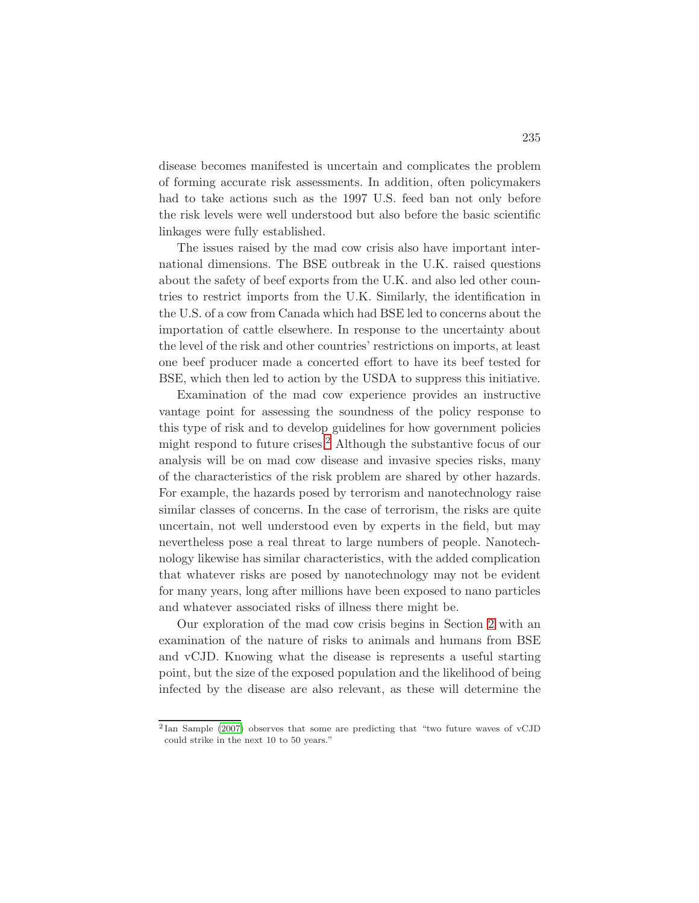disease becomes manifested is uncertain and complicates the problem of forming accurate risk assessments. In addition, often policymakers had to take actions such as the 1997 U.S. feed ban not only before the risk levels were well understood but also before the basic scientific linkages were fully established.

The issues raised by the mad cow crisis also have important international dimensions. The BSE outbreak in the U.K. raised questions about the safety of beef exports from the U.K. and also led other countries to restrict imports from the U.K. Similarly, the identification in the U.S. of a cow from Canada which had BSE led to concerns about the importation of cattle elsewhere. In response to the uncertainty about the level of the risk and other countries' restrictions on imports, at least one beef producer made a concerted effort to have its beef tested for BSE, which then led to action by the USDA to suppress this initiative.

Examination of the mad cow experience provides an instructive vantage point for assessing the soundness of the policy response to this type of risk and to develop guidelines for how government policies might respond to future crises.[2](#page-6-0) Although the substantive focus of our analysis will be on mad cow disease and invasive species risks, many of the characteristics of the risk problem are shared by other hazards. For example, the hazards posed by terrorism and nanotechnology raise similar classes of concerns. In the case of terrorism, the risks are quite uncertain, not well understood even by experts in the field, but may nevertheless pose a real threat to large numbers of people. Nanotechnology likewise has similar characteristics, with the added complication that whatever risks are posed by nanotechnology may not be evident for many years, long after millions have been exposed to nano particles and whatever associated risks of illness there might be.

Our exploration of the mad cow crisis begins in Section [2](#page-8-0) with an examination of the nature of risks to animals and humans from BSE and vCJD. Knowing what the disease is represents a useful starting point, but the size of the exposed population and the likelihood of being infected by the disease are also relevant, as these will determine the

<span id="page-6-0"></span><sup>2</sup> Ian Sample [\(2007\)](#page-81-2) observes that some are predicting that "two future waves of vCJD could strike in the next 10 to 50 years."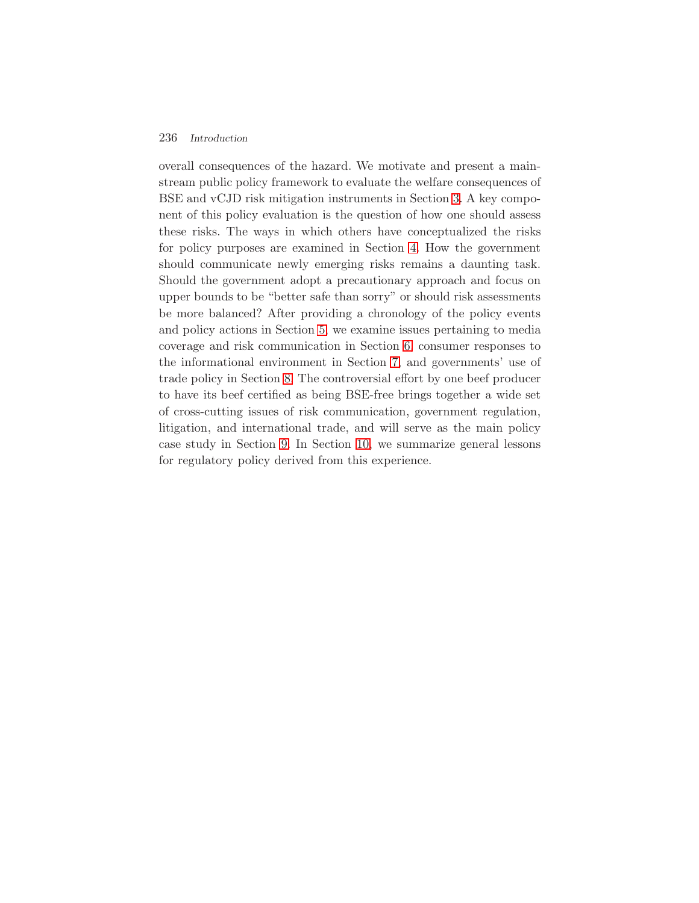### 236 *Introduction*

overall consequences of the hazard. We motivate and present a mainstream public policy framework to evaluate the welfare consequences of BSE and vCJD risk mitigation instruments in Section [3.](#page-11-0) A key component of this policy evaluation is the question of how one should assess these risks. The ways in which others have conceptualized the risks for policy purposes are examined in Section [4.](#page-17-0) How the government should communicate newly emerging risks remains a daunting task. Should the government adopt a precautionary approach and focus on upper bounds to be "better safe than sorry" or should risk assessments be more balanced? After providing a chronology of the policy events and policy actions in Section [5,](#page-24-0) we examine issues pertaining to media coverage and risk communication in Section [6,](#page-36-0) consumer responses to the informational environment in Section [7,](#page-45-0) and governments' use of trade policy in Section [8.](#page-50-0) The controversial effort by one beef producer to have its beef certified as being BSE-free brings together a wide set of cross-cutting issues of risk communication, government regulation, litigation, and international trade, and will serve as the main policy case study in Section [9.](#page-55-0) In Section [10,](#page-67-0) we summarize general lessons for regulatory policy derived from this experience.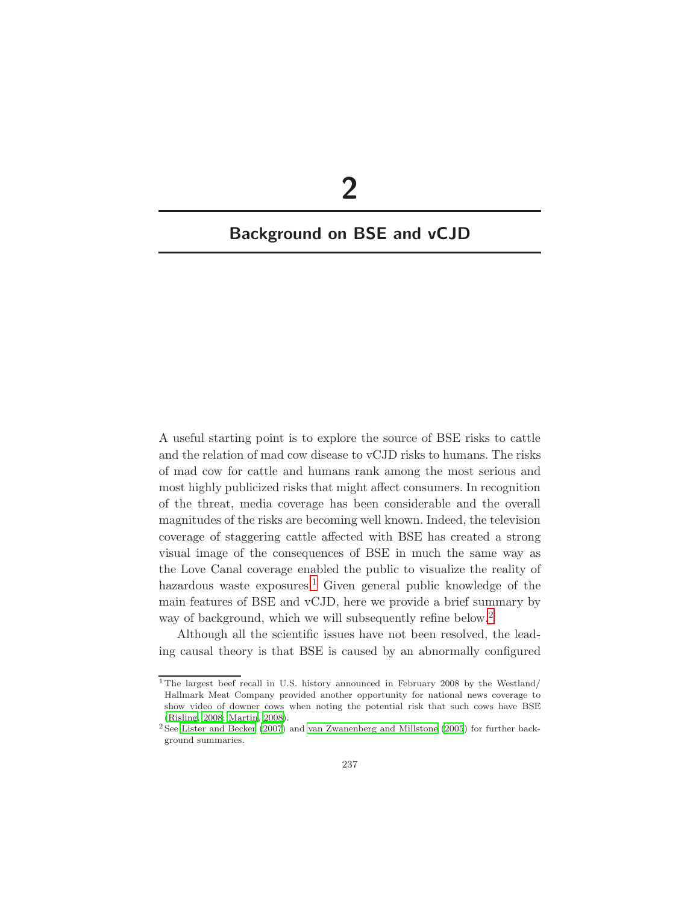## **2**

### <span id="page-8-0"></span>**Background on BSE and vCJD**

A useful starting point is to explore the source of BSE risks to cattle and the relation of mad cow disease to vCJD risks to humans. The risks of mad cow for cattle and humans rank among the most serious and most highly publicized risks that might affect consumers. In recognition of the threat, media coverage has been considerable and the overall magnitudes of the risks are becoming well known. Indeed, the television coverage of staggering cattle affected with BSE has created a strong visual image of the consequences of BSE in much the same way as the Love Canal coverage enabled the public to visualize the reality of hazardous waste exposures.<sup>[1](#page-8-1)</sup> Given general public knowledge of the main features of BSE and vCJD, here we provide a brief summary by way of background, which we will subsequently refine below.<sup>[2](#page-8-2)</sup>

Although all the scientific issues have not been resolved, the leading causal theory is that BSE is caused by an abnormally configured

<span id="page-8-1"></span><sup>&</sup>lt;sup>1</sup>The largest beef recall in U.S. history announced in February 2008 by the Westland/ Hallmark Meat Company provided another opportunity for national news coverage to show video of downer cows when noting the potential risk that such cows have BSE [\(Risling](#page-81-3), [2008;](#page-81-3) [Martin, 2008\)](#page-80-0).

<span id="page-8-2"></span><sup>2</sup> See [Lister and Becker](#page-80-1) [\(2007](#page-80-1)) and [van Zwanenberg and Millstone](#page-83-0) [\(2005](#page-83-0)) for further background summaries.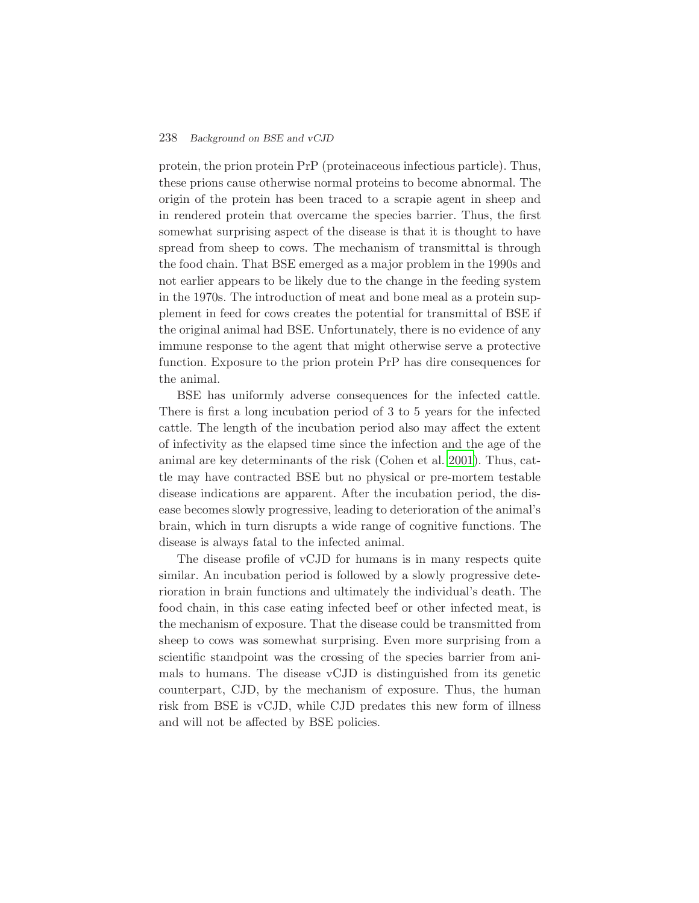### 238 *Background on BSE and vCJD*

protein, the prion protein PrP (proteinaceous infectious particle). Thus, these prions cause otherwise normal proteins to become abnormal. The origin of the protein has been traced to a scrapie agent in sheep and in rendered protein that overcame the species barrier. Thus, the first somewhat surprising aspect of the disease is that it is thought to have spread from sheep to cows. The mechanism of transmittal is through the food chain. That BSE emerged as a major problem in the 1990s and not earlier appears to be likely due to the change in the feeding system in the 1970s. The introduction of meat and bone meal as a protein supplement in feed for cows creates the potential for transmittal of BSE if the original animal had BSE. Unfortunately, there is no evidence of any immune response to the agent that might otherwise serve a protective function. Exposure to the prion protein PrP has dire consequences for the animal.

BSE has uniformly adverse consequences for the infected cattle. There is first a long incubation period of 3 to 5 years for the infected cattle. The length of the incubation period also may affect the extent of infectivity as the elapsed time since the infection and the age of the animal are key determinants of the risk (Cohen et al. [2001\)](#page-76-0). Thus, cattle may have contracted BSE but no physical or pre-mortem testable disease indications are apparent. After the incubation period, the disease becomes slowly progressive, leading to deterioration of the animal's brain, which in turn disrupts a wide range of cognitive functions. The disease is always fatal to the infected animal.

The disease profile of vCJD for humans is in many respects quite similar. An incubation period is followed by a slowly progressive deterioration in brain functions and ultimately the individual's death. The food chain, in this case eating infected beef or other infected meat, is the mechanism of exposure. That the disease could be transmitted from sheep to cows was somewhat surprising. Even more surprising from a scientific standpoint was the crossing of the species barrier from animals to humans. The disease vCJD is distinguished from its genetic counterpart, CJD, by the mechanism of exposure. Thus, the human risk from BSE is vCJD, while CJD predates this new form of illness and will not be affected by BSE policies.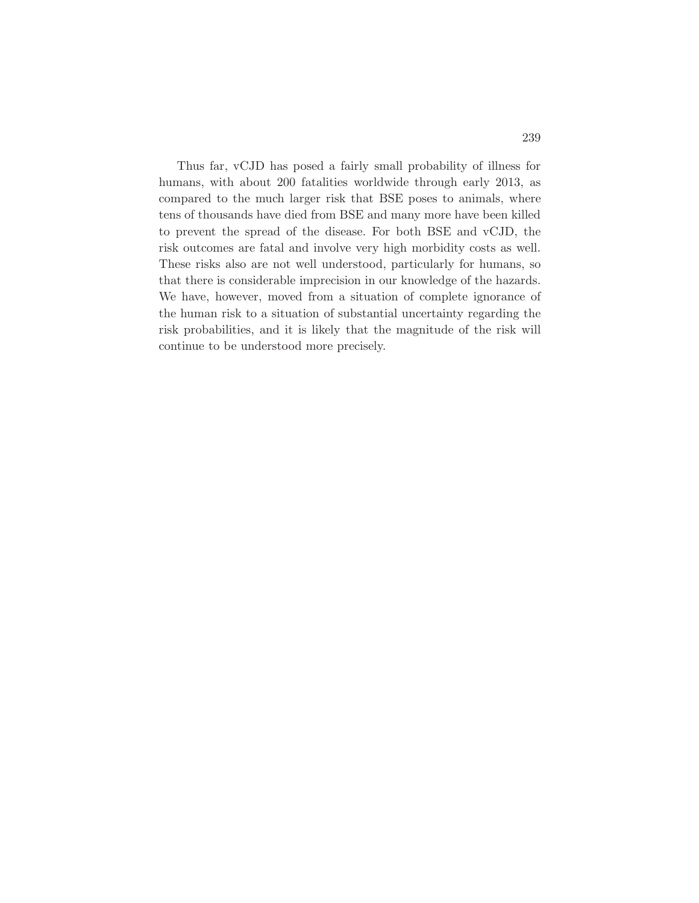Thus far, vCJD has posed a fairly small probability of illness for humans, with about 200 fatalities worldwide through early 2013, as compared to the much larger risk that BSE poses to animals, where tens of thousands have died from BSE and many more have been killed to prevent the spread of the disease. For both BSE and vCJD, the risk outcomes are fatal and involve very high morbidity costs as well. These risks also are not well understood, particularly for humans, so that there is considerable imprecision in our knowledge of the hazards. We have, however, moved from a situation of complete ignorance of the human risk to a situation of substantial uncertainty regarding the risk probabilities, and it is likely that the magnitude of the risk will continue to be understood more precisely.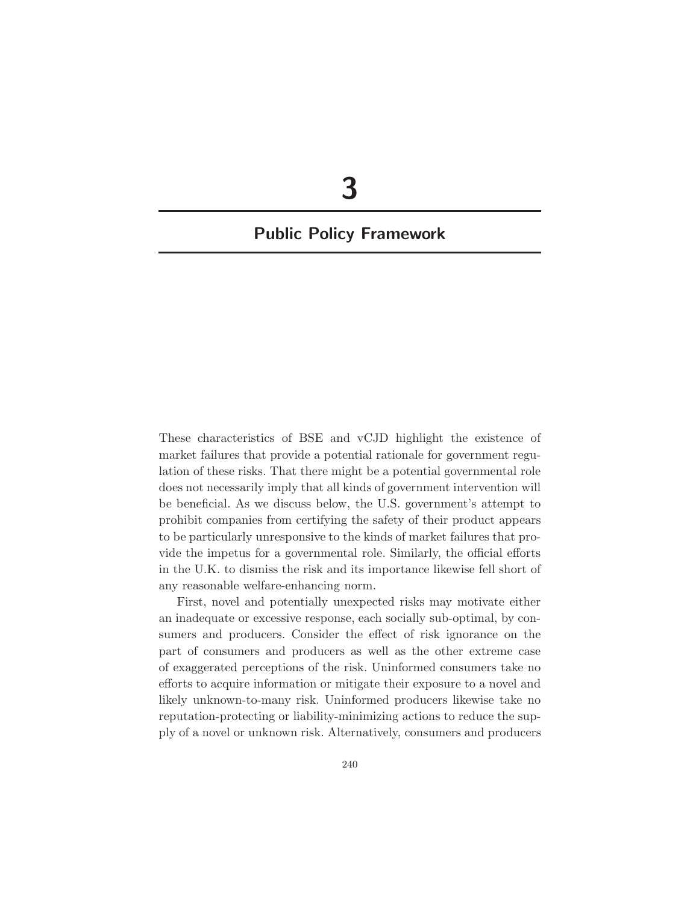## **3**

### <span id="page-11-0"></span>**Public Policy Framework**

These characteristics of BSE and vCJD highlight the existence of market failures that provide a potential rationale for government regulation of these risks. That there might be a potential governmental role does not necessarily imply that all kinds of government intervention will be beneficial. As we discuss below, the U.S. government's attempt to prohibit companies from certifying the safety of their product appears to be particularly unresponsive to the kinds of market failures that provide the impetus for a governmental role. Similarly, the official efforts in the U.K. to dismiss the risk and its importance likewise fell short of any reasonable welfare-enhancing norm.

First, novel and potentially unexpected risks may motivate either an inadequate or excessive response, each socially sub-optimal, by consumers and producers. Consider the effect of risk ignorance on the part of consumers and producers as well as the other extreme case of exaggerated perceptions of the risk. Uninformed consumers take no efforts to acquire information or mitigate their exposure to a novel and likely unknown-to-many risk. Uninformed producers likewise take no reputation-protecting or liability-minimizing actions to reduce the supply of a novel or unknown risk. Alternatively, consumers and producers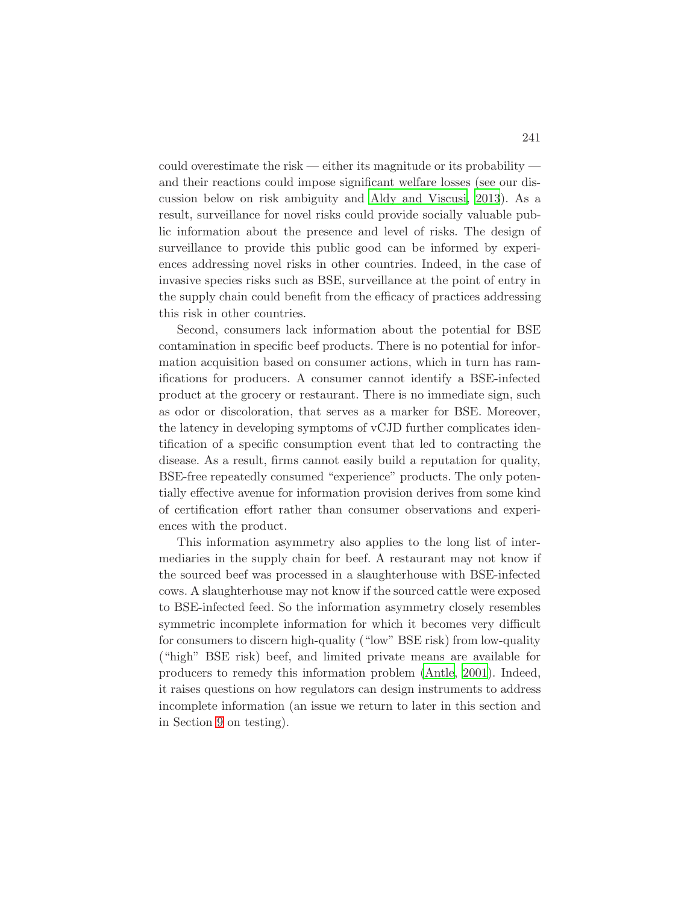could overestimate the risk — either its magnitude or its probability and their reactions could impose significant welfare losses (see our discussion below on risk ambiguity and [Aldy and Viscusi, 2013](#page-74-1)). As a result, surveillance for novel risks could provide socially valuable public information about the presence and level of risks. The design of surveillance to provide this public good can be informed by experiences addressing novel risks in other countries. Indeed, in the case of invasive species risks such as BSE, surveillance at the point of entry in the supply chain could benefit from the efficacy of practices addressing this risk in other countries.

Second, consumers lack information about the potential for BSE contamination in specific beef products. There is no potential for information acquisition based on consumer actions, which in turn has ramifications for producers. A consumer cannot identify a BSE-infected product at the grocery or restaurant. There is no immediate sign, such as odor or discoloration, that serves as a marker for BSE. Moreover, the latency in developing symptoms of vCJD further complicates identification of a specific consumption event that led to contracting the disease. As a result, firms cannot easily build a reputation for quality, BSE-free repeatedly consumed "experience" products. The only potentially effective avenue for information provision derives from some kind of certification effort rather than consumer observations and experiences with the product.

This information asymmetry also applies to the long list of intermediaries in the supply chain for beef. A restaurant may not know if the sourced beef was processed in a slaughterhouse with BSE-infected cows. A slaughterhouse may not know if the sourced cattle were exposed to BSE-infected feed. So the information asymmetry closely resembles symmetric incomplete information for which it becomes very difficult for consumers to discern high-quality ("low" BSE risk) from low-quality ("high" BSE risk) beef, and limited private means are available for producers to remedy this information problem [\(Antle](#page-74-2), [2001](#page-74-2)). Indeed, it raises questions on how regulators can design instruments to address incomplete information (an issue we return to later in this section and in Section [9](#page-55-0) on testing).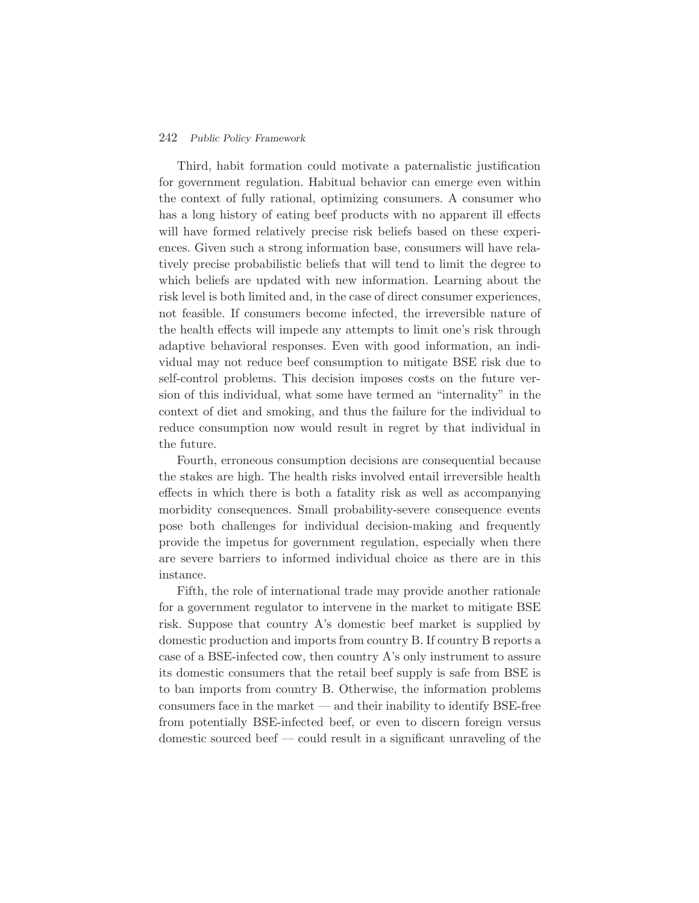### 242 *Public Policy Framework*

Third, habit formation could motivate a paternalistic justification for government regulation. Habitual behavior can emerge even within the context of fully rational, optimizing consumers. A consumer who has a long history of eating beef products with no apparent ill effects will have formed relatively precise risk beliefs based on these experiences. Given such a strong information base, consumers will have relatively precise probabilistic beliefs that will tend to limit the degree to which beliefs are updated with new information. Learning about the risk level is both limited and, in the case of direct consumer experiences, not feasible. If consumers become infected, the irreversible nature of the health effects will impede any attempts to limit one's risk through adaptive behavioral responses. Even with good information, an individual may not reduce beef consumption to mitigate BSE risk due to self-control problems. This decision imposes costs on the future version of this individual, what some have termed an "internality" in the context of diet and smoking, and thus the failure for the individual to reduce consumption now would result in regret by that individual in the future.

Fourth, erroneous consumption decisions are consequential because the stakes are high. The health risks involved entail irreversible health effects in which there is both a fatality risk as well as accompanying morbidity consequences. Small probability-severe consequence events pose both challenges for individual decision-making and frequently provide the impetus for government regulation, especially when there are severe barriers to informed individual choice as there are in this instance.

Fifth, the role of international trade may provide another rationale for a government regulator to intervene in the market to mitigate BSE risk. Suppose that country A's domestic beef market is supplied by domestic production and imports from country B. If country B reports a case of a BSE-infected cow, then country A's only instrument to assure its domestic consumers that the retail beef supply is safe from BSE is to ban imports from country B. Otherwise, the information problems consumers face in the market — and their inability to identify BSE-free from potentially BSE-infected beef, or even to discern foreign versus domestic sourced beef — could result in a significant unraveling of the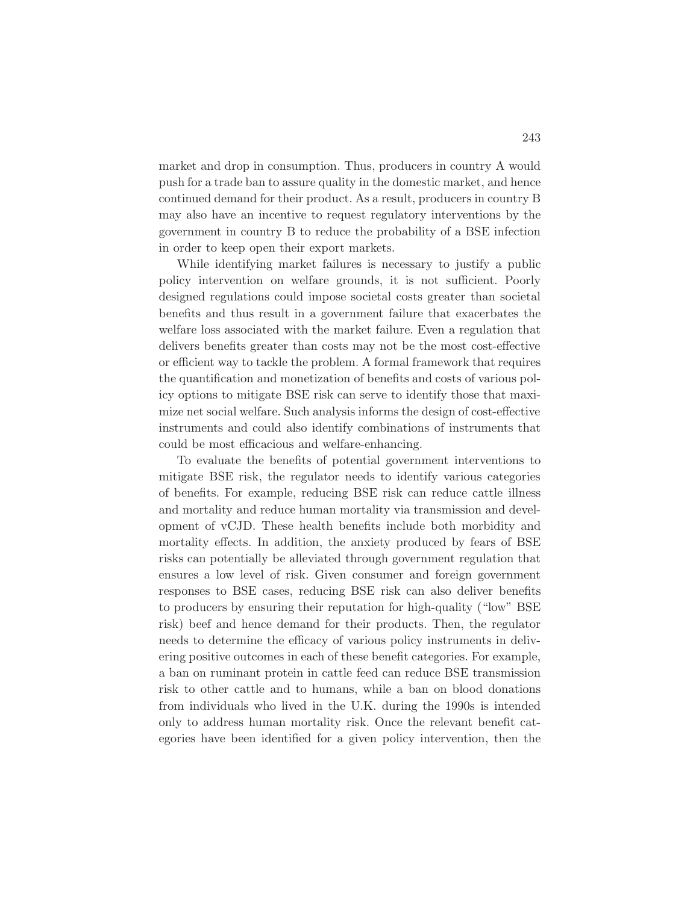market and drop in consumption. Thus, producers in country A would push for a trade ban to assure quality in the domestic market, and hence continued demand for their product. As a result, producers in country B may also have an incentive to request regulatory interventions by the government in country B to reduce the probability of a BSE infection in order to keep open their export markets.

While identifying market failures is necessary to justify a public policy intervention on welfare grounds, it is not sufficient. Poorly designed regulations could impose societal costs greater than societal benefits and thus result in a government failure that exacerbates the welfare loss associated with the market failure. Even a regulation that delivers benefits greater than costs may not be the most cost-effective or efficient way to tackle the problem. A formal framework that requires the quantification and monetization of benefits and costs of various policy options to mitigate BSE risk can serve to identify those that maximize net social welfare. Such analysis informs the design of cost-effective instruments and could also identify combinations of instruments that could be most efficacious and welfare-enhancing.

To evaluate the benefits of potential government interventions to mitigate BSE risk, the regulator needs to identify various categories of benefits. For example, reducing BSE risk can reduce cattle illness and mortality and reduce human mortality via transmission and development of vCJD. These health benefits include both morbidity and mortality effects. In addition, the anxiety produced by fears of BSE risks can potentially be alleviated through government regulation that ensures a low level of risk. Given consumer and foreign government responses to BSE cases, reducing BSE risk can also deliver benefits to producers by ensuring their reputation for high-quality ("low" BSE risk) beef and hence demand for their products. Then, the regulator needs to determine the efficacy of various policy instruments in delivering positive outcomes in each of these benefit categories. For example, a ban on ruminant protein in cattle feed can reduce BSE transmission risk to other cattle and to humans, while a ban on blood donations from individuals who lived in the U.K. during the 1990s is intended only to address human mortality risk. Once the relevant benefit categories have been identified for a given policy intervention, then the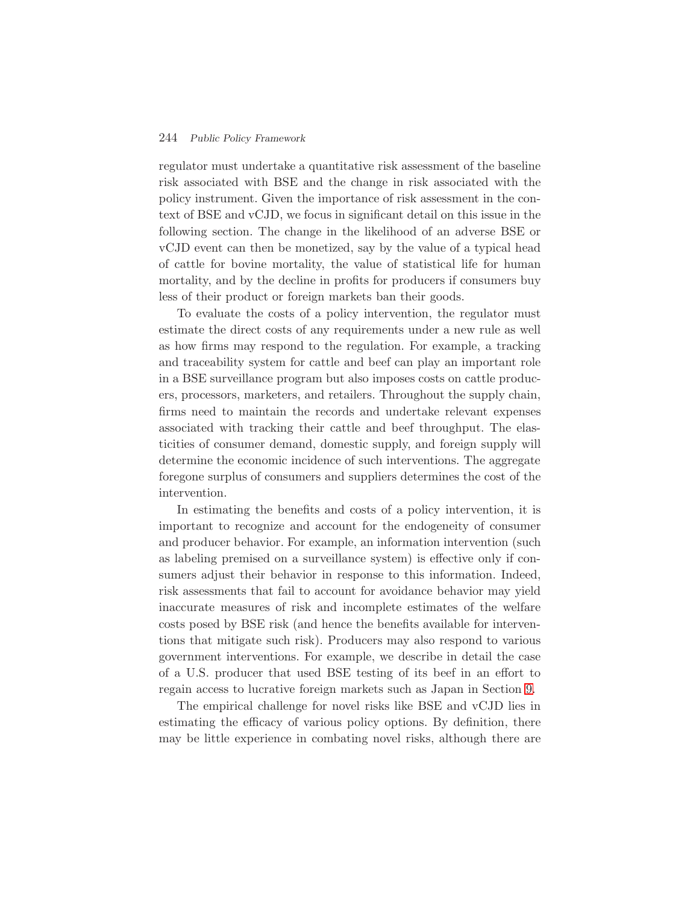### 244 *Public Policy Framework*

regulator must undertake a quantitative risk assessment of the baseline risk associated with BSE and the change in risk associated with the policy instrument. Given the importance of risk assessment in the context of BSE and vCJD, we focus in significant detail on this issue in the following section. The change in the likelihood of an adverse BSE or vCJD event can then be monetized, say by the value of a typical head of cattle for bovine mortality, the value of statistical life for human mortality, and by the decline in profits for producers if consumers buy less of their product or foreign markets ban their goods.

To evaluate the costs of a policy intervention, the regulator must estimate the direct costs of any requirements under a new rule as well as how firms may respond to the regulation. For example, a tracking and traceability system for cattle and beef can play an important role in a BSE surveillance program but also imposes costs on cattle producers, processors, marketers, and retailers. Throughout the supply chain, firms need to maintain the records and undertake relevant expenses associated with tracking their cattle and beef throughput. The elasticities of consumer demand, domestic supply, and foreign supply will determine the economic incidence of such interventions. The aggregate foregone surplus of consumers and suppliers determines the cost of the intervention.

In estimating the benefits and costs of a policy intervention, it is important to recognize and account for the endogeneity of consumer and producer behavior. For example, an information intervention (such as labeling premised on a surveillance system) is effective only if consumers adjust their behavior in response to this information. Indeed, risk assessments that fail to account for avoidance behavior may yield inaccurate measures of risk and incomplete estimates of the welfare costs posed by BSE risk (and hence the benefits available for interventions that mitigate such risk). Producers may also respond to various government interventions. For example, we describe in detail the case of a U.S. producer that used BSE testing of its beef in an effort to regain access to lucrative foreign markets such as Japan in Section [9.](#page-55-0)

The empirical challenge for novel risks like BSE and vCJD lies in estimating the efficacy of various policy options. By definition, there may be little experience in combating novel risks, although there are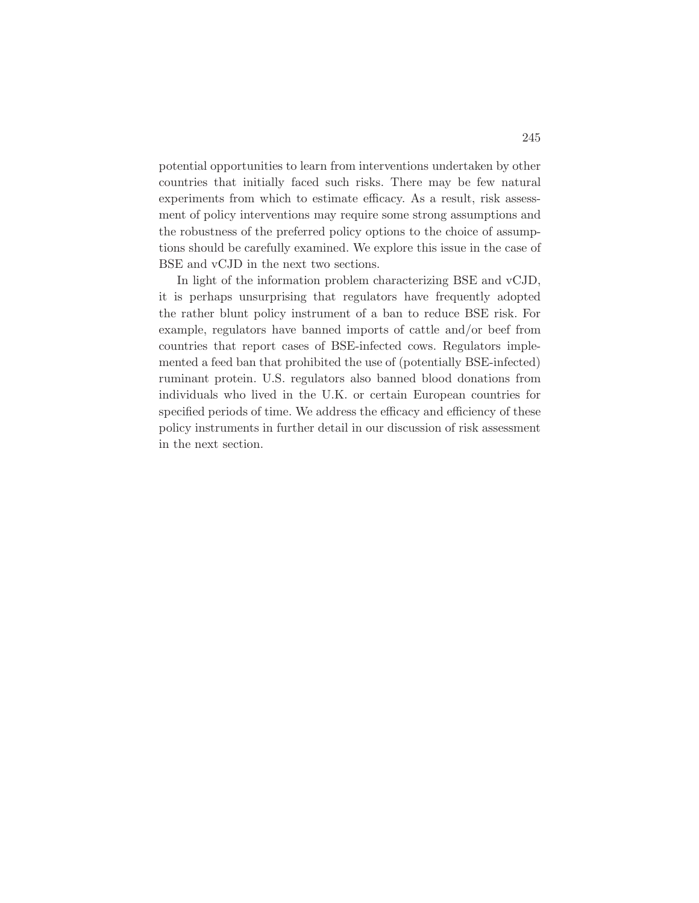potential opportunities to learn from interventions undertaken by other countries that initially faced such risks. There may be few natural experiments from which to estimate efficacy. As a result, risk assessment of policy interventions may require some strong assumptions and the robustness of the preferred policy options to the choice of assumptions should be carefully examined. We explore this issue in the case of BSE and vCJD in the next two sections.

In light of the information problem characterizing BSE and vCJD, it is perhaps unsurprising that regulators have frequently adopted the rather blunt policy instrument of a ban to reduce BSE risk. For example, regulators have banned imports of cattle and/or beef from countries that report cases of BSE-infected cows. Regulators implemented a feed ban that prohibited the use of (potentially BSE-infected) ruminant protein. U.S. regulators also banned blood donations from individuals who lived in the U.K. or certain European countries for specified periods of time. We address the efficacy and efficiency of these policy instruments in further detail in our discussion of risk assessment in the next section.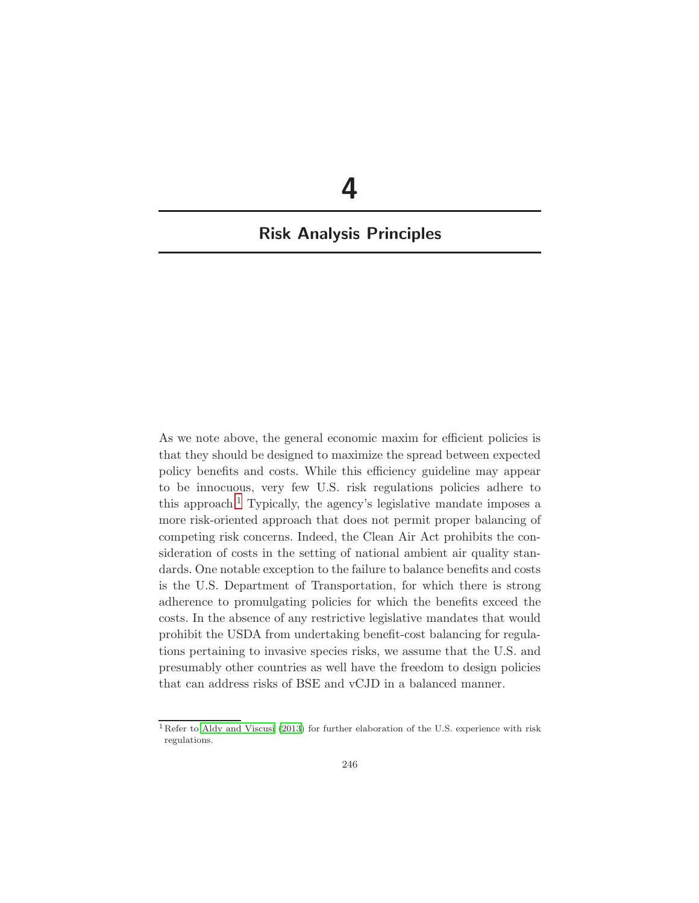## **4**

### <span id="page-17-0"></span>**Risk Analysis Principles**

As we note above, the general economic maxim for efficient policies is that they should be designed to maximize the spread between expected policy benefits and costs. While this efficiency guideline may appear to be innocuous, very few U.S. risk regulations policies adhere to this approach.<sup>[1](#page-17-1)</sup> Typically, the agency's legislative mandate imposes a more risk-oriented approach that does not permit proper balancing of competing risk concerns. Indeed, the Clean Air Act prohibits the consideration of costs in the setting of national ambient air quality standards. One notable exception to the failure to balance benefits and costs is the U.S. Department of Transportation, for which there is strong adherence to promulgating policies for which the benefits exceed the costs. In the absence of any restrictive legislative mandates that would prohibit the USDA from undertaking benefit-cost balancing for regulations pertaining to invasive species risks, we assume that the U.S. and presumably other countries as well have the freedom to design policies that can address risks of BSE and vCJD in a balanced manner.

<span id="page-17-1"></span><sup>&</sup>lt;sup>1</sup> Refer to [Aldy and Viscusi](#page-74-1) [\(2013\)](#page-74-1) for further elaboration of the U.S. experience with risk regulations.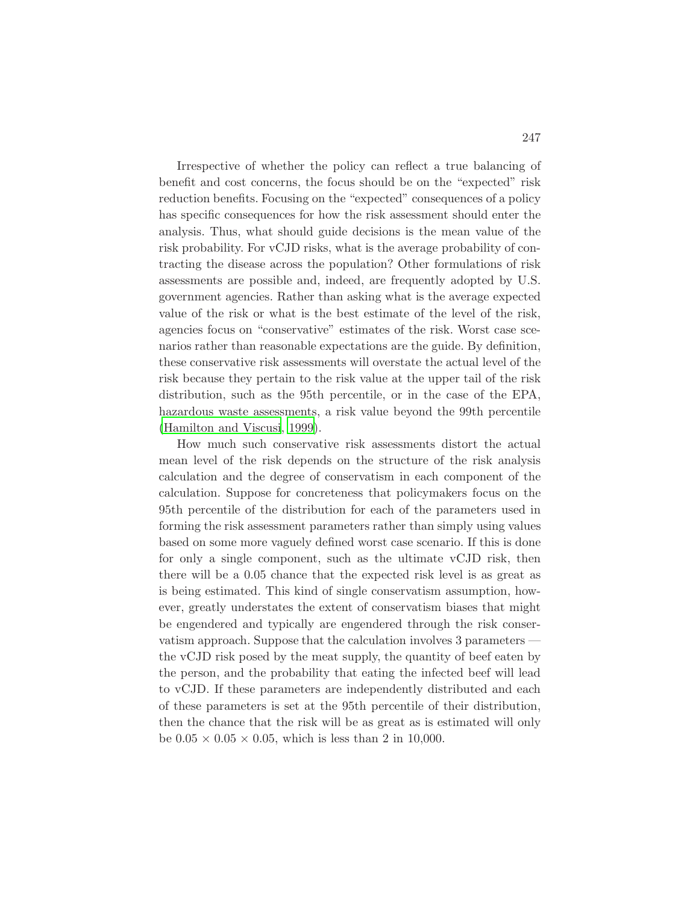Irrespective of whether the policy can reflect a true balancing of benefit and cost concerns, the focus should be on the "expected" risk reduction benefits. Focusing on the "expected" consequences of a policy has specific consequences for how the risk assessment should enter the analysis. Thus, what should guide decisions is the mean value of the risk probability. For vCJD risks, what is the average probability of contracting the disease across the population? Other formulations of risk assessments are possible and, indeed, are frequently adopted by U.S. government agencies. Rather than asking what is the average expected value of the risk or what is the best estimate of the level of the risk, agencies focus on "conservative" estimates of the risk. Worst case scenarios rather than reasonable expectations are the guide. By definition, these conservative risk assessments will overstate the actual level of the risk because they pertain to the risk value at the upper tail of the risk distribution, such as the 95th percentile, or in the case of the EPA, hazardous waste assessments, a risk value beyond the 99th percentile [\(Hamilton and Viscusi](#page-78-0), [1999\)](#page-78-0).

How much such conservative risk assessments distort the actual mean level of the risk depends on the structure of the risk analysis calculation and the degree of conservatism in each component of the calculation. Suppose for concreteness that policymakers focus on the 95th percentile of the distribution for each of the parameters used in forming the risk assessment parameters rather than simply using values based on some more vaguely defined worst case scenario. If this is done for only a single component, such as the ultimate vCJD risk, then there will be a 0.05 chance that the expected risk level is as great as is being estimated. This kind of single conservatism assumption, however, greatly understates the extent of conservatism biases that might be engendered and typically are engendered through the risk conservatism approach. Suppose that the calculation involves 3 parameters the vCJD risk posed by the meat supply, the quantity of beef eaten by the person, and the probability that eating the infected beef will lead to vCJD. If these parameters are independently distributed and each of these parameters is set at the 95th percentile of their distribution, then the chance that the risk will be as great as is estimated will only be  $0.05 \times 0.05 \times 0.05$ , which is less than 2 in 10,000.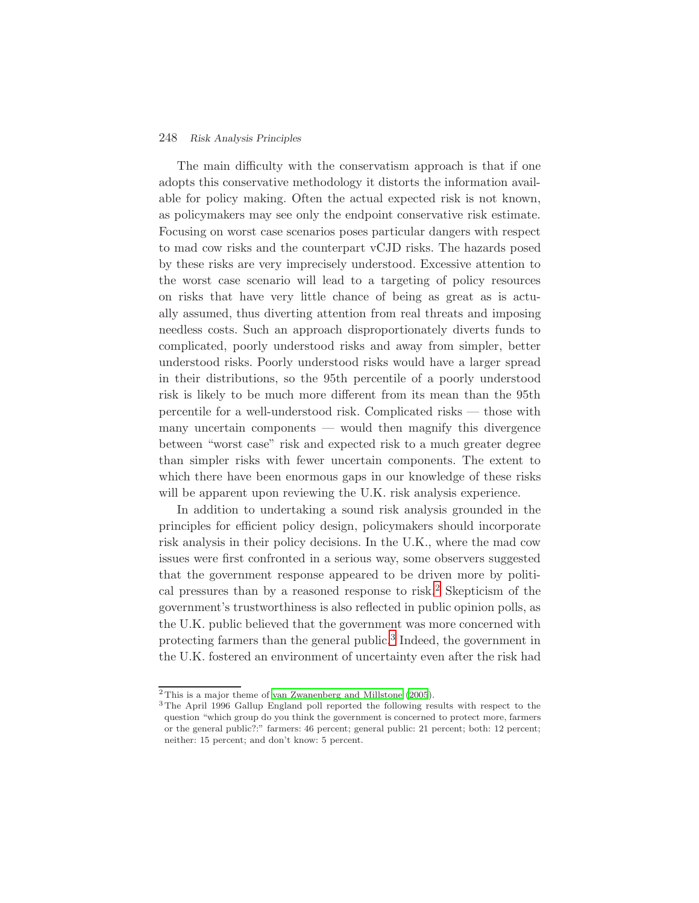### 248 *Risk Analysis Principles*

The main difficulty with the conservatism approach is that if one adopts this conservative methodology it distorts the information available for policy making. Often the actual expected risk is not known, as policymakers may see only the endpoint conservative risk estimate. Focusing on worst case scenarios poses particular dangers with respect to mad cow risks and the counterpart vCJD risks. The hazards posed by these risks are very imprecisely understood. Excessive attention to the worst case scenario will lead to a targeting of policy resources on risks that have very little chance of being as great as is actually assumed, thus diverting attention from real threats and imposing needless costs. Such an approach disproportionately diverts funds to complicated, poorly understood risks and away from simpler, better understood risks. Poorly understood risks would have a larger spread in their distributions, so the 95th percentile of a poorly understood risk is likely to be much more different from its mean than the 95th percentile for a well-understood risk. Complicated risks — those with many uncertain components  $-$  would then magnify this divergence between "worst case" risk and expected risk to a much greater degree than simpler risks with fewer uncertain components. The extent to which there have been enormous gaps in our knowledge of these risks will be apparent upon reviewing the U.K. risk analysis experience.

In addition to undertaking a sound risk analysis grounded in the principles for efficient policy design, policymakers should incorporate risk analysis in their policy decisions. In the U.K., where the mad cow issues were first confronted in a serious way, some observers suggested that the government response appeared to be driven more by political pressures than by a reasoned response to risk.[2](#page-19-0) Skepticism of the government's trustworthiness is also reflected in public opinion polls, as the U.K. public believed that the government was more concerned with protecting farmers than the general public.[3](#page-19-1) Indeed, the government in the U.K. fostered an environment of uncertainty even after the risk had

<sup>2</sup> This is a major theme of [van Zwanenberg and Millstone](#page-83-0) [\(2005](#page-83-0)).

<span id="page-19-1"></span><span id="page-19-0"></span><sup>3</sup> The April 1996 Gallup England poll reported the following results with respect to the question "which group do you think the government is concerned to protect more, farmers or the general public?:" farmers: 46 percent; general public: 21 percent; both: 12 percent; neither: 15 percent; and don't know: 5 percent.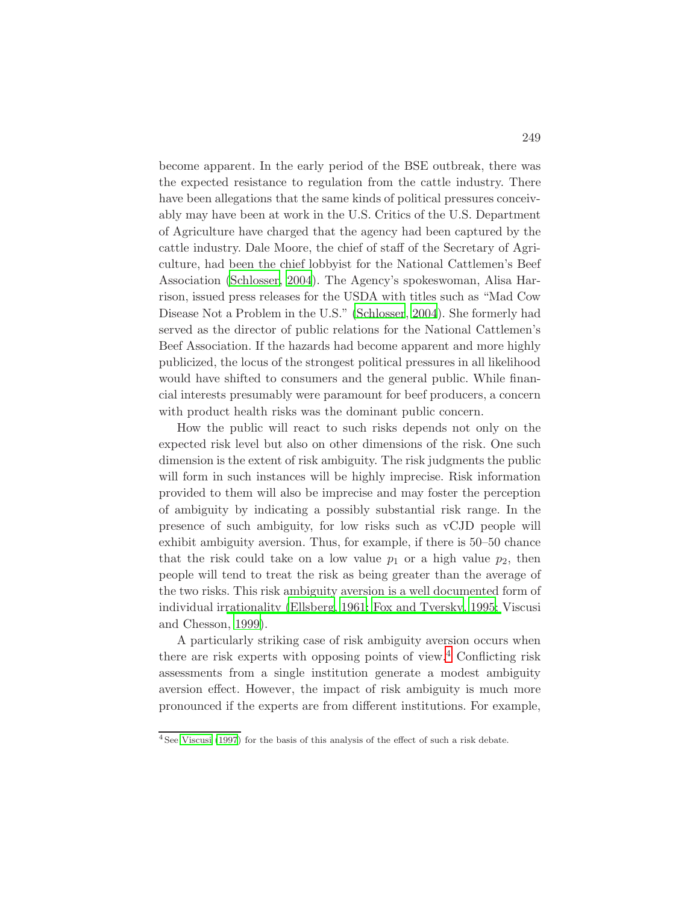become apparent. In the early period of the BSE outbreak, there was the expected resistance to regulation from the cattle industry. There have been allegations that the same kinds of political pressures conceivably may have been at work in the U.S. Critics of the U.S. Department of Agriculture have charged that the agency had been captured by the cattle industry. Dale Moore, the chief of staff of the Secretary of Agriculture, had been the chief lobbyist for the National Cattlemen's Beef Association [\(Schlosser, 2004](#page-82-0)). The Agency's spokeswoman, Alisa Harrison, issued press releases for the USDA with titles such as "Mad Cow Disease Not a Problem in the U.S." [\(Schlosser](#page-82-0), [2004](#page-82-0)). She formerly had served as the director of public relations for the National Cattlemen's Beef Association. If the hazards had become apparent and more highly publicized, the locus of the strongest political pressures in all likelihood would have shifted to consumers and the general public. While financial interests presumably were paramount for beef producers, a concern with product health risks was the dominant public concern.

How the public will react to such risks depends not only on the expected risk level but also on other dimensions of the risk. One such dimension is the extent of risk ambiguity. The risk judgments the public will form in such instances will be highly imprecise. Risk information provided to them will also be imprecise and may foster the perception of ambiguity by indicating a possibly substantial risk range. In the presence of such ambiguity, for low risks such as vCJD people will exhibit ambiguity aversion. Thus, for example, if there is 50–50 chance that the risk could take on a low value  $p_1$  or a high value  $p_2$ , then people will tend to treat the risk as being greater than the average of the two risks. This risk ambiguity aversion is a well documented form of individual ir[rationality](#page-83-1) [\(Ellsberg](#page-78-1)[,](#page-83-1) [1961;](#page-78-1) [Fox and Tversky](#page-78-2)[,](#page-83-1) [1995](#page-78-2)[;](#page-83-1) Viscusi and Chesson, [1999\)](#page-83-1).

A particularly striking case of risk ambiguity aversion occurs when there are risk experts with opposing points of view. $4$  Conflicting risk assessments from a single institution generate a modest ambiguity aversion effect. However, the impact of risk ambiguity is much more pronounced if the experts are from different institutions. For example,

<span id="page-20-0"></span> $\frac{4 \text{ See Viscusi (1997)}}{4 \text{ See Viscusi (1997)}}$  $\frac{4 \text{ See Viscusi (1997)}}{4 \text{ See Viscusi (1997)}}$  $\frac{4 \text{ See Viscusi (1997)}}{4 \text{ See Viscusi (1997)}}$  $\frac{4 \text{ See Viscusi (1997)}}{4 \text{ See Viscusi (1997)}}$  $\frac{4 \text{ See Viscusi (1997)}}{4 \text{ See Viscusi (1997)}}$  for the basis of this analysis of the effect of such a risk debate.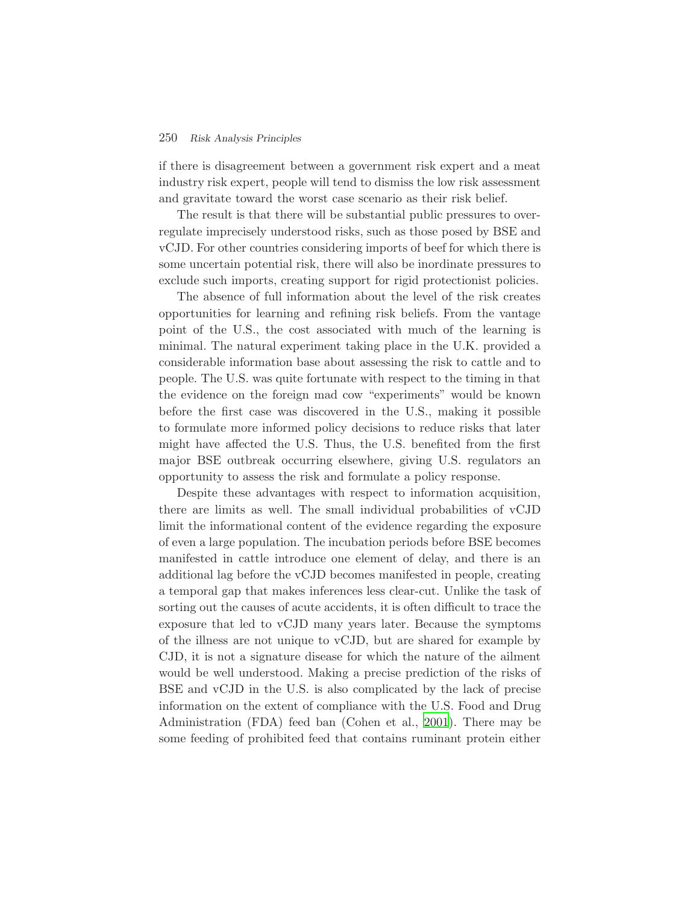### 250 *Risk Analysis Principles*

if there is disagreement between a government risk expert and a meat industry risk expert, people will tend to dismiss the low risk assessment and gravitate toward the worst case scenario as their risk belief.

The result is that there will be substantial public pressures to overregulate imprecisely understood risks, such as those posed by BSE and vCJD. For other countries considering imports of beef for which there is some uncertain potential risk, there will also be inordinate pressures to exclude such imports, creating support for rigid protectionist policies.

The absence of full information about the level of the risk creates opportunities for learning and refining risk beliefs. From the vantage point of the U.S., the cost associated with much of the learning is minimal. The natural experiment taking place in the U.K. provided a considerable information base about assessing the risk to cattle and to people. The U.S. was quite fortunate with respect to the timing in that the evidence on the foreign mad cow "experiments" would be known before the first case was discovered in the U.S., making it possible to formulate more informed policy decisions to reduce risks that later might have affected the U.S. Thus, the U.S. benefited from the first major BSE outbreak occurring elsewhere, giving U.S. regulators an opportunity to assess the risk and formulate a policy response.

Despite these advantages with respect to information acquisition, there are limits as well. The small individual probabilities of vCJD limit the informational content of the evidence regarding the exposure of even a large population. The incubation periods before BSE becomes manifested in cattle introduce one element of delay, and there is an additional lag before the vCJD becomes manifested in people, creating a temporal gap that makes inferences less clear-cut. Unlike the task of sorting out the causes of acute accidents, it is often difficult to trace the exposure that led to vCJD many years later. Because the symptoms of the illness are not unique to vCJD, but are shared for example by CJD, it is not a signature disease for which the nature of the ailment would be well understood. Making a precise prediction of the risks of BSE and vCJD in the U.S. is also complicated by the lack of precise information on the extent of compliance with the U.S. Food and Drug Administration (FDA) feed ban (Cohen et al., [2001](#page-76-0)). There may be some feeding of prohibited feed that contains ruminant protein either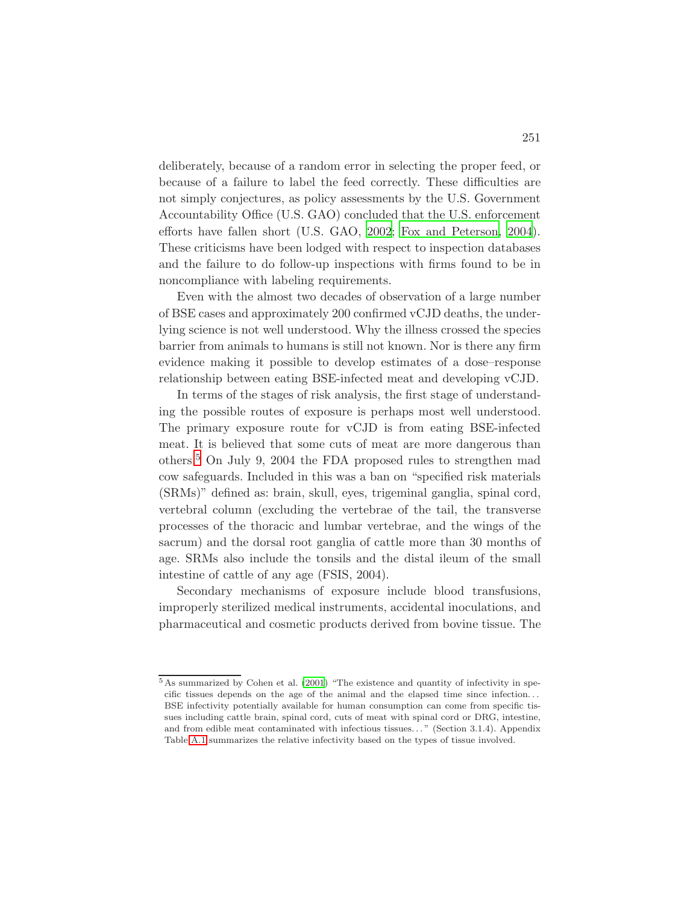deliberately, because of a random error in selecting the proper feed, or because of a failure to label the feed correctly. These difficulties are not simply conjectures, as policy assessments by the U.S. Government Accountability Office (U.S. GAO) concluded that the U.S. enforcement efforts have fallen short (U.S. GAO, [2002](#page-82-1); [Fox and Peterson, 2004](#page-78-3)). These criticisms have been lodged with respect to inspection databases and the failure to do follow-up inspections with firms found to be in noncompliance with labeling requirements.

Even with the almost two decades of observation of a large number of BSE cases and approximately 200 confirmed vCJD deaths, the underlying science is not well understood. Why the illness crossed the species barrier from animals to humans is still not known. Nor is there any firm evidence making it possible to develop estimates of a dose–response relationship between eating BSE-infected meat and developing vCJD.

In terms of the stages of risk analysis, the first stage of understanding the possible routes of exposure is perhaps most well understood. The primary exposure route for vCJD is from eating BSE-infected meat. It is believed that some cuts of meat are more dangerous than others.[5](#page-22-0) On July 9, 2004 the FDA proposed rules to strengthen mad cow safeguards. Included in this was a ban on "specified risk materials (SRMs)" defined as: brain, skull, eyes, trigeminal ganglia, spinal cord, vertebral column (excluding the vertebrae of the tail, the transverse processes of the thoracic and lumbar vertebrae, and the wings of the sacrum) and the dorsal root ganglia of cattle more than 30 months of age. SRMs also include the tonsils and the distal ileum of the small intestine of cattle of any age (FSIS, 2004).

Secondary mechanisms of exposure include blood transfusions, improperly sterilized medical instruments, accidental inoculations, and pharmaceutical and cosmetic products derived from bovine tissue. The

<span id="page-22-0"></span> $\overline{5}$ As summarized by Cohen et al. [\(2001](#page-76-0)) "The existence and quantity of infectivity in specific tissues depends on the age of the animal and the elapsed time since infection. . . BSE infectivity potentially available for human consumption can come from specific tissues including cattle brain, spinal cord, cuts of meat with spinal cord or DRG, intestine, and from edible meat contaminated with infectious tissues. . . " (Section 3.1.4). Appendix Table [A.1](#page-71-1) summarizes the relative infectivity based on the types of tissue involved.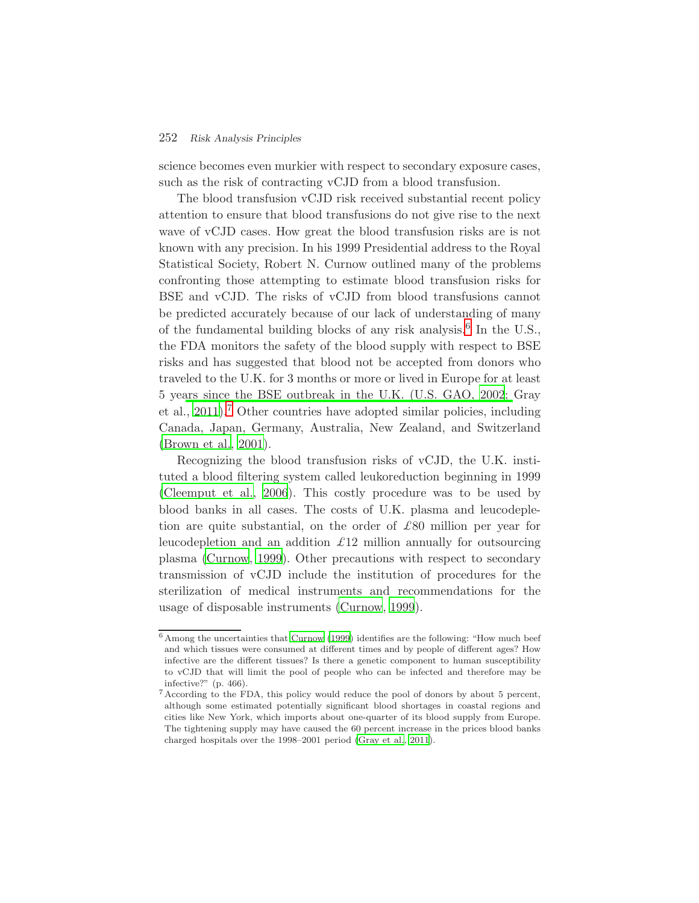### 252 *Risk Analysis Principles*

science becomes even murkier with respect to secondary exposure cases, such as the risk of contracting vCJD from a blood transfusion.

The blood transfusion vCJD risk received substantial recent policy attention to ensure that blood transfusions do not give rise to the next wave of vCJD cases. How great the blood transfusion risks are is not known with any precision. In his 1999 Presidential address to the Royal Statistical Society, Robert N. Curnow outlined many of the problems confronting those attempting to estimate blood transfusion risks for BSE and vCJD. The risks of vCJD from blood transfusions cannot be predicted accurately because of our lack of understanding of many of the fundamental building blocks of any risk analysis.<sup>[6](#page-23-0)</sup> In the U.S., the FDA monitors the safety of the blood supply with respect to BSE risks and has suggested that blood not be accepted from donors who traveled to the U.K. for 3 months or more or lived in Europe for at least 5 ye[ars since the BSE outbreak in the U.K. \(U.S. GAO,](#page-78-4) [2002](#page-82-1)[;](#page-78-4) Gray et al.,  $2011$ ).<sup>[7](#page-23-1)</sup> Other countries have adopted similar policies, including Canada, Japan, Germany, Australia, New Zealand, and Switzerland [\(Brown et al.](#page-75-0), [2001\)](#page-75-0).

Recognizing the blood transfusion risks of vCJD, the U.K. instituted a blood filtering system called leukoreduction beginning in 1999 [\(Cleemput et al., 2006](#page-76-1)). This costly procedure was to be used by blood banks in all cases. The costs of U.K. plasma and leucodepletion are quite substantial, on the order of *£*80 million per year for leucodepletion and an addition *£*12 million annually for outsourcing plasma [\(Curnow](#page-77-1), [1999](#page-77-1)). Other precautions with respect to secondary transmission of vCJD include the institution of procedures for the sterilization of medical instruments and recommendations for the usage of disposable instruments [\(Curnow](#page-77-1), [1999](#page-77-1)).

<span id="page-23-0"></span> $6$  Among the uncertainties that [Curnow](#page-77-1) [\(1999\)](#page-77-1) identifies are the following: "How much beef and which tissues were consumed at different times and by people of different ages? How infective are the different tissues? Is there a genetic component to human susceptibility to vCJD that will limit the pool of people who can be infected and therefore may be infective?" (p. 466).

<span id="page-23-1"></span><sup>7</sup> According to the FDA, this policy would reduce the pool of donors by about 5 percent, although some estimated potentially significant blood shortages in coastal regions and cities like New York, which imports about one-quarter of its blood supply from Europe. The tightening supply may have caused the 60 percent increase in the prices blood banks charged hospitals over the 1998–2001 period [\(Gray et al.](#page-78-4), [2011](#page-78-4)).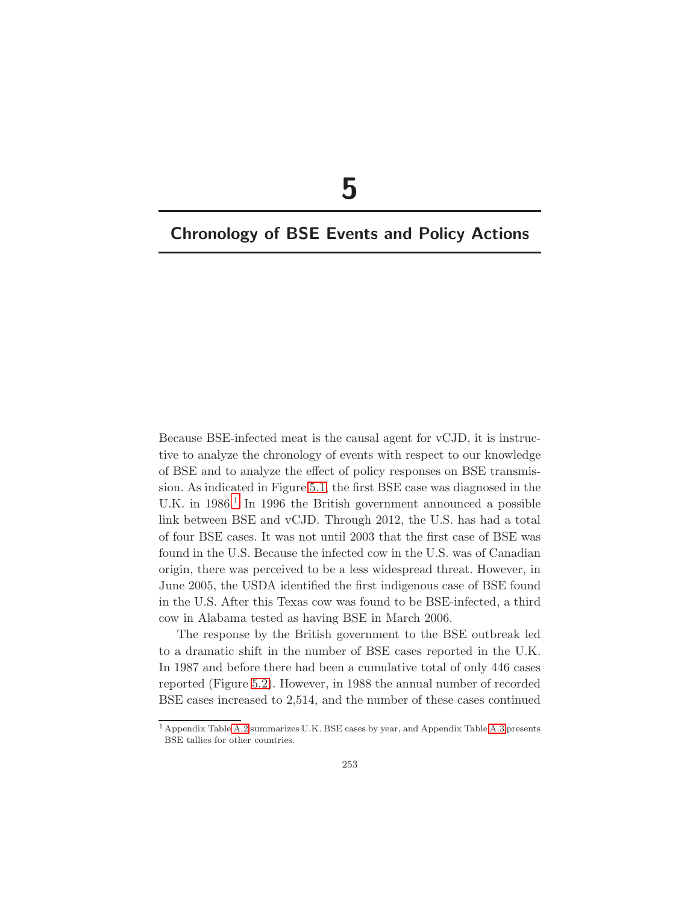## **5**

## <span id="page-24-0"></span>**Chronology of BSE Events and Policy Actions**

Because BSE-infected meat is the causal agent for vCJD, it is instructive to analyze the chronology of events with respect to our knowledge of BSE and to analyze the effect of policy responses on BSE transmission. As indicated in Figure [5.1,](#page-25-0) the first BSE case was diagnosed in the U.K. in  $1986<sup>1</sup>$  $1986<sup>1</sup>$  In 1996 the British government announced a possible link between BSE and vCJD. Through 2012, the U.S. has had a total of four BSE cases. It was not until 2003 that the first case of BSE was found in the U.S. Because the infected cow in the U.S. was of Canadian origin, there was perceived to be a less widespread threat. However, in June 2005, the USDA identified the first indigenous case of BSE found in the U.S. After this Texas cow was found to be BSE-infected, a third cow in Alabama tested as having BSE in March 2006.

The response by the British government to the BSE outbreak led to a dramatic shift in the number of BSE cases reported in the U.K. In 1987 and before there had been a cumulative total of only 446 cases reported (Figure [5.2\)](#page-25-1). However, in 1988 the annual number of recorded BSE cases increased to 2,514, and the number of these cases continued

<span id="page-24-1"></span><sup>1</sup> Appendix Table [A.2](#page-72-0) summarizes U.K. BSE cases by year, and Appendix Table [A.3](#page-73-0) presents BSE tallies for other countries.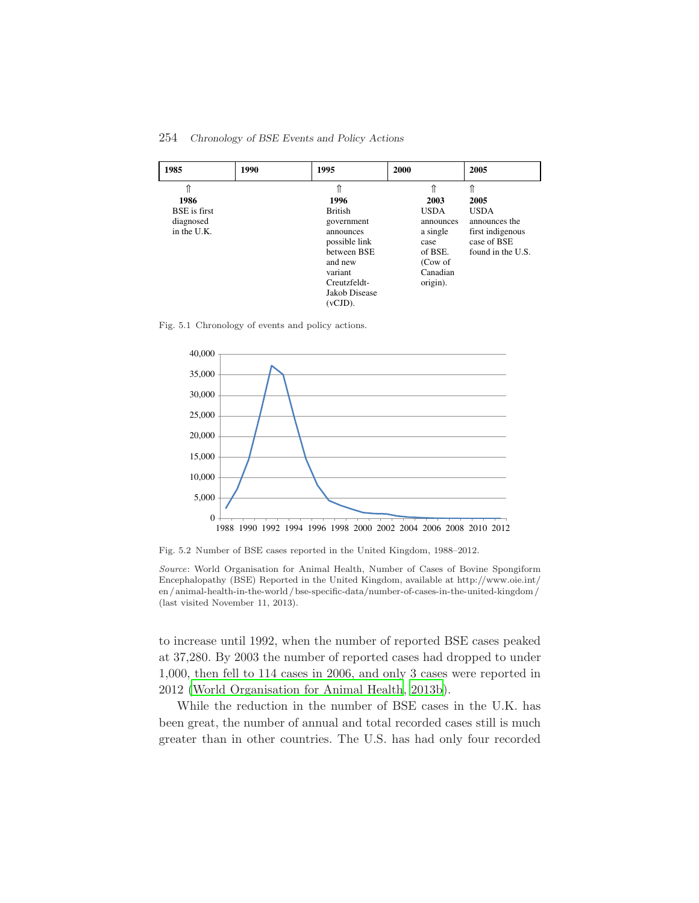#### 254 *Chronology of BSE Events and Policy Actions*

| 1985                | 1990 | 1995           | 2000        | 2005              |
|---------------------|------|----------------|-------------|-------------------|
|                     |      | ⇑              | ⇑           | ⇑                 |
| 1986                |      | 1996           | 2003        | 2005              |
| <b>BSE</b> is first |      | <b>British</b> | <b>USDA</b> | <b>USDA</b>       |
| diagnosed           |      | government     | announces   | announces the     |
| in the U.K.         |      | announces      | a single    | first indigenous  |
|                     |      | possible link  | case        | case of BSE       |
|                     |      | between BSE    | of BSE.     | found in the U.S. |
|                     |      | and new        | (Cow of     |                   |
|                     |      | variant        | Canadian    |                   |
|                     |      | Creutzfeldt-   | origin).    |                   |
|                     |      | Jakob Disease  |             |                   |
|                     |      | (vCJD).        |             |                   |

<span id="page-25-0"></span>Fig. 5.1 Chronology of events and policy actions.



<span id="page-25-1"></span>Fig. 5.2 Number of BSE cases reported in the United Kingdom, 1988–2012.

*Source*: World Organisation for Animal Health, Number of Cases of Bovine Spongiform Encephalopathy (BSE) Reported in the United Kingdom, available at http://www.oie.int/ en / animal-health-in-the-world /bse-specific-data/number-of-cases-in-the-united-kingdom / (last visited November 11, 2013).

to increase until 1992, when the number of reported BSE cases peaked at 37,280. By 2003 the number of reported cases had dropped to under 1,000, then fell to 114 cases in 2006, and only 3 cases were reported in 2012 [\(World Organisation for Animal Health](#page-84-0), [2013b\)](#page-84-0).

While the reduction in the number of BSE cases in the U.K. has been great, the number of annual and total recorded cases still is much greater than in other countries. The U.S. has had only four recorded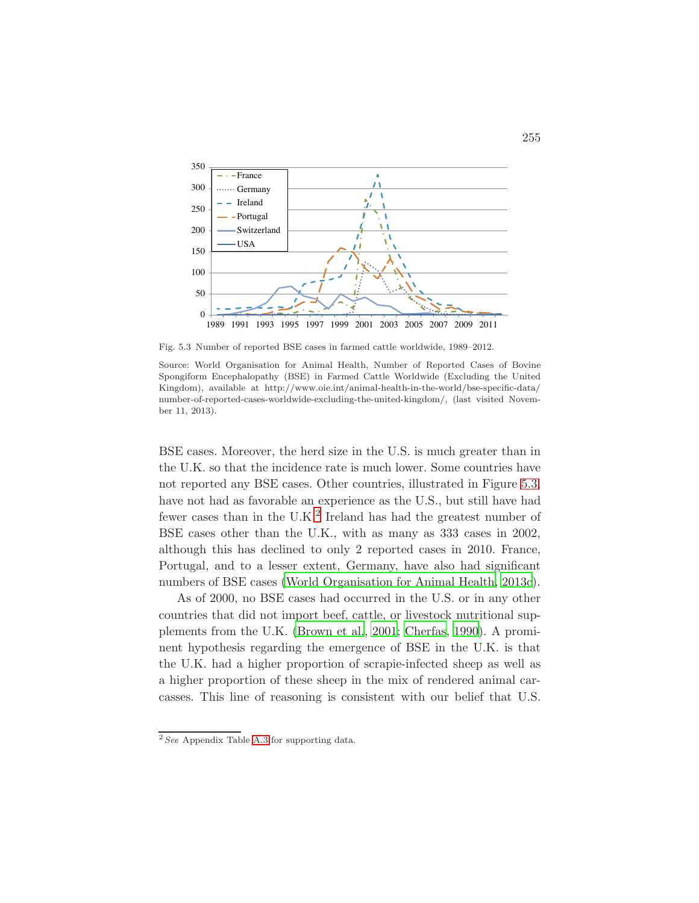

<span id="page-26-0"></span>Fig. 5.3 Number of reported BSE cases in farmed cattle worldwide, 1989–2012.

BSE cases. Moreover, the herd size in the U.S. is much greater than in the U.K. so that the incidence rate is much lower. Some countries have not reported any BSE cases. Other countries, illustrated in Figure [5.3,](#page-26-0) have not had as favorable an experience as the U.S., but still have had fewer cases than in the U.K.[2](#page-26-1) Ireland has had the greatest number of BSE cases other than the U.K., with as many as 333 cases in 2002, although this has declined to only 2 reported cases in 2010. France, Portugal, and to a lesser extent, Germany, have also had significant numbers of BSE cases [\(World Organisation for Animal Health, 2013c](#page-84-1)).

As of 2000, no BSE cases had occurred in the U.S. or in any other countries that did not import beef, cattle, or livestock nutritional supplements from the U.K. [\(Brown et al.](#page-75-0), [2001;](#page-75-0) [Cherfas](#page-76-2), [1990](#page-76-2)). A prominent hypothesis regarding the emergence of BSE in the U.K. is that the U.K. had a higher proportion of scrapie-infected sheep as well as a higher proportion of these sheep in the mix of rendered animal carcasses. This line of reasoning is consistent with our belief that U.S.

Source: World Organisation for Animal Health, Number of Reported Cases of Bovine Spongiform Encephalopathy (BSE) in Farmed Cattle Worldwide (Excluding the United Kingdom), available at http://www.oie.int/animal-health-in-the-world/bse-specific-data/ number-of-reported-cases-worldwide-excluding-the-united-kingdom/, (last visited November 11, 2013).

<span id="page-26-1"></span><sup>2</sup> *See* Appendix Table [A.3](#page-73-0) for supporting data.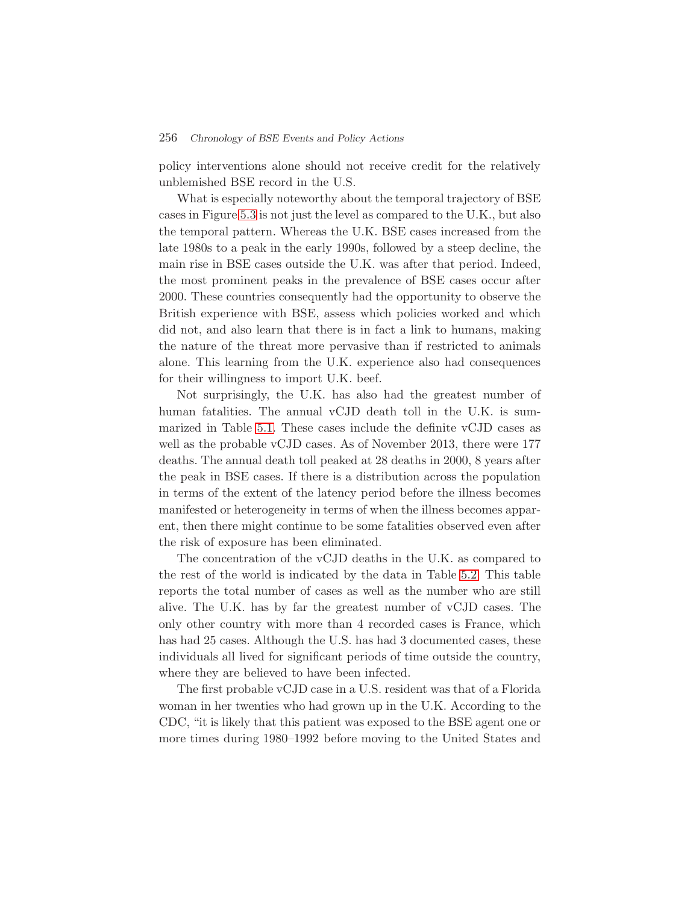### 256 *Chronology of BSE Events and Policy Actions*

policy interventions alone should not receive credit for the relatively unblemished BSE record in the U.S.

What is especially noteworthy about the temporal trajectory of BSE cases in Figure [5.3](#page-26-0) is not just the level as compared to the U.K., but also the temporal pattern. Whereas the U.K. BSE cases increased from the late 1980s to a peak in the early 1990s, followed by a steep decline, the main rise in BSE cases outside the U.K. was after that period. Indeed, the most prominent peaks in the prevalence of BSE cases occur after 2000. These countries consequently had the opportunity to observe the British experience with BSE, assess which policies worked and which did not, and also learn that there is in fact a link to humans, making the nature of the threat more pervasive than if restricted to animals alone. This learning from the U.K. experience also had consequences for their willingness to import U.K. beef.

Not surprisingly, the U.K. has also had the greatest number of human fatalities. The annual vCJD death toll in the U.K. is summarized in Table [5.1.](#page-28-0) These cases include the definite vCJD cases as well as the probable vCJD cases. As of November 2013, there were 177 deaths. The annual death toll peaked at 28 deaths in 2000, 8 years after the peak in BSE cases. If there is a distribution across the population in terms of the extent of the latency period before the illness becomes manifested or heterogeneity in terms of when the illness becomes apparent, then there might continue to be some fatalities observed even after the risk of exposure has been eliminated.

The concentration of the vCJD deaths in the U.K. as compared to the rest of the world is indicated by the data in Table [5.2.](#page-29-0) This table reports the total number of cases as well as the number who are still alive. The U.K. has by far the greatest number of vCJD cases. The only other country with more than 4 recorded cases is France, which has had 25 cases. Although the U.S. has had 3 documented cases, these individuals all lived for significant periods of time outside the country, where they are believed to have been infected.

The first probable vCJD case in a U.S. resident was that of a Florida woman in her twenties who had grown up in the U.K. According to the CDC, "it is likely that this patient was exposed to the BSE agent one or more times during 1980–1992 before moving to the United States and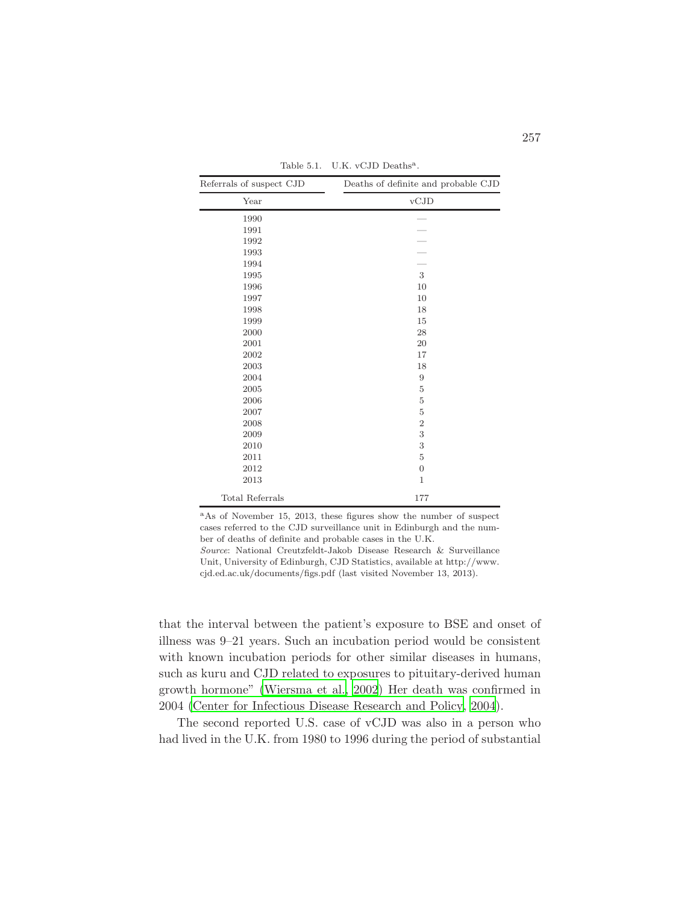| Referrals of suspect CJD | Deaths of definite and probable CJD |  |  |
|--------------------------|-------------------------------------|--|--|
| Year                     | $_{\rm vCJD}$                       |  |  |
| 1990                     |                                     |  |  |
| 1991                     |                                     |  |  |
| 1992                     |                                     |  |  |
| 1993                     |                                     |  |  |
| 1994                     |                                     |  |  |
| 1995                     | $\sqrt{3}$                          |  |  |
| 1996                     | 10                                  |  |  |
| 1997                     | 10                                  |  |  |
| 1998                     | 18                                  |  |  |
| 1999                     | $15\,$                              |  |  |
| 2000                     | 28                                  |  |  |
| 2001                     | 20                                  |  |  |
| 2002                     | 17                                  |  |  |
| 2003                     | 18                                  |  |  |
| 2004                     | $\overline{9}$                      |  |  |
| 2005                     | 5                                   |  |  |
| 2006                     | $\overline{5}$                      |  |  |
| 2007                     | $\bf 5$                             |  |  |
| 2008                     | $\overline{2}$                      |  |  |
| 2009                     | 3                                   |  |  |
| 2010                     | 3                                   |  |  |
| 2011                     | $\overline{5}$                      |  |  |
| 2012                     | $\mathbf{0}$                        |  |  |
| 2013                     | $\mathbf{1}$                        |  |  |
| <b>Total Referrals</b>   | 177                                 |  |  |

<span id="page-28-0"></span>Table 5.1. U.K. vCJD Deaths<sup>a</sup>.

<sup>a</sup>As of November 15, 2013, these figures show the number of suspect cases referred to the CJD surveillance unit in Edinburgh and the number of deaths of definite and probable cases in the U.K.

*Source*: National Creutzfeldt-Jakob Disease Research & Surveillance Unit, University of Edinburgh, CJD Statistics, available at http://www. cjd.ed.ac.uk/documents/figs.pdf (last visited November 13, 2013).

that the interval between the patient's exposure to BSE and onset of illness was 9–21 years. Such an incubation period would be consistent with known incubation periods for other similar diseases in humans, such as kuru and CJD related to exposures to pituitary-derived human growth hormone" [\(Wiersma et al., 2002](#page-84-2)) Her death was confirmed in 2004 [\(Center for Infectious Disease Research and Policy, 2004](#page-75-1)).

The second reported U.S. case of vCJD was also in a person who had lived in the U.K. from 1980 to 1996 during the period of substantial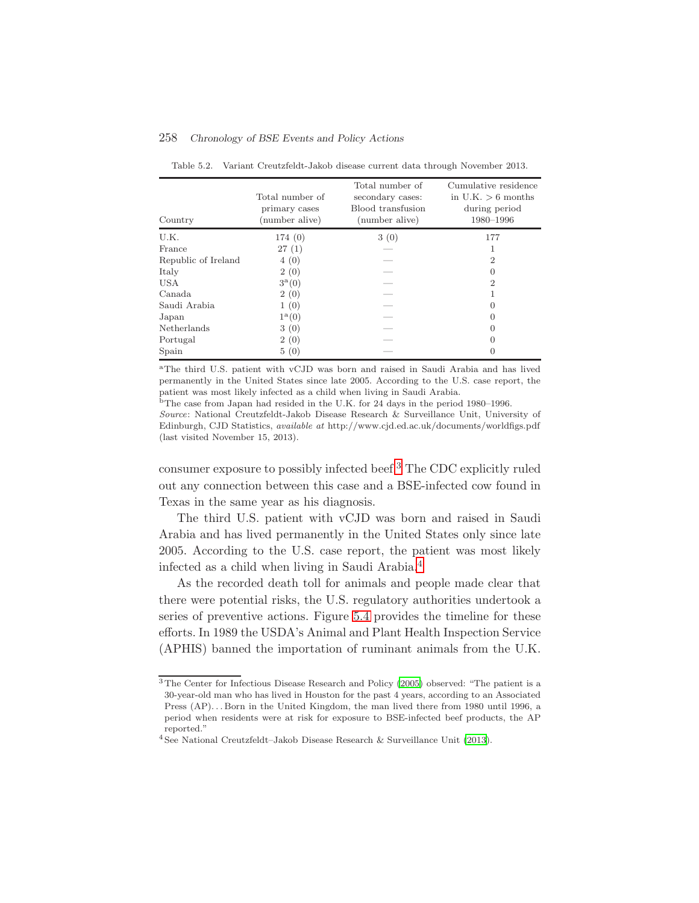#### 258 *Chronology of BSE Events and Policy Actions*

| Country             | Total number of<br>primary cases<br>(number alive) | Total number of<br>secondary cases:<br>Blood transfusion<br>(number alive) | Cumulative residence<br>in U.K. $> 6$ months<br>during period<br>1980-1996 |
|---------------------|----------------------------------------------------|----------------------------------------------------------------------------|----------------------------------------------------------------------------|
| U.K.                | 174(0)                                             | 3(0)                                                                       | 177                                                                        |
| France              | 27(1)                                              |                                                                            |                                                                            |
| Republic of Ireland | 4(0)                                               |                                                                            | 2                                                                          |
| Italy               | 2(0)                                               |                                                                            |                                                                            |
| USA                 | $3^{\rm a}(0)$                                     |                                                                            | 2                                                                          |
| Canada              | 2(0)                                               |                                                                            |                                                                            |
| Saudi Arabia        | 1(0)                                               |                                                                            |                                                                            |
| Japan               | $1^{\rm a}(0)$                                     |                                                                            | $\left( \right)$                                                           |
| Netherlands         | 3(0)                                               |                                                                            | $\left( \right)$                                                           |
| Portugal            | 2(0)                                               |                                                                            |                                                                            |
| Spain               | 5(0)                                               |                                                                            | 0                                                                          |

<span id="page-29-0"></span>Table 5.2. Variant Creutzfeldt-Jakob disease current data through November 2013.

<sup>a</sup>The third U.S. patient with vCJD was born and raised in Saudi Arabia and has lived permanently in the United States since late 2005. According to the U.S. case report, the patient was most likely infected as a child when living in Saudi Arabia.

<sup>b</sup>The case from Japan had resided in the U.K. for 24 days in the period 1980–1996.

*Source*: National Creutzfeldt-Jakob Disease Research & Surveillance Unit, University of Edinburgh, CJD Statistics, *available at* http://www.cjd.ed.ac.uk/documents/worldfigs.pdf (last visited November 15, 2013).

consumer exposure to possibly infected beef.[3](#page-29-1) The CDC explicitly ruled out any connection between this case and a BSE-infected cow found in Texas in the same year as his diagnosis.

The third U.S. patient with vCJD was born and raised in Saudi Arabia and has lived permanently in the United States only since late 2005. According to the U.S. case report, the patient was most likely infected as a child when living in Saudi Arabia.[4](#page-29-2)

As the recorded death toll for animals and people made clear that there were potential risks, the U.S. regulatory authorities undertook a series of preventive actions. Figure [5.4](#page-30-0) provides the timeline for these efforts. In 1989 the USDA's Animal and Plant Health Inspection Service (APHIS) banned the importation of ruminant animals from the U.K.

<span id="page-29-1"></span><sup>3</sup> The Center for Infectious Disease Research and Policy [\(2005\)](#page-75-2) observed: "The patient is a 30-year-old man who has lived in Houston for the past 4 years, according to an Associated Press (AP)...Born in the United Kingdom, the man lived there from 1980 until 1996, a period when residents were at risk for exposure to BSE-infected beef products, the AP reported."

<span id="page-29-2"></span><sup>4</sup> See National Creutzfeldt–Jakob Disease Research & Surveillance Unit [\(2013\)](#page-81-4).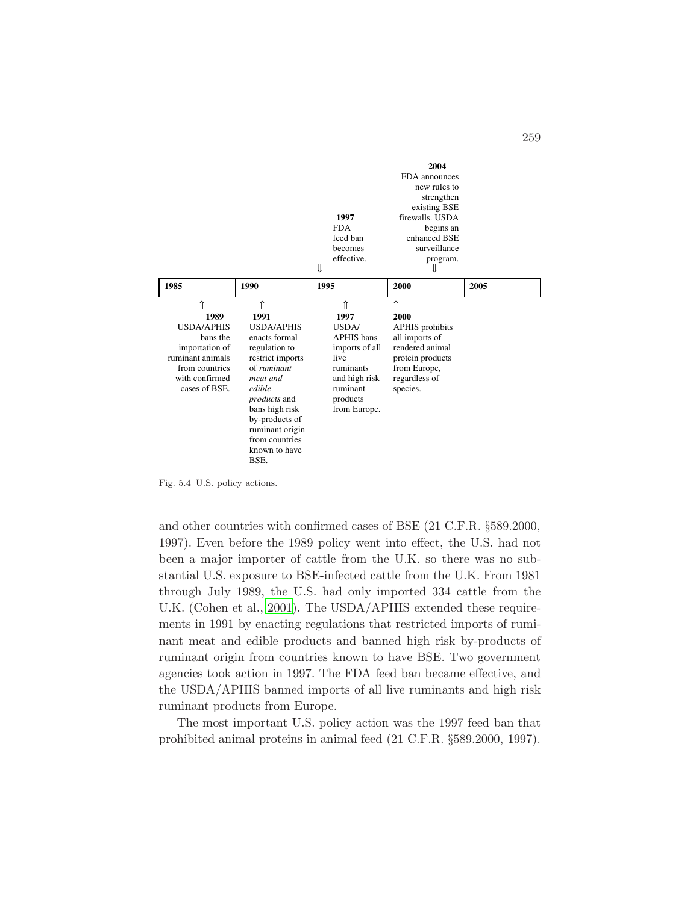|                                                                                                                                       |                                                                                                                                                                                                                                                    | 1997<br><b>FDA</b><br>feed ban<br>becomes<br>effective.<br>⇓                                                                            | 2004<br>FDA announces<br>new rules to<br>strengthen<br>existing BSE<br>firewalls. USDA<br>begins an<br>enhanced BSE<br>surveillance<br>program.<br>⇓ |      |
|---------------------------------------------------------------------------------------------------------------------------------------|----------------------------------------------------------------------------------------------------------------------------------------------------------------------------------------------------------------------------------------------------|-----------------------------------------------------------------------------------------------------------------------------------------|------------------------------------------------------------------------------------------------------------------------------------------------------|------|
| 1985                                                                                                                                  | 1990                                                                                                                                                                                                                                               | 1995                                                                                                                                    | 2000                                                                                                                                                 | 2005 |
| ⇑<br>1989<br><b>USDA/APHIS</b><br>bans the<br>importation of<br>ruminant animals<br>from countries<br>with confirmed<br>cases of BSE. | ⇑<br>1991<br><b>USDA/APHIS</b><br>enacts formal<br>regulation to<br>restrict imports<br>of ruminant<br>meat and<br>edible<br><i>products</i> and<br>bans high risk<br>by-products of<br>ruminant origin<br>from countries<br>known to have<br>BSE. | ⇑<br>1997<br>USDA/<br><b>APHIS</b> bans<br>imports of all<br>live<br>ruminants<br>and high risk<br>ruminant<br>products<br>from Europe. | ⇑<br>2000<br><b>APHIS</b> prohibits<br>all imports of<br>rendered animal<br>protein products<br>from Europe,<br>regardless of<br>species.            |      |

<span id="page-30-0"></span>Fig. 5.4 U.S. policy actions.

and other countries with confirmed cases of BSE (21 C.F.R. §589.2000, 1997). Even before the 1989 policy went into effect, the U.S. had not been a major importer of cattle from the U.K. so there was no substantial U.S. exposure to BSE-infected cattle from the U.K. From 1981 through July 1989, the U.S. had only imported 334 cattle from the U.K. (Cohen et al., [2001](#page-76-0)). The USDA/APHIS extended these requirements in 1991 by enacting regulations that restricted imports of ruminant meat and edible products and banned high risk by-products of ruminant origin from countries known to have BSE. Two government agencies took action in 1997. The FDA feed ban became effective, and the USDA/APHIS banned imports of all live ruminants and high risk ruminant products from Europe.

The most important U.S. policy action was the 1997 feed ban that prohibited animal proteins in animal feed (21 C.F.R. §589.2000, 1997).

259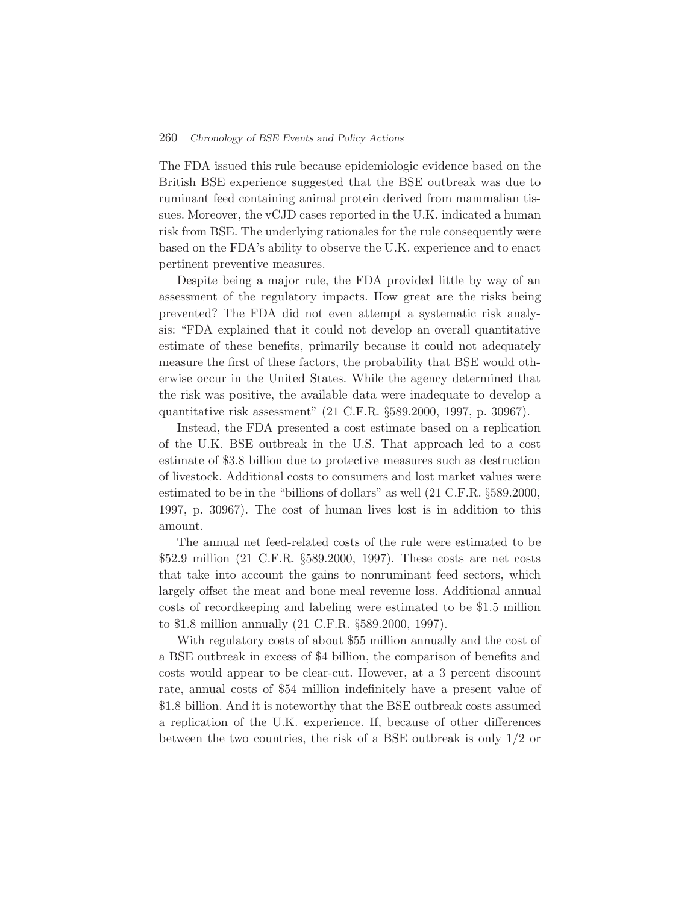### 260 *Chronology of BSE Events and Policy Actions*

The FDA issued this rule because epidemiologic evidence based on the British BSE experience suggested that the BSE outbreak was due to ruminant feed containing animal protein derived from mammalian tissues. Moreover, the vCJD cases reported in the U.K. indicated a human risk from BSE. The underlying rationales for the rule consequently were based on the FDA's ability to observe the U.K. experience and to enact pertinent preventive measures.

Despite being a major rule, the FDA provided little by way of an assessment of the regulatory impacts. How great are the risks being prevented? The FDA did not even attempt a systematic risk analysis: "FDA explained that it could not develop an overall quantitative estimate of these benefits, primarily because it could not adequately measure the first of these factors, the probability that BSE would otherwise occur in the United States. While the agency determined that the risk was positive, the available data were inadequate to develop a quantitative risk assessment" (21 C.F.R. §589.2000, 1997, p. 30967).

Instead, the FDA presented a cost estimate based on a replication of the U.K. BSE outbreak in the U.S. That approach led to a cost estimate of \$3.8 billion due to protective measures such as destruction of livestock. Additional costs to consumers and lost market values were estimated to be in the "billions of dollars" as well (21 C.F.R. §589.2000, 1997, p. 30967). The cost of human lives lost is in addition to this amount.

The annual net feed-related costs of the rule were estimated to be \$52.9 million (21 C.F.R. §589.2000, 1997). These costs are net costs that take into account the gains to nonruminant feed sectors, which largely offset the meat and bone meal revenue loss. Additional annual costs of recordkeeping and labeling were estimated to be \$1.5 million to \$1.8 million annually (21 C.F.R. §589.2000, 1997).

With regulatory costs of about \$55 million annually and the cost of a BSE outbreak in excess of \$4 billion, the comparison of benefits and costs would appear to be clear-cut. However, at a 3 percent discount rate, annual costs of \$54 million indefinitely have a present value of \$1.8 billion. And it is noteworthy that the BSE outbreak costs assumed a replication of the U.K. experience. If, because of other differences between the two countries, the risk of a BSE outbreak is only 1/2 or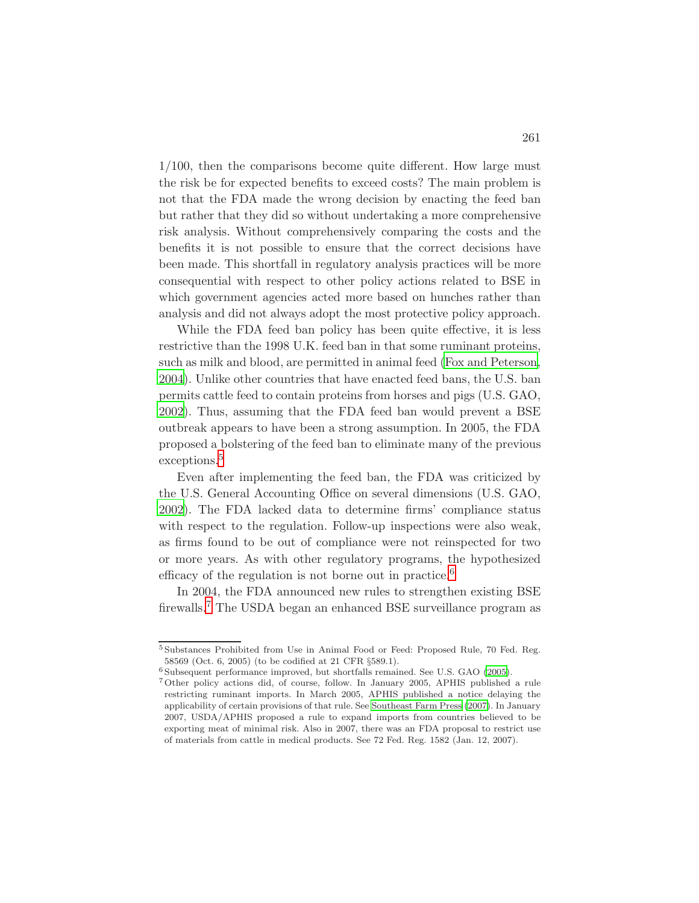1/100, then the comparisons become quite different. How large must the risk be for expected benefits to exceed costs? The main problem is not that the FDA made the wrong decision by enacting the feed ban but rather that they did so without undertaking a more comprehensive risk analysis. Without comprehensively comparing the costs and the benefits it is not possible to ensure that the correct decisions have been made. This shortfall in regulatory analysis practices will be more consequential with respect to other policy actions related to BSE in which government agencies acted more based on hunches rather than analysis and did not always adopt the most protective policy approach.

While the FDA feed ban policy has been quite effective, it is less restrictive than the 1998 U.K. feed ban in that some ruminant proteins, such as milk and blood, are permitted in animal feed [\(Fox and Peterson,](#page-78-3) [2004\)](#page-78-3). Unlike other countries that have enacted feed bans, the U.S. ban permits cattle feed to contain proteins from horses and pigs (U.S. GAO, [2002\)](#page-82-1). Thus, assuming that the FDA feed ban would prevent a BSE outbreak appears to have been a strong assumption. In 2005, the FDA proposed a bolstering of the feed ban to eliminate many of the previous exceptions.<sup>[5](#page-32-0)</sup>

Even after implementing the feed ban, the FDA was criticized by the U.S. General Accounting Office on several dimensions (U.S. GAO, [2002\)](#page-82-1). The FDA lacked data to determine firms' compliance status with respect to the regulation. Follow-up inspections were also weak, as firms found to be out of compliance were not reinspected for two or more years. As with other regulatory programs, the hypothesized efficacy of the regulation is not borne out in practice.<sup>[6](#page-32-1)</sup>

In 2004, the FDA announced new rules to strengthen existing BSE firewalls.[7](#page-32-2) The USDA began an enhanced BSE surveillance program as

<span id="page-32-0"></span><sup>5</sup> Substances Prohibited from Use in Animal Food or Feed: Proposed Rule, 70 Fed. Reg. 58569 (Oct. 6, 2005) (to be codified at 21 CFR §589.1). <sup>6</sup> Subsequent performance improved, but shortfalls remained. See U.S. GAO [\(2005\)](#page-83-3).

<span id="page-32-2"></span><span id="page-32-1"></span><sup>7</sup> Other policy actions did, of course, follow. In January 2005, APHIS published a rule restricting ruminant imports. In March 2005, APHIS published a notice delaying the applicability of certain provisions of that rule. See [Southeast Farm Press](#page-82-2) [\(2007\)](#page-82-2). In January 2007, USDA/APHIS proposed a rule to expand imports from countries believed to be exporting meat of minimal risk. Also in 2007, there was an FDA proposal to restrict use of materials from cattle in medical products. See 72 Fed. Reg. 1582 (Jan. 12, 2007).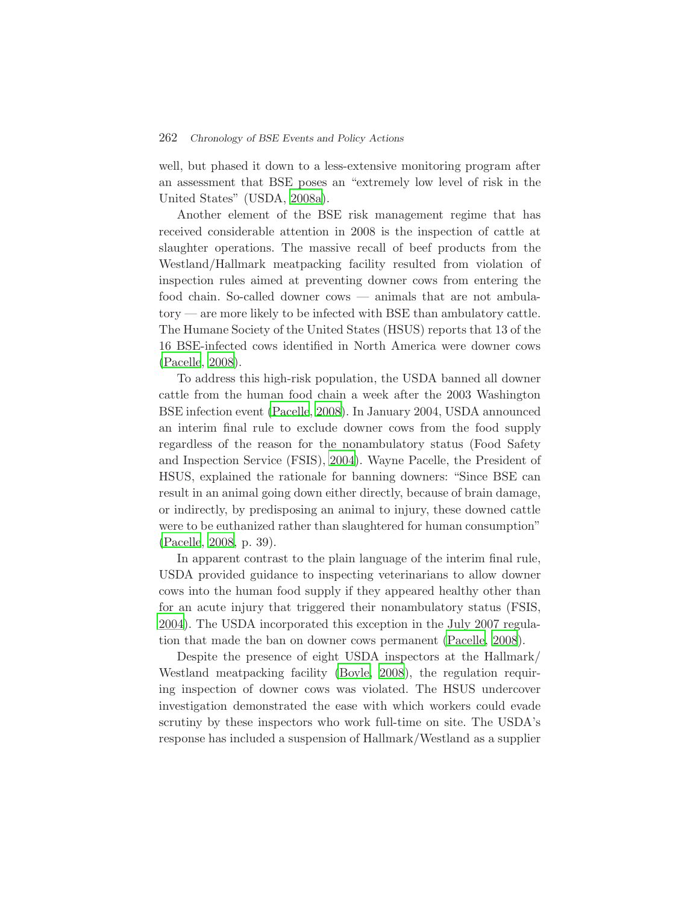### 262 *Chronology of BSE Events and Policy Actions*

well, but phased it down to a less-extensive monitoring program after an assessment that BSE poses an "extremely low level of risk in the United States" (USDA, [2008a\)](#page-82-3).

Another element of the BSE risk management regime that has received considerable attention in 2008 is the inspection of cattle at slaughter operations. The massive recall of beef products from the Westland/Hallmark meatpacking facility resulted from violation of inspection rules aimed at preventing downer cows from entering the food chain. So-called downer cows — animals that are not ambulatory — are more likely to be infected with BSE than ambulatory cattle. The Humane Society of the United States (HSUS) reports that 13 of the 16 BSE-infected cows identified in North America were downer cows [\(Pacelle](#page-81-1), [2008\)](#page-81-1).

To address this high-risk population, the USDA banned all downer cattle from the human food chain a week after the 2003 Washington BSE infection event [\(Pacelle](#page-81-1), [2008\)](#page-81-1). In January 2004, USDA announced an interim final rule to exclude downer cows from the food supply regardless of the reason for the nonambulatory status (Food Safety and Inspection Service (FSIS), [2004\)](#page-78-5). Wayne Pacelle, the President of HSUS, explained the rationale for banning downers: "Since BSE can result in an animal going down either directly, because of brain damage, or indirectly, by predisposing an animal to injury, these downed cattle were to be euthanized rather than slaughtered for human consumption" [\(Pacelle](#page-81-1), [2008,](#page-81-1) p. 39).

In apparent contrast to the plain language of the interim final rule, USDA provided guidance to inspecting veterinarians to allow downer cows into the human food supply if they appeared healthy other than for an acute injury that triggered their nonambulatory status (FSIS, [2004\)](#page-78-5). The USDA incorporated this exception in the July 2007 regulation that made the ban on downer cows permanent [\(Pacelle, 2008](#page-81-1)).

Despite the presence of eight USDA inspectors at the Hallmark/ Westland meatpacking facility [\(Boyle, 2008](#page-75-3)), the regulation requiring inspection of downer cows was violated. The HSUS undercover investigation demonstrated the ease with which workers could evade scrutiny by these inspectors who work full-time on site. The USDA's response has included a suspension of Hallmark/Westland as a supplier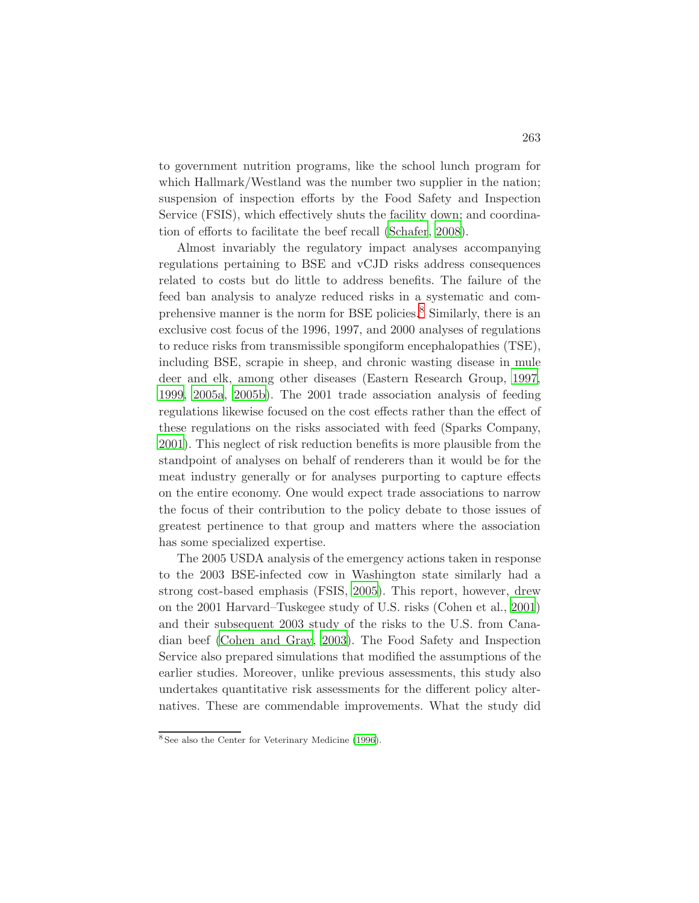to government nutrition programs, like the school lunch program for which Hallmark/Westland was the number two supplier in the nation; suspension of inspection efforts by the Food Safety and Inspection Service (FSIS), which effectively shuts the facility down; and coordination of efforts to facilitate the beef recall [\(Schafer](#page-81-0), [2008\)](#page-81-0).

Almost invariably the regulatory impact analyses accompanying regulations pertaining to BSE and vCJD risks address consequences related to costs but do little to address benefits. The failure of the feed ban analysis to analyze reduced risks in a systematic and com-prehensive manner is the norm for BSE policies.<sup>[8](#page-34-0)</sup> Similarly, there is an exclusive cost focus of the 1996, 1997, and 2000 analyses of regulations to reduce risks from transmissible spongiform encephalopathies (TSE), including BSE, scrapie in sheep, and chronic wasting disease in mule deer and elk, among other diseases (Eastern Research Group, [1997,](#page-77-2) [1999,](#page-77-3) [2005a](#page-77-4), [2005b\)](#page-77-5). The 2001 trade association analysis of feeding regulations likewise focused on the cost effects rather than the effect of these regulations on the risks associated with feed (Sparks Company, [2001\)](#page-82-4). This neglect of risk reduction benefits is more plausible from the standpoint of analyses on behalf of renderers than it would be for the meat industry generally or for analyses purporting to capture effects on the entire economy. One would expect trade associations to narrow the focus of their contribution to the policy debate to those issues of greatest pertinence to that group and matters where the association has some specialized expertise.

The 2005 USDA analysis of the emergency actions taken in response to the 2003 BSE-infected cow in Washington state similarly had a strong cost-based emphasis (FSIS, [2005\)](#page-78-6). This report, however, drew on the 2001 Harvard–Tuskegee study of U.S. risks (Cohen et al., [2001](#page-76-0)) and their subsequent 2003 study of the risks to the U.S. from Canadian beef [\(Cohen and Gray](#page-76-3), [2003\)](#page-76-3). The Food Safety and Inspection Service also prepared simulations that modified the assumptions of the earlier studies. Moreover, unlike previous assessments, this study also undertakes quantitative risk assessments for the different policy alternatives. These are commendable improvements. What the study did

<span id="page-34-0"></span><sup>8</sup> See also the Center for Veterinary Medicine [\(1996\)](#page-75-4).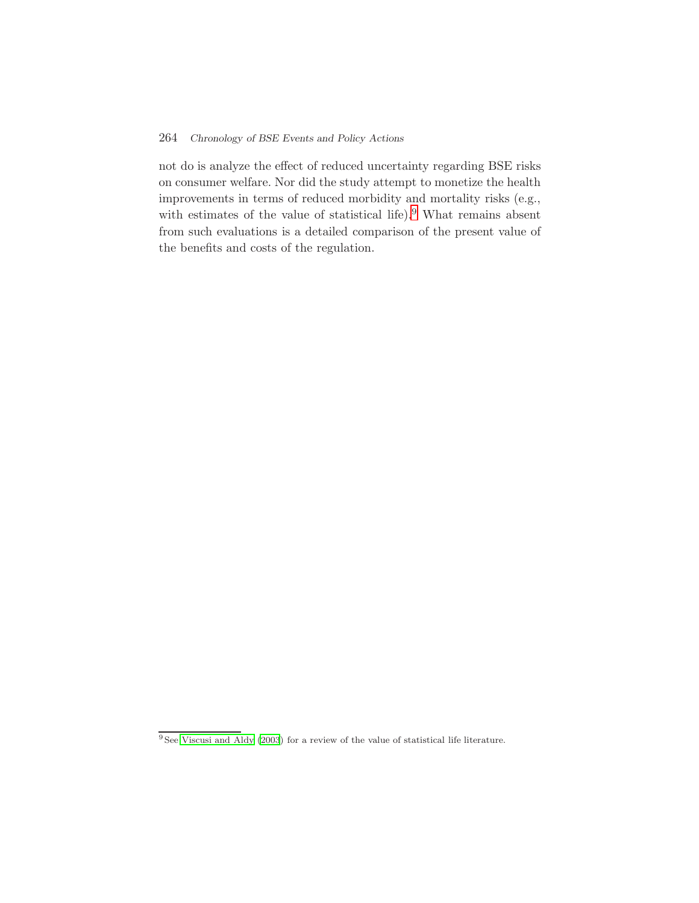### 264 *Chronology of BSE Events and Policy Actions*

not do is analyze the effect of reduced uncertainty regarding BSE risks on consumer welfare. Nor did the study attempt to monetize the health improvements in terms of reduced morbidity and mortality risks (e.g., with estimates of the value of statistical life).<sup>[9](#page-35-0)</sup> What remains absent from such evaluations is a detailed comparison of the present value of the benefits and costs of the regulation.

<span id="page-35-0"></span> $\frac{9}{9}$  See [Viscusi and Aldy](#page-83-4) [\(2003](#page-83-4)) for a review of the value of statistical life literature.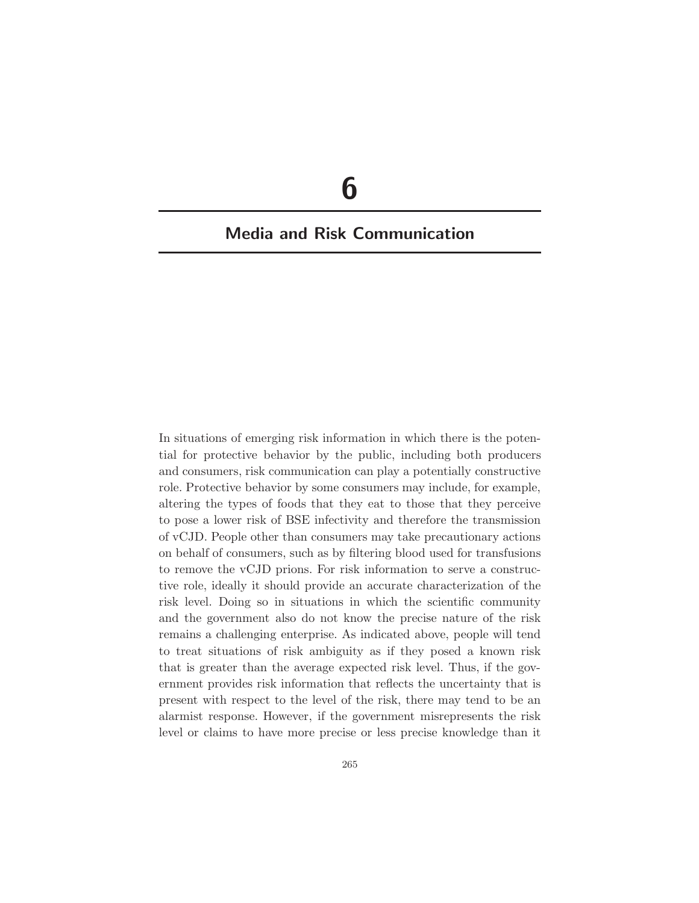# **6**

### **Media and Risk Communication**

In situations of emerging risk information in which there is the potential for protective behavior by the public, including both producers and consumers, risk communication can play a potentially constructive role. Protective behavior by some consumers may include, for example, altering the types of foods that they eat to those that they perceive to pose a lower risk of BSE infectivity and therefore the transmission of vCJD. People other than consumers may take precautionary actions on behalf of consumers, such as by filtering blood used for transfusions to remove the vCJD prions. For risk information to serve a constructive role, ideally it should provide an accurate characterization of the risk level. Doing so in situations in which the scientific community and the government also do not know the precise nature of the risk remains a challenging enterprise. As indicated above, people will tend to treat situations of risk ambiguity as if they posed a known risk that is greater than the average expected risk level. Thus, if the government provides risk information that reflects the uncertainty that is present with respect to the level of the risk, there may tend to be an alarmist response. However, if the government misrepresents the risk level or claims to have more precise or less precise knowledge than it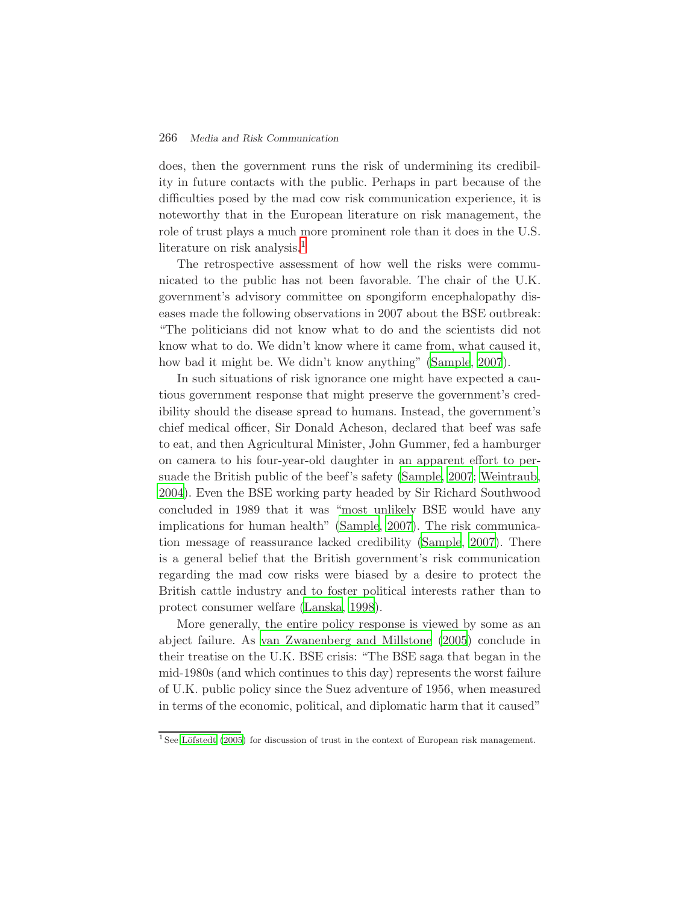### 266 *Media and Risk Communication*

does, then the government runs the risk of undermining its credibility in future contacts with the public. Perhaps in part because of the difficulties posed by the mad cow risk communication experience, it is noteworthy that in the European literature on risk management, the role of trust plays a much more prominent role than it does in the U.S. literature on risk analysis.<sup>[1](#page-37-0)</sup>

The retrospective assessment of how well the risks were communicated to the public has not been favorable. The chair of the U.K. government's advisory committee on spongiform encephalopathy diseases made the following observations in 2007 about the BSE outbreak: "The politicians did not know what to do and the scientists did not know what to do. We didn't know where it came from, what caused it, how bad it might be. We didn't know anything" [\(Sample](#page-81-0), [2007](#page-81-0)).

In such situations of risk ignorance one might have expected a cautious government response that might preserve the government's credibility should the disease spread to humans. Instead, the government's chief medical officer, Sir Donald Acheson, declared that beef was safe to eat, and then Agricultural Minister, John Gummer, fed a hamburger on camera to his four-year-old daughter in an apparent effort to persuade the British public of the beef's safety [\(Sample, 2007](#page-81-0); [Weintraub,](#page-83-0) [2004\)](#page-83-0). Even the BSE working party headed by Sir Richard Southwood concluded in 1989 that it was "most unlikely BSE would have any implications for human health" [\(Sample](#page-81-0), [2007\)](#page-81-0). The risk communication message of reassurance lacked credibility [\(Sample](#page-81-0), [2007\)](#page-81-0). There is a general belief that the British government's risk communication regarding the mad cow risks were biased by a desire to protect the British cattle industry and to foster political interests rather than to protect consumer welfare [\(Lanska, 1998](#page-80-0)).

More generally, the entire policy response is viewed by some as an abject failure. As [van Zwanenberg and Millstone](#page-83-1) [\(2005](#page-83-1)) conclude in their treatise on the U.K. BSE crisis: "The BSE saga that began in the mid-1980s (and which continues to this day) represents the worst failure of U.K. public policy since the Suez adventure of 1956, when measured in terms of the economic, political, and diplomatic harm that it caused"

<span id="page-37-0"></span><sup>&</sup>lt;sup>1</sup> See Löfstedt [\(2005\)](#page-80-1) for discussion of trust in the context of European risk management.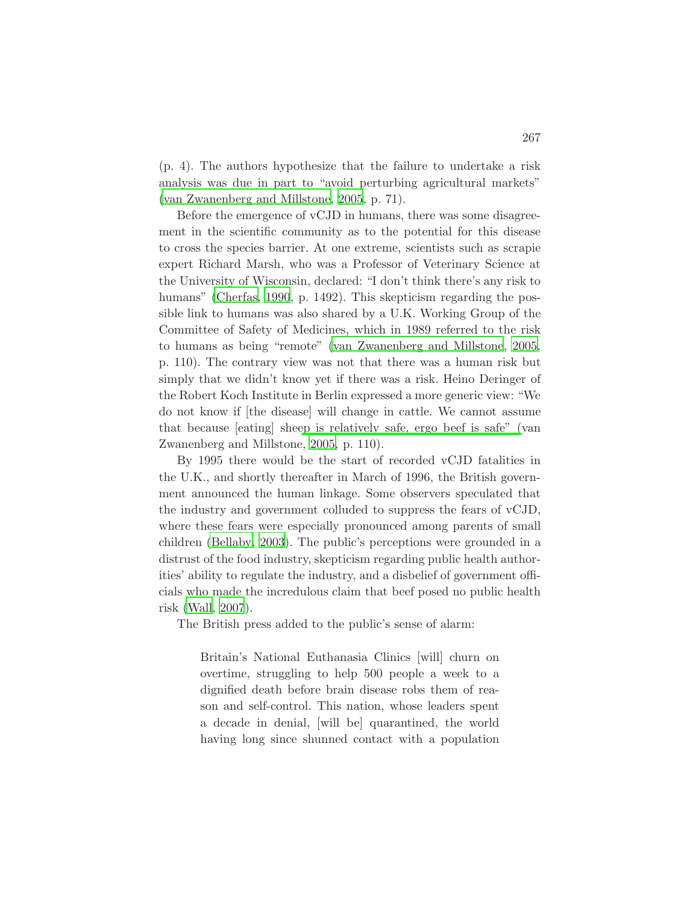(p. 4). The authors hypothesize that the failure to undertake a risk analysis was due in part to "avoid perturbing agricultural markets" [\(van Zwanenberg and Millstone, 2005](#page-83-1), p. 71).

Before the emergence of vCJD in humans, there was some disagreement in the scientific community as to the potential for this disease to cross the species barrier. At one extreme, scientists such as scrapie expert Richard Marsh, who was a Professor of Veterinary Science at the University of Wisconsin, declared: "I don't think there's any risk to humans" [\(Cherfas, 1990](#page-76-0), p. 1492). This skepticism regarding the possible link to humans was also shared by a U.K. Working Group of the Committee of Safety of Medicines, which in 1989 referred to the risk to humans as being "remote" [\(van Zwanenberg and Millstone](#page-83-1), [2005,](#page-83-1) p. 110). The contrary view was not that there was a human risk but simply that we didn't know yet if there was a risk. Heino Deringer of the Robert Koch Institute in Berlin expressed a more generic view: "We do not know if [the disease] will change in cattle. We cannot assume that because [eating] she[ep is relatively safe, ergo beef is safe" \(](#page-83-1)van Zwanenberg and Millstone, [2005,](#page-83-1) p. 110).

By 1995 there would be the start of recorded vCJD fatalities in the U.K., and shortly thereafter in March of 1996, the British government announced the human linkage. Some observers speculated that the industry and government colluded to suppress the fears of vCJD, where these fears were especially pronounced among parents of small children [\(Bellaby, 2003](#page-74-0)). The public's perceptions were grounded in a distrust of the food industry, skepticism regarding public health authorities' ability to regulate the industry, and a disbelief of government officials who made the incredulous claim that beef posed no public health risk [\(Wall, 2007](#page-83-2)).

The British press added to the public's sense of alarm:

Britain's National Euthanasia Clinics [will] churn on overtime, struggling to help 500 people a week to a dignified death before brain disease robs them of reason and self-control. This nation, whose leaders spent a decade in denial, [will be] quarantined, the world having long since shunned contact with a population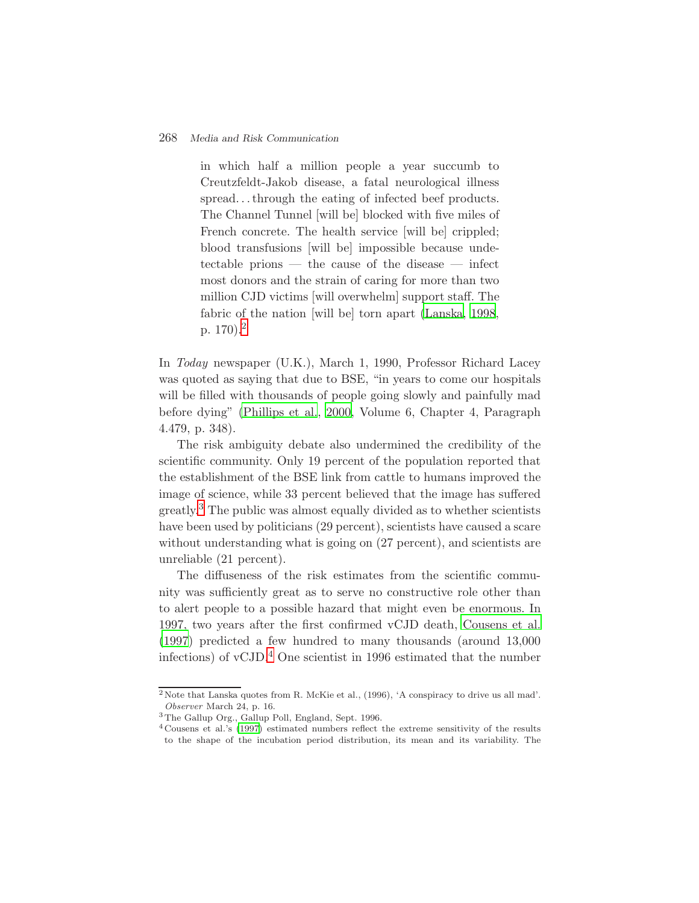### 268 *Media and Risk Communication*

in which half a million people a year succumb to Creutzfeldt-Jakob disease, a fatal neurological illness spread. . . through the eating of infected beef products. The Channel Tunnel [will be] blocked with five miles of French concrete. The health service [will be] crippled; blood transfusions [will be] impossible because undetectable prions — the cause of the disease — infect most donors and the strain of caring for more than two million CJD victims [will overwhelm] support staff. The fabric of the nation [will be] torn apart [\(Lanska, 1998](#page-80-0), p. 170).[2](#page-39-0)

In *Today* newspaper (U.K.), March 1, 1990, Professor Richard Lacey was quoted as saying that due to BSE, "in years to come our hospitals will be filled with thousands of people going slowly and painfully mad before dying" [\(Phillips et al.](#page-81-1), [2000,](#page-81-1) Volume 6, Chapter 4, Paragraph 4.479, p. 348).

The risk ambiguity debate also undermined the credibility of the scientific community. Only 19 percent of the population reported that the establishment of the BSE link from cattle to humans improved the image of science, while 33 percent believed that the image has suffered greatly.[3](#page-39-1) The public was almost equally divided as to whether scientists have been used by politicians (29 percent), scientists have caused a scare without understanding what is going on  $(27$  percent), and scientists are unreliable (21 percent).

The diffuseness of the risk estimates from the scientific community was sufficiently great as to serve no constructive role other than to alert people to a possible hazard that might even be enormous. In 1997, two years after the first confirmed vCJD death, [Cousens et al.](#page-77-0) [\(1997](#page-77-0)) predicted a few hundred to many thousands (around 13,000 infections) of  $vCJD$ .<sup>[4](#page-39-2)</sup> One scientist in 1996 estimated that the number

<sup>2</sup> Note that Lanska quotes from R. McKie et al., (1996), 'A conspiracy to drive us all mad'. *Observer* March 24, p. 16.

<span id="page-39-0"></span><sup>3</sup> The Gallup Org., Gallup Poll, England, Sept. 1996.

<span id="page-39-2"></span><span id="page-39-1"></span><sup>4</sup> Cousens et al.'s [\(1997\)](#page-77-0) estimated numbers reflect the extreme sensitivity of the results to the shape of the incubation period distribution, its mean and its variability. The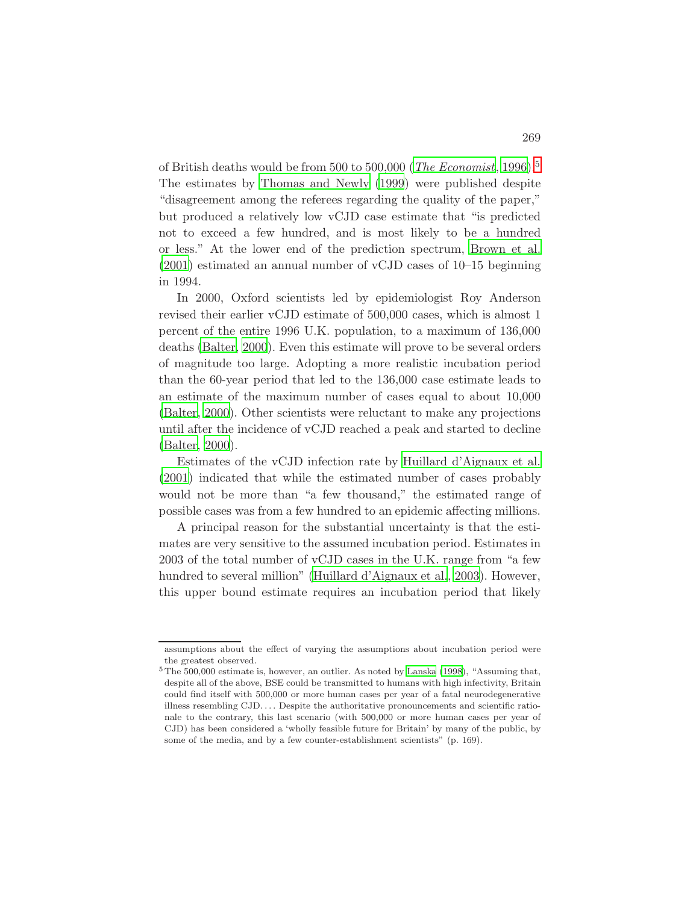of British deaths would be from 500 to 500,000 (*[The Economist](#page-82-0)*, [1996\)](#page-82-0).[5](#page-40-0) The estimates by [Thomas and Newly](#page-82-1) [\(1999](#page-82-1)) were published despite "disagreement among the referees regarding the quality of the paper," but produced a relatively low vCJD case estimate that "is predicted not to exceed a few hundred, and is most likely to be a hundred or less." At the lower end of the prediction spectrum, [Brown et al.](#page-75-0) [\(2001](#page-75-0)) estimated an annual number of vCJD cases of 10–15 beginning in 1994.

In 2000, Oxford scientists led by epidemiologist Roy Anderson revised their earlier vCJD estimate of 500,000 cases, which is almost 1 percent of the entire 1996 U.K. population, to a maximum of 136,000 deaths [\(Balter, 2000](#page-74-1)). Even this estimate will prove to be several orders of magnitude too large. Adopting a more realistic incubation period than the 60-year period that led to the 136,000 case estimate leads to an estimate of the maximum number of cases equal to about 10,000 [\(Balter, 2000\)](#page-74-1). Other scientists were reluctant to make any projections until after the incidence of vCJD reached a peak and started to decline [\(Balter, 2000](#page-74-1)).

Estimates of the vCJD infection rate by [Huillard d'Aignaux et al.](#page-79-0) [\(2001](#page-79-0)) indicated that while the estimated number of cases probably would not be more than "a few thousand," the estimated range of possible cases was from a few hundred to an epidemic affecting millions.

A principal reason for the substantial uncertainty is that the estimates are very sensitive to the assumed incubation period. Estimates in 2003 of the total number of vCJD cases in the U.K. range from "a few hundred to several million" [\(Huillard d'Aignaux et al.](#page-79-1), [2003](#page-79-1)). However, this upper bound estimate requires an incubation period that likely

assumptions about the effect of varying the assumptions about incubation period were the greatest observed.

<span id="page-40-0"></span><sup>5</sup> The 500,000 estimate is, however, an outlier. As noted by [Lanska](#page-80-0) [\(1998\)](#page-80-0), "Assuming that, despite all of the above, BSE could be transmitted to humans with high infectivity, Britain could find itself with 500,000 or more human cases per year of a fatal neurodegenerative illness resembling CJD. . . . Despite the authoritative pronouncements and scientific rationale to the contrary, this last scenario (with 500,000 or more human cases per year of CJD) has been considered a 'wholly feasible future for Britain' by many of the public, by some of the media, and by a few counter-establishment scientists" (p. 169).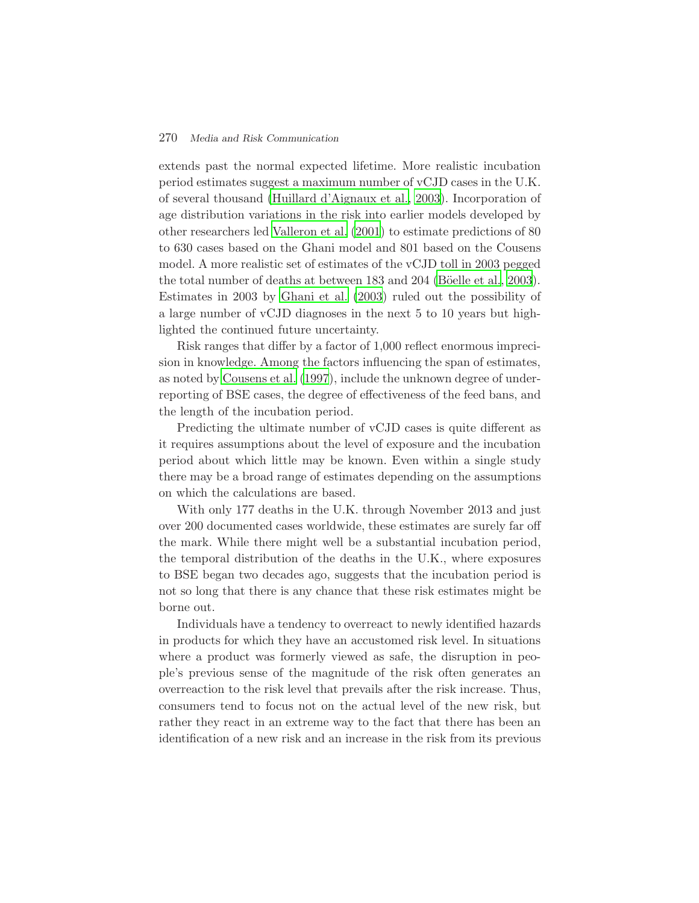### 270 *Media and Risk Communication*

extends past the normal expected lifetime. More realistic incubation period estimates suggest a maximum number of vCJD cases in the U.K. of several thousand [\(Huillard d'Aignaux et al., 2003\)](#page-79-1). Incorporation of age distribution variations in the risk into earlier models developed by other researchers led [Valleron et al.](#page-83-3) [\(2001](#page-83-3)) to estimate predictions of 80 to 630 cases based on the Ghani model and 801 based on the Cousens model. A more realistic set of estimates of the vCJD toll in 2003 pegged the total number of deaths at between 183 and 204 (Böelle et al., 2003). Estimates in 2003 by [Ghani et al.](#page-78-0) [\(2003](#page-78-0)) ruled out the possibility of a large number of vCJD diagnoses in the next 5 to 10 years but highlighted the continued future uncertainty.

Risk ranges that differ by a factor of 1,000 reflect enormous imprecision in knowledge. Among the factors influencing the span of estimates, as noted by [Cousens et al.](#page-77-0) [\(1997](#page-77-0)), include the unknown degree of underreporting of BSE cases, the degree of effectiveness of the feed bans, and the length of the incubation period.

Predicting the ultimate number of vCJD cases is quite different as it requires assumptions about the level of exposure and the incubation period about which little may be known. Even within a single study there may be a broad range of estimates depending on the assumptions on which the calculations are based.

With only 177 deaths in the U.K. through November 2013 and just over 200 documented cases worldwide, these estimates are surely far off the mark. While there might well be a substantial incubation period, the temporal distribution of the deaths in the U.K., where exposures to BSE began two decades ago, suggests that the incubation period is not so long that there is any chance that these risk estimates might be borne out.

Individuals have a tendency to overreact to newly identified hazards in products for which they have an accustomed risk level. In situations where a product was formerly viewed as safe, the disruption in people's previous sense of the magnitude of the risk often generates an overreaction to the risk level that prevails after the risk increase. Thus, consumers tend to focus not on the actual level of the new risk, but rather they react in an extreme way to the fact that there has been an identification of a new risk and an increase in the risk from its previous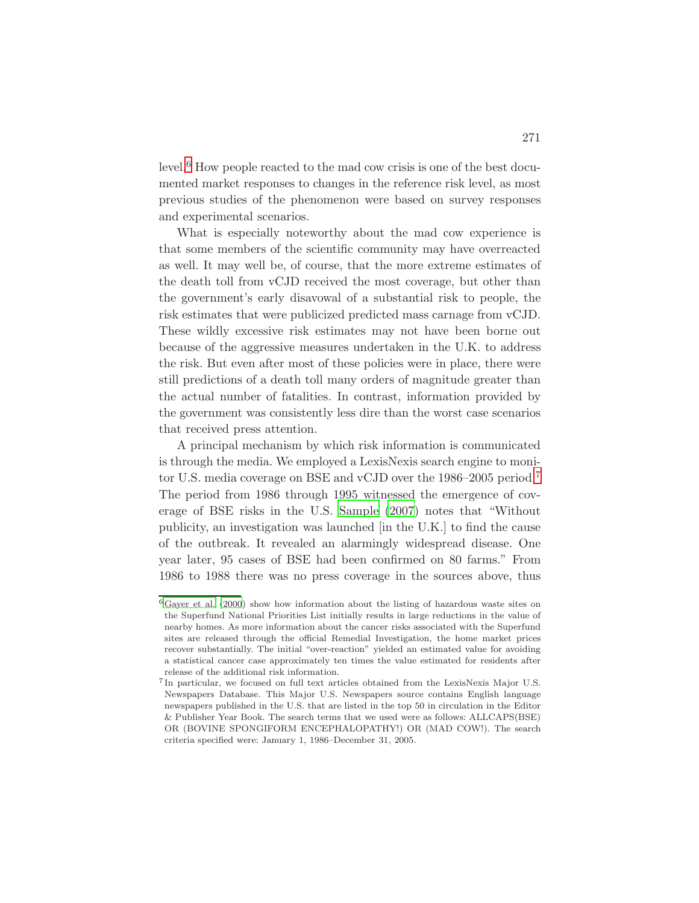level.[6](#page-42-0) How people reacted to the mad cow crisis is one of the best documented market responses to changes in the reference risk level, as most previous studies of the phenomenon were based on survey responses and experimental scenarios.

What is especially noteworthy about the mad cow experience is that some members of the scientific community may have overreacted as well. It may well be, of course, that the more extreme estimates of the death toll from vCJD received the most coverage, but other than the government's early disavowal of a substantial risk to people, the risk estimates that were publicized predicted mass carnage from vCJD. These wildly excessive risk estimates may not have been borne out because of the aggressive measures undertaken in the U.K. to address the risk. But even after most of these policies were in place, there were still predictions of a death toll many orders of magnitude greater than the actual number of fatalities. In contrast, information provided by the government was consistently less dire than the worst case scenarios that received press attention.

A principal mechanism by which risk information is communicated is through the media. We employed a LexisNexis search engine to monitor U.S. media coverage on BSE and vCJD over the 1986–2005 period.[7](#page-42-1) The period from 1986 through 1995 witnessed the emergence of coverage of BSE risks in the U.S. [Sample](#page-81-0) [\(2007\)](#page-81-0) notes that "Without publicity, an investigation was launched [in the U.K.] to find the cause of the outbreak. It revealed an alarmingly widespread disease. One year later, 95 cases of BSE had been confirmed on 80 farms." From 1986 to 1988 there was no press coverage in the sources above, thus

<span id="page-42-0"></span> ${}^{6}$  [Gayer et al.](#page-78-1) [\(2000](#page-78-1)) show how information about the listing of hazardous waste sites on the Superfund National Priorities List initially results in large reductions in the value of nearby homes. As more information about the cancer risks associated with the Superfund sites are released through the official Remedial Investigation, the home market prices recover substantially. The initial "over-reaction" yielded an estimated value for avoiding a statistical cancer case approximately ten times the value estimated for residents after release of the additional risk information.

<span id="page-42-1"></span><sup>7</sup> In particular, we focused on full text articles obtained from the LexisNexis Major U.S. Newspapers Database. This Major U.S. Newspapers source contains English language newspapers published in the U.S. that are listed in the top 50 in circulation in the Editor & Publisher Year Book. The search terms that we used were as follows: ALLCAPS(BSE) OR (BOVINE SPONGIFORM ENCEPHALOPATHY!) OR (MAD COW!). The search criteria specified were: January 1, 1986–December 31, 2005.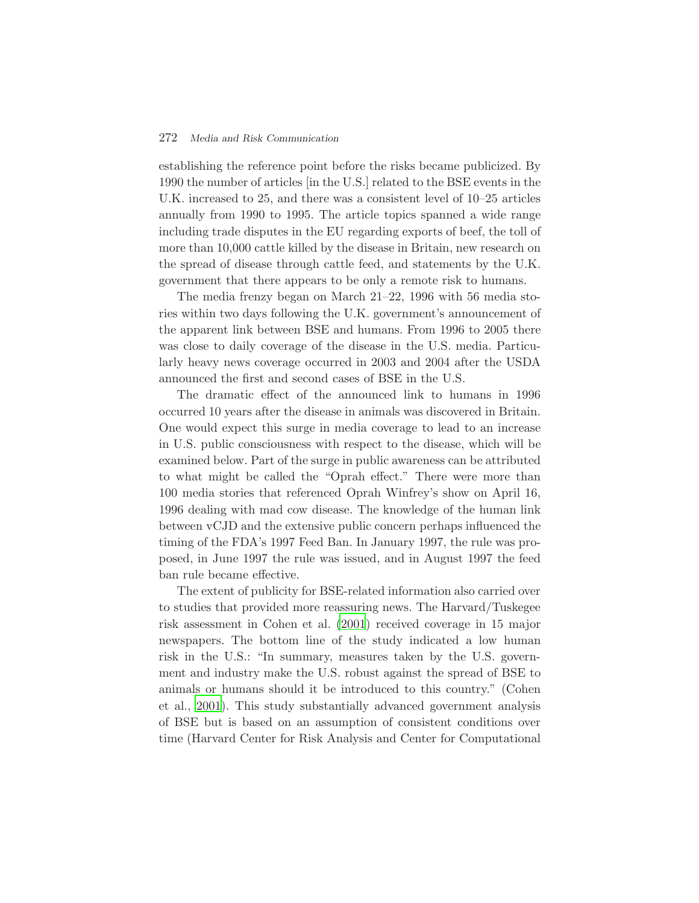### 272 *Media and Risk Communication*

establishing the reference point before the risks became publicized. By 1990 the number of articles [in the U.S.] related to the BSE events in the U.K. increased to 25, and there was a consistent level of 10–25 articles annually from 1990 to 1995. The article topics spanned a wide range including trade disputes in the EU regarding exports of beef, the toll of more than 10,000 cattle killed by the disease in Britain, new research on the spread of disease through cattle feed, and statements by the U.K. government that there appears to be only a remote risk to humans.

The media frenzy began on March 21–22, 1996 with 56 media stories within two days following the U.K. government's announcement of the apparent link between BSE and humans. From 1996 to 2005 there was close to daily coverage of the disease in the U.S. media. Particularly heavy news coverage occurred in 2003 and 2004 after the USDA announced the first and second cases of BSE in the U.S.

The dramatic effect of the announced link to humans in 1996 occurred 10 years after the disease in animals was discovered in Britain. One would expect this surge in media coverage to lead to an increase in U.S. public consciousness with respect to the disease, which will be examined below. Part of the surge in public awareness can be attributed to what might be called the "Oprah effect." There were more than 100 media stories that referenced Oprah Winfrey's show on April 16, 1996 dealing with mad cow disease. The knowledge of the human link between vCJD and the extensive public concern perhaps influenced the timing of the FDA's 1997 Feed Ban. In January 1997, the rule was proposed, in June 1997 the rule was issued, and in August 1997 the feed ban rule became effective.

The extent of publicity for BSE-related information also carried over to studies that provided more reassuring news. The Harvard/Tuskegee risk assessment in Cohen et al. [\(2001](#page-76-1)) received coverage in 15 major newspapers. The bottom line of the study indicated a low human risk in the U.S.: "In summary, measures taken by the U.S. government and industry make the U.S. robust against the spread of BSE to animals or humans should it be introduced to this country." (Cohen et al., [2001\)](#page-76-1). This study substantially advanced government analysis of BSE but is based on an assumption of consistent conditions over time (Harvard Center for Risk Analysis and Center for Computational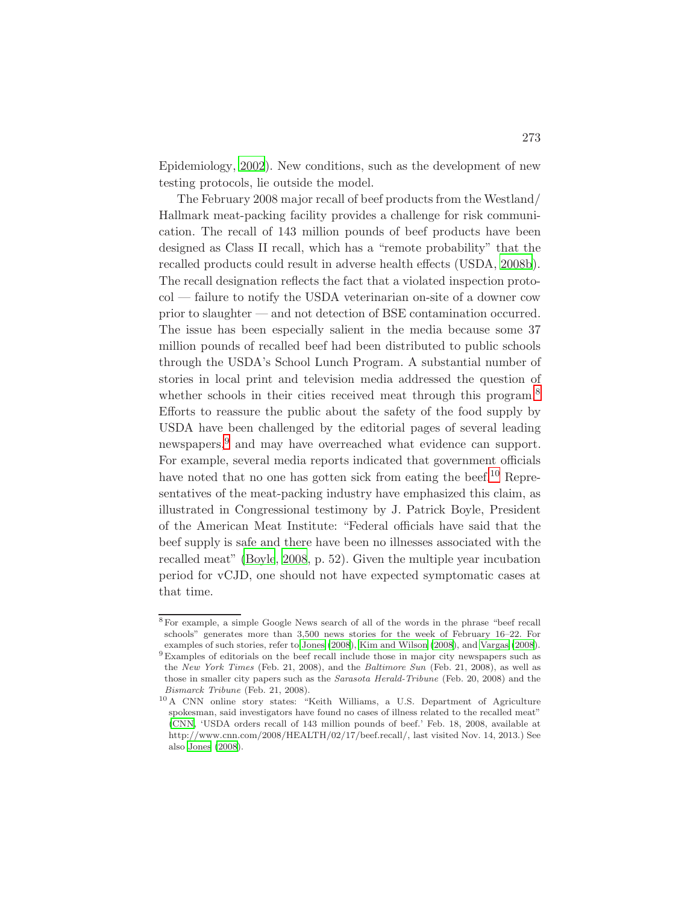Epidemiology, [2002](#page-79-2)). New conditions, such as the development of new testing protocols, lie outside the model.

The February 2008 major recall of beef products from the Westland/ Hallmark meat-packing facility provides a challenge for risk communication. The recall of 143 million pounds of beef products have been designed as Class II recall, which has a "remote probability" that the recalled products could result in adverse health effects (USDA, [2008b](#page-82-2)). The recall designation reflects the fact that a violated inspection protocol — failure to notify the USDA veterinarian on-site of a downer cow prior to slaughter — and not detection of BSE contamination occurred. The issue has been especially salient in the media because some 37 million pounds of recalled beef had been distributed to public schools through the USDA's School Lunch Program. A substantial number of stories in local print and television media addressed the question of whether schools in their cities received meat through this program.<sup>[8](#page-44-0)</sup> Efforts to reassure the public about the safety of the food supply by USDA have been challenged by the editorial pages of several leading newspapers,[9](#page-44-1) and may have overreached what evidence can support. For example, several media reports indicated that government officials have noted that no one has gotten sick from eating the beef.<sup>[10](#page-44-2)</sup> Representatives of the meat-packing industry have emphasized this claim, as illustrated in Congressional testimony by J. Patrick Boyle, President of the American Meat Institute: "Federal officials have said that the beef supply is safe and there have been no illnesses associated with the recalled meat" [\(Boyle](#page-75-2), [2008](#page-75-2), p. 52). Given the multiple year incubation period for vCJD, one should not have expected symptomatic cases at that time.

<span id="page-44-0"></span><sup>8</sup>For example, a simple Google News search of all of the words in the phrase "beef recall schools" generates more than 3,500 news stories for the week of February 16–22. For examples of such stories, refer to [Jones](#page-79-3) [\(2008\)](#page-79-3), [Kim and Wilson](#page-80-2) [\(2008\)](#page-80-2), and [Vargas](#page-83-4) [\(2008\)](#page-83-4).

<span id="page-44-1"></span><sup>9</sup> Examples of editorials on the beef recall include those in major city newspapers such as the *New York Times* (Feb. 21, 2008), and the *Baltimore Sun* (Feb. 21, 2008), as well as those in smaller city papers such as the *Sarasota Herald-Tribune* (Feb. 20, 2008) and the *Bismarck Tribune* (Feb. 21, 2008).

<span id="page-44-2"></span><sup>10</sup> A CNN online story states: "Keith Williams, a U.S. Department of Agriculture spokesman, said investigators have found no cases of illness related to the recalled meat" [\(CNN,](#page-76-2) 'USDA orders recall of 143 million pounds of beef.' Feb. 18, 2008, available at http://www.cnn.com/2008/HEALTH/02/17/beef.recall/, last visited Nov. 14, 2013.) See also [Jones](#page-79-3) [\(2008\)](#page-79-3).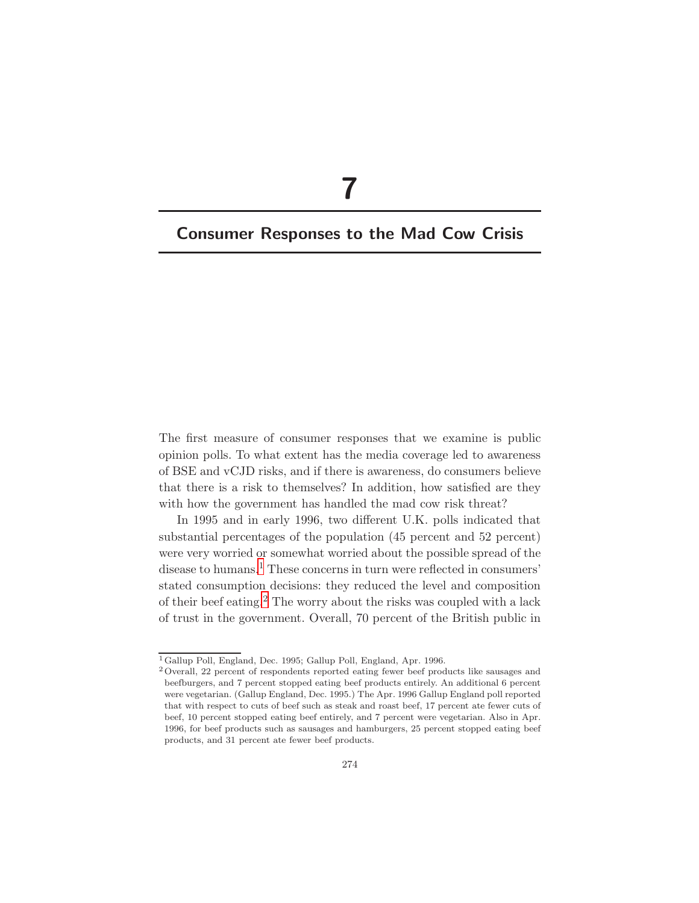# **7**

### **Consumer Responses to the Mad Cow Crisis**

The first measure of consumer responses that we examine is public opinion polls. To what extent has the media coverage led to awareness of BSE and vCJD risks, and if there is awareness, do consumers believe that there is a risk to themselves? In addition, how satisfied are they with how the government has handled the mad cow risk threat?

In 1995 and in early 1996, two different U.K. polls indicated that substantial percentages of the population (45 percent and 52 percent) were very worried or somewhat worried about the possible spread of the disease to humans.<sup>[1](#page-45-0)</sup> These concerns in turn were reflected in consumers' stated consumption decisions: they reduced the level and composition of their beef eating.[2](#page-45-1) The worry about the risks was coupled with a lack of trust in the government. Overall, 70 percent of the British public in

<sup>1</sup> Gallup Poll, England, Dec. 1995; Gallup Poll, England, Apr. 1996.

<span id="page-45-1"></span><span id="page-45-0"></span><sup>2</sup> Overall, 22 percent of respondents reported eating fewer beef products like sausages and beefburgers, and 7 percent stopped eating beef products entirely. An additional 6 percent were vegetarian. (Gallup England, Dec. 1995.) The Apr. 1996 Gallup England poll reported that with respect to cuts of beef such as steak and roast beef, 17 percent ate fewer cuts of beef, 10 percent stopped eating beef entirely, and 7 percent were vegetarian. Also in Apr. 1996, for beef products such as sausages and hamburgers, 25 percent stopped eating beef products, and 31 percent ate fewer beef products.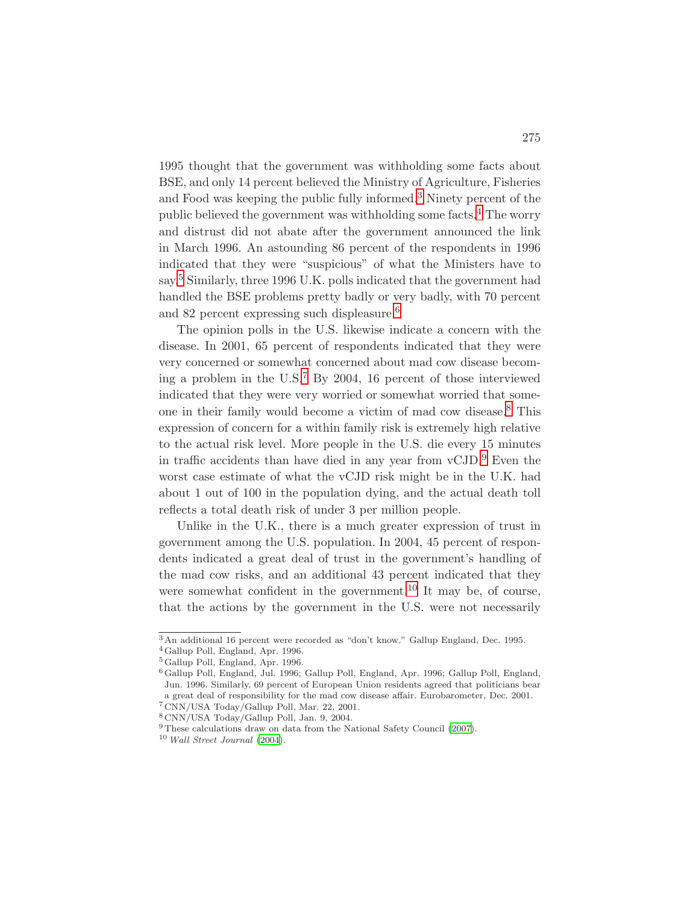1995 thought that the government was withholding some facts about BSE, and only 14 percent believed the Ministry of Agriculture, Fisheries and Food was keeping the public fully informed.[3](#page-46-0) Ninety percent of the public believed the government was withholding some facts.[4](#page-46-1) The worry and distrust did not abate after the government announced the link in March 1996. An astounding 86 percent of the respondents in 1996 indicated that they were "suspicious" of what the Ministers have to say.[5](#page-46-2) Similarly, three 1996 U.K. polls indicated that the government had handled the BSE problems pretty badly or very badly, with 70 percent and 82 percent expressing such displeasure.[6](#page-46-3)

The opinion polls in the U.S. likewise indicate a concern with the disease. In 2001, 65 percent of respondents indicated that they were very concerned or somewhat concerned about mad cow disease becoming a problem in the U.S.[7](#page-46-4) By 2004, 16 percent of those interviewed indicated that they were very worried or somewhat worried that someone in their family would become a victim of mad cow disease.[8](#page-46-5) This expression of concern for a within family risk is extremely high relative to the actual risk level. More people in the U.S. die every 15 minutes in traffic accidents than have died in any year from vCJD.[9](#page-46-6) Even the worst case estimate of what the vCJD risk might be in the U.K. had about 1 out of 100 in the population dying, and the actual death toll reflects a total death risk of under 3 per million people.

Unlike in the U.K., there is a much greater expression of trust in government among the U.S. population. In 2004, 45 percent of respondents indicated a great deal of trust in the government's handling of the mad cow risks, and an additional 43 percent indicated that they were somewhat confident in the government.<sup>[10](#page-46-7)</sup> It may be, of course, that the actions by the government in the U.S. were not necessarily

<sup>3</sup> An additional 16 percent were recorded as "don't know." Gallup England, Dec. 1995.

<span id="page-46-0"></span><sup>4</sup> Gallup Poll, England, Apr. 1996.

<span id="page-46-1"></span><sup>5</sup> Gallup Poll, England, Apr. 1996.

<span id="page-46-3"></span><span id="page-46-2"></span><sup>6</sup> Gallup Poll, England, Jul. 1996; Gallup Poll, England, Apr. 1996; Gallup Poll, England, Jun. 1996. Similarly, 69 percent of European Union residents agreed that politicians bear a great deal of responsibility for the mad cow disease affair. Eurobarometer, Dec. 2001.

<sup>7</sup> CNN/USA Today/Gallup Poll, Mar. 22, 2001.

<span id="page-46-4"></span><sup>8</sup> CNN/USA Today/Gallup Poll, Jan. 9, 2004.

<span id="page-46-5"></span><sup>&</sup>lt;sup>9</sup> These calculations draw on data from the National Safety Council [\(2007\)](#page-81-2).

<span id="page-46-7"></span><span id="page-46-6"></span><sup>10</sup>*Wall Street Journal* [\(2004\)](#page-83-5).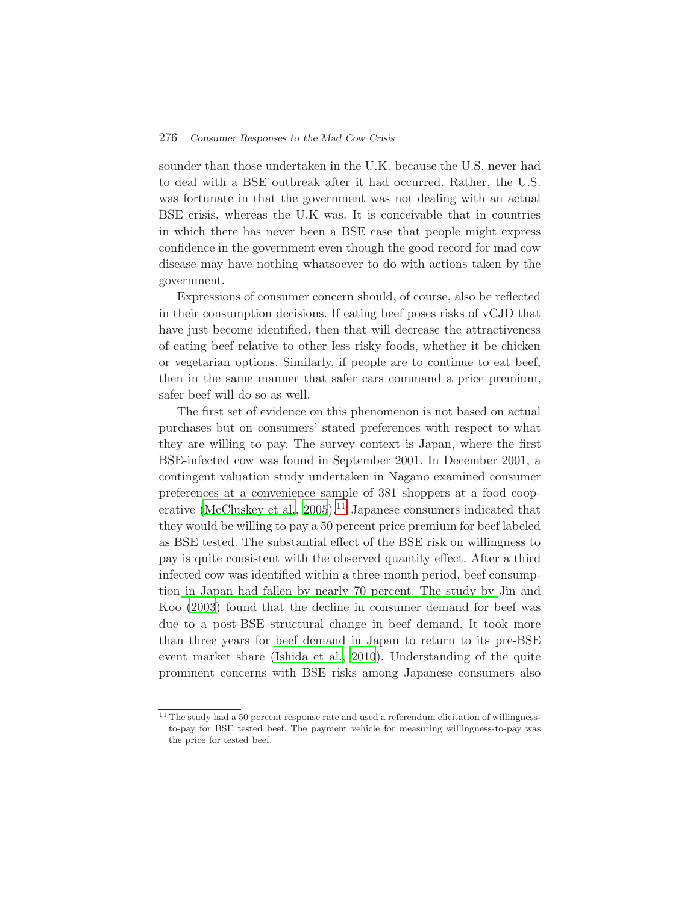#### 276 *Consumer Responses to the Mad Cow Crisis*

sounder than those undertaken in the U.K. because the U.S. never had to deal with a BSE outbreak after it had occurred. Rather, the U.S. was fortunate in that the government was not dealing with an actual BSE crisis, whereas the U.K was. It is conceivable that in countries in which there has never been a BSE case that people might express confidence in the government even though the good record for mad cow disease may have nothing whatsoever to do with actions taken by the government.

Expressions of consumer concern should, of course, also be reflected in their consumption decisions. If eating beef poses risks of vCJD that have just become identified, then that will decrease the attractiveness of eating beef relative to other less risky foods, whether it be chicken or vegetarian options. Similarly, if people are to continue to eat beef, then in the same manner that safer cars command a price premium, safer beef will do so as well.

The first set of evidence on this phenomenon is not based on actual purchases but on consumers' stated preferences with respect to what they are willing to pay. The survey context is Japan, where the first BSE-infected cow was found in September 2001. In December 2001, a contingent valuation study undertaken in Nagano examined consumer preferences at a convenience sample of 381 shoppers at a food coop-erative [\(McCluskey et al.](#page-80-3), [2005](#page-80-3)).<sup>[11](#page-47-0)</sup> Japanese consumers indicated that they would be willing to pay a 50 percent price premium for beef labeled as BSE tested. The substantial effect of the BSE risk on willingness to pay is quite consistent with the observed quantity effect. After a third infected cow was identified within a three-month period, beef consumption [in Japan had fallen by nearly 70 percent. The study by](#page-79-4) Jin and Koo [\(2003](#page-79-4)) found that the decline in consumer demand for beef was due to a post-BSE structural change in beef demand. It took more than three years for beef demand in Japan to return to its pre-BSE event market share [\(Ishida et al., 2010](#page-79-5)). Understanding of the quite prominent concerns with BSE risks among Japanese consumers also

<span id="page-47-0"></span> $11$  The study had a 50 percent response rate and used a referendum elicitation of willingnessto-pay for BSE tested beef. The payment vehicle for measuring willingness-to-pay was the price for tested beef.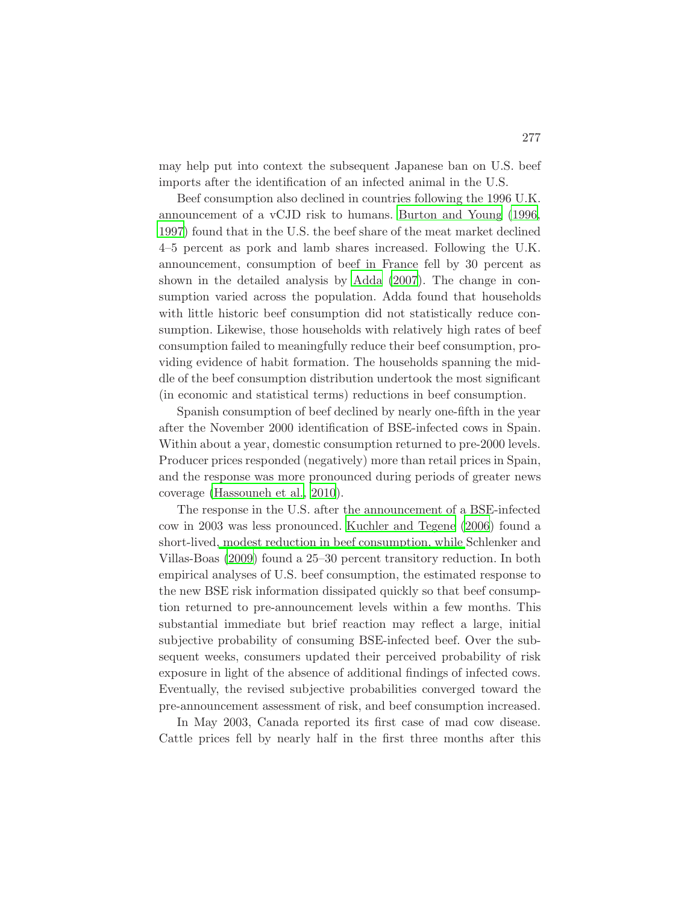may help put into context the subsequent Japanese ban on U.S. beef imports after the identification of an infected animal in the U.S.

Beef consumption also declined in countries following the 1996 U.K. announcement of a vCJD risk to humans. [Burton and Young](#page-75-3) [\(1996,](#page-75-3) [1997\)](#page-75-4) found that in the U.S. the beef share of the meat market declined 4–5 percent as pork and lamb shares increased. Following the U.K. announcement, consumption of beef in France fell by 30 percent as shown in the detailed analysis by [Adda](#page-74-2) [\(2007\)](#page-74-2). The change in consumption varied across the population. Adda found that households with little historic beef consumption did not statistically reduce consumption. Likewise, those households with relatively high rates of beef consumption failed to meaningfully reduce their beef consumption, providing evidence of habit formation. The households spanning the middle of the beef consumption distribution undertook the most significant (in economic and statistical terms) reductions in beef consumption.

Spanish consumption of beef declined by nearly one-fifth in the year after the November 2000 identification of BSE-infected cows in Spain. Within about a year, domestic consumption returned to pre-2000 levels. Producer prices responded (negatively) more than retail prices in Spain, and the response was more pronounced during periods of greater news coverage [\(Hassouneh et al., 2010](#page-79-6)).

The response in the U.S. after the announcement of a BSE-infected cow in 2003 was less pronounced. [Kuchler and Tegene](#page-80-4) [\(2006](#page-80-4)) found a short-lived[, modest reduction in beef consumption, while](#page-82-3) Schlenker and Villas-Boas [\(2009\)](#page-82-3) found a 25–30 percent transitory reduction. In both empirical analyses of U.S. beef consumption, the estimated response to the new BSE risk information dissipated quickly so that beef consumption returned to pre-announcement levels within a few months. This substantial immediate but brief reaction may reflect a large, initial subjective probability of consuming BSE-infected beef. Over the subsequent weeks, consumers updated their perceived probability of risk exposure in light of the absence of additional findings of infected cows. Eventually, the revised subjective probabilities converged toward the pre-announcement assessment of risk, and beef consumption increased.

In May 2003, Canada reported its first case of mad cow disease. Cattle prices fell by nearly half in the first three months after this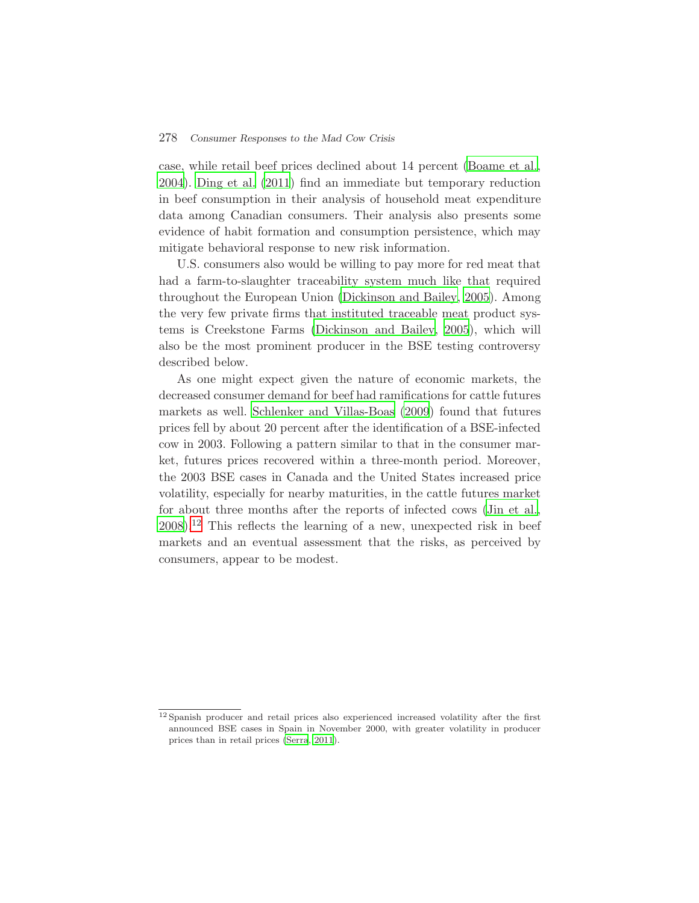#### 278 *Consumer Responses to the Mad Cow Crisis*

case, while retail beef prices declined about 14 percent [\(Boame et al.,](#page-75-5) [2004\)](#page-75-5). [Ding et al.](#page-77-1) [\(2011](#page-77-1)) find an immediate but temporary reduction in beef consumption in their analysis of household meat expenditure data among Canadian consumers. Their analysis also presents some evidence of habit formation and consumption persistence, which may mitigate behavioral response to new risk information.

U.S. consumers also would be willing to pay more for red meat that had a farm-to-slaughter traceability system much like that required throughout the European Union [\(Dickinson and Bailey, 2005\)](#page-77-2). Among the very few private firms that instituted traceable meat product systems is Creekstone Farms [\(Dickinson and Bailey, 2005](#page-77-2)), which will also be the most prominent producer in the BSE testing controversy described below.

As one might expect given the nature of economic markets, the decreased consumer demand for beef had ramifications for cattle futures markets as well. [Schlenker and Villas-Boas](#page-82-3) [\(2009](#page-82-3)) found that futures prices fell by about 20 percent after the identification of a BSE-infected cow in 2003. Following a pattern similar to that in the consumer market, futures prices recovered within a three-month period. Moreover, the 2003 BSE cases in Canada and the United States increased price volatility, especially for nearby maturities, in the cattle futures market for about three months after the reports of infected cows [\(Jin et al.,](#page-79-7)  $2008$ ).<sup>[12](#page-49-0)</sup> This reflects the learning of a new, unexpected risk in beef markets and an eventual assessment that the risks, as perceived by consumers, appear to be modest.

<span id="page-49-0"></span><sup>&</sup>lt;sup>12</sup> Spanish producer and retail prices also experienced increased volatility after the first announced BSE cases in Spain in November 2000, with greater volatility in producer prices than in retail prices [\(Serra](#page-82-4), [2011](#page-82-4)).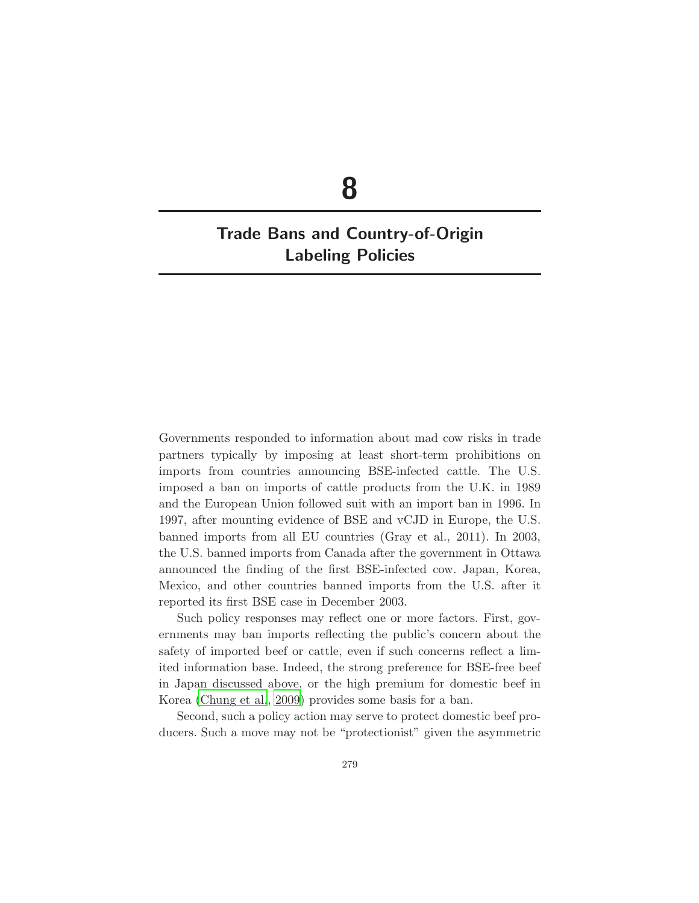## **Trade Bans and Country-of-Origin Labeling Policies**

Governments responded to information about mad cow risks in trade partners typically by imposing at least short-term prohibitions on imports from countries announcing BSE-infected cattle. The U.S. imposed a ban on imports of cattle products from the U.K. in 1989 and the European Union followed suit with an import ban in 1996. In 1997, after mounting evidence of BSE and vCJD in Europe, the U.S. banned imports from all EU countries (Gray et al., 2011). In 2003, the U.S. banned imports from Canada after the government in Ottawa announced the finding of the first BSE-infected cow. Japan, Korea, Mexico, and other countries banned imports from the U.S. after it reported its first BSE case in December 2003.

Such policy responses may reflect one or more factors. First, governments may ban imports reflecting the public's concern about the safety of imported beef or cattle, even if such concerns reflect a limited information base. Indeed, the strong preference for BSE-free beef in Japan discussed above, or the high premium for domestic beef in Korea [\(Chung et al.](#page-76-3), [2009\)](#page-76-3) provides some basis for a ban.

Second, such a policy action may serve to protect domestic beef producers. Such a move may not be "protectionist" given the asymmetric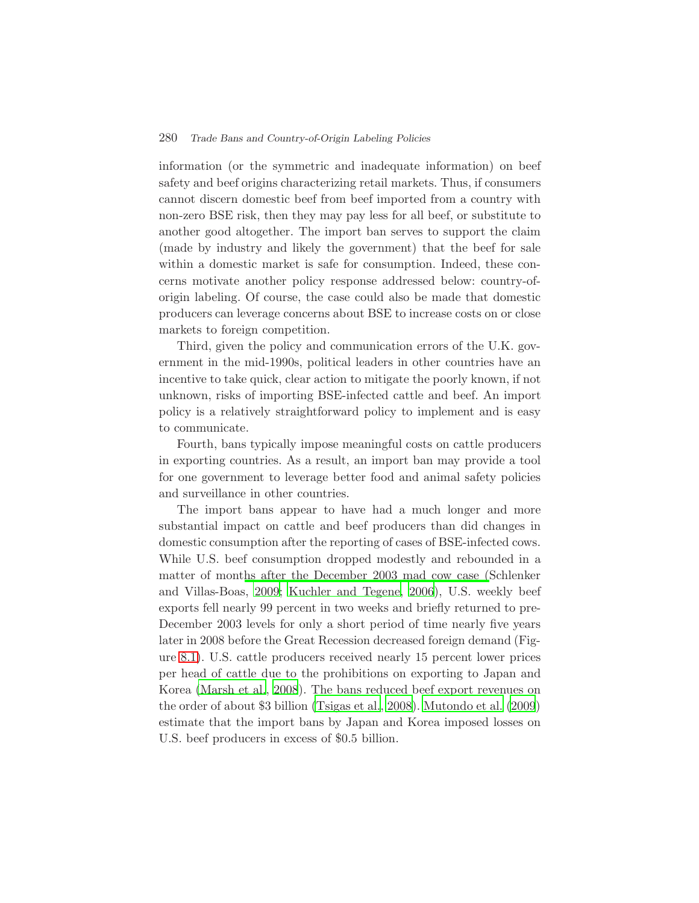### 280 *Trade Bans and Country-of-Origin Labeling Policies*

information (or the symmetric and inadequate information) on beef safety and beef origins characterizing retail markets. Thus, if consumers cannot discern domestic beef from beef imported from a country with non-zero BSE risk, then they may pay less for all beef, or substitute to another good altogether. The import ban serves to support the claim (made by industry and likely the government) that the beef for sale within a domestic market is safe for consumption. Indeed, these concerns motivate another policy response addressed below: country-oforigin labeling. Of course, the case could also be made that domestic producers can leverage concerns about BSE to increase costs on or close markets to foreign competition.

Third, given the policy and communication errors of the U.K. government in the mid-1990s, political leaders in other countries have an incentive to take quick, clear action to mitigate the poorly known, if not unknown, risks of importing BSE-infected cattle and beef. An import policy is a relatively straightforward policy to implement and is easy to communicate.

Fourth, bans typically impose meaningful costs on cattle producers in exporting countries. As a result, an import ban may provide a tool for one government to leverage better food and animal safety policies and surveillance in other countries.

The import bans appear to have had a much longer and more substantial impact on cattle and beef producers than did changes in domestic consumption after the reporting of cases of BSE-infected cows. While U.S. beef consumption dropped modestly and rebounded in a matter of mont[hs after the December 2003 mad cow case \(](#page-82-3)Schlenker and Villas-Boas, [2009;](#page-82-3) [Kuchler and Tegene, 2006](#page-80-4)), U.S. weekly beef exports fell nearly 99 percent in two weeks and briefly returned to pre-December 2003 levels for only a short period of time nearly five years later in 2008 before the Great Recession decreased foreign demand (Figure [8.1\)](#page-52-0). U.S. cattle producers received nearly 15 percent lower prices per head of cattle due to the prohibitions on exporting to Japan and Korea [\(Marsh et al.](#page-80-5), [2008](#page-80-5)). The bans reduced beef export revenues on the order of about \$3 billion [\(Tsigas et al.](#page-82-5), [2008\)](#page-82-5). [Mutondo et al.](#page-81-3) [\(2009](#page-81-3)) estimate that the import bans by Japan and Korea imposed losses on U.S. beef producers in excess of \$0.5 billion.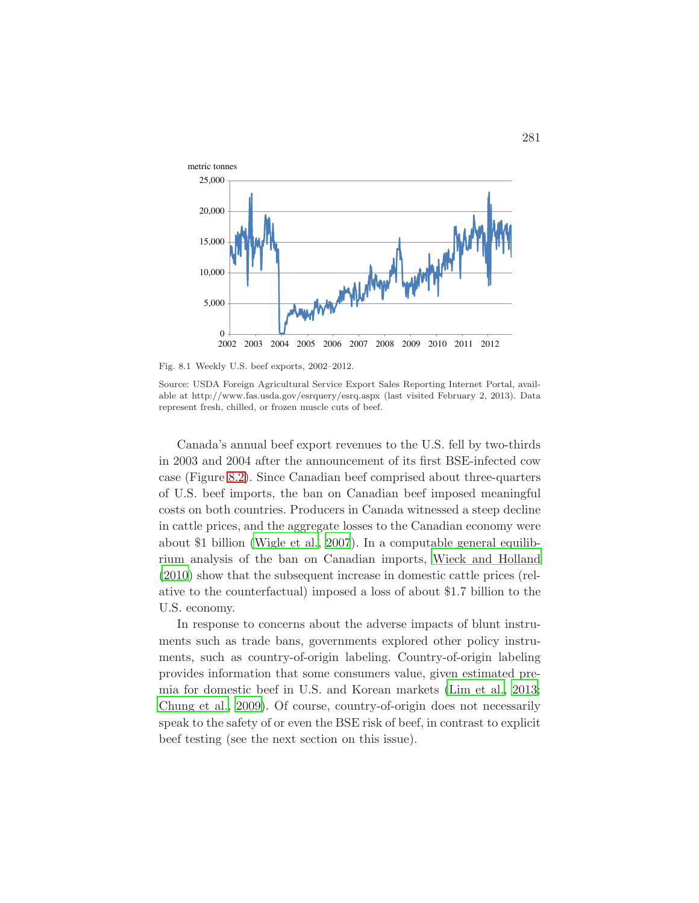

<span id="page-52-0"></span>Fig. 8.1 Weekly U.S. beef exports, 2002–2012.

Source: USDA Foreign Agricultural Service Export Sales Reporting Internet Portal, available at http://www.fas.usda.gov/esrquery/esrq.aspx (last visited February 2, 2013). Data represent fresh, chilled, or frozen muscle cuts of beef.

Canada's annual beef export revenues to the U.S. fell by two-thirds in 2003 and 2004 after the announcement of its first BSE-infected cow case (Figure [8.2\)](#page-53-0). Since Canadian beef comprised about three-quarters of U.S. beef imports, the ban on Canadian beef imposed meaningful costs on both countries. Producers in Canada witnessed a steep decline in cattle prices, and the aggregate losses to the Canadian economy were about \$1 billion [\(Wigle et al., 2007](#page-84-0)). In a computable general equilibrium analysis of the ban on Canadian imports, [Wieck and Holland](#page-83-6) [\(2010](#page-83-6)) show that the subsequent increase in domestic cattle prices (relative to the counterfactual) imposed a loss of about \$1.7 billion to the U.S. economy.

In response to concerns about the adverse impacts of blunt instruments such as trade bans, governments explored other policy instruments, such as country-of-origin labeling. Country-of-origin labeling provides information that some consumers value, given estimated premia for domestic beef in U.S. and Korean markets [\(Lim et al., 2013;](#page-80-6) [Chung et al., 2009\)](#page-76-3). Of course, country-of-origin does not necessarily speak to the safety of or even the BSE risk of beef, in contrast to explicit beef testing (see the next section on this issue).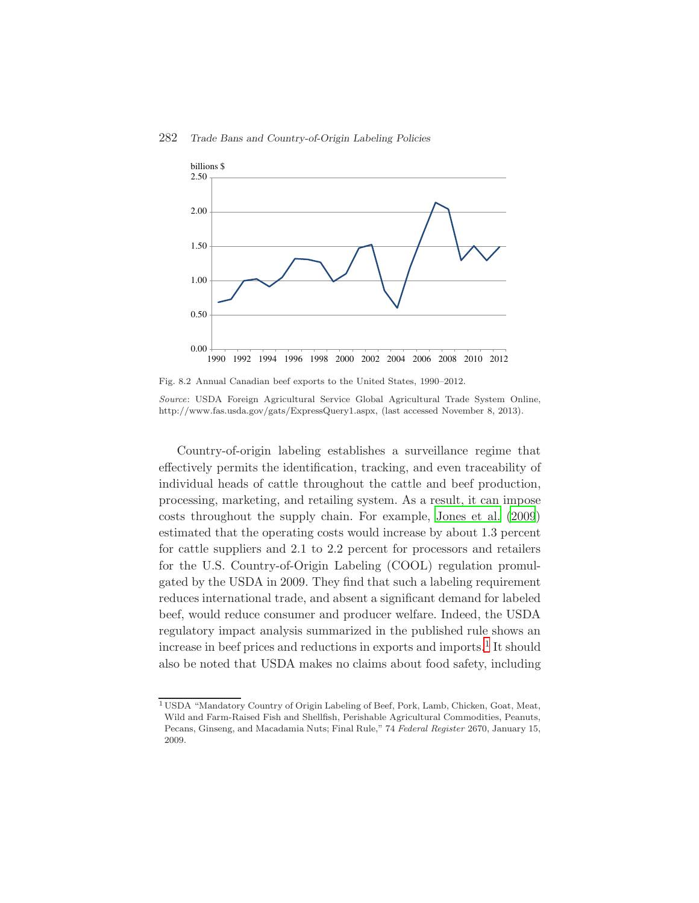

#### 282 *Trade Bans and Country-of-Origin Labeling Policies*

<span id="page-53-0"></span>Fig. 8.2 Annual Canadian beef exports to the United States, 1990–2012.

*Source*: USDA Foreign Agricultural Service Global Agricultural Trade System Online, http://www.fas.usda.gov/gats/ExpressQuery1.aspx, (last accessed November 8, 2013).

Country-of-origin labeling establishes a surveillance regime that effectively permits the identification, tracking, and even traceability of individual heads of cattle throughout the cattle and beef production, processing, marketing, and retailing system. As a result, it can impose costs throughout the supply chain. For example, [Jones et al.](#page-79-8) [\(2009](#page-79-8)) estimated that the operating costs would increase by about 1.3 percent for cattle suppliers and 2.1 to 2.2 percent for processors and retailers for the U.S. Country-of-Origin Labeling (COOL) regulation promulgated by the USDA in 2009. They find that such a labeling requirement reduces international trade, and absent a significant demand for labeled beef, would reduce consumer and producer welfare. Indeed, the USDA regulatory impact analysis summarized in the published rule shows an increase in beef prices and reductions in exports and imports.<sup>[1](#page-53-1)</sup> It should also be noted that USDA makes no claims about food safety, including

<span id="page-53-1"></span><sup>1</sup> USDA "Mandatory Country of Origin Labeling of Beef, Pork, Lamb, Chicken, Goat, Meat, Wild and Farm-Raised Fish and Shellfish, Perishable Agricultural Commodities, Peanuts, Pecans, Ginseng, and Macadamia Nuts; Final Rule," 74 *Federal Register* 2670, January 15, 2009.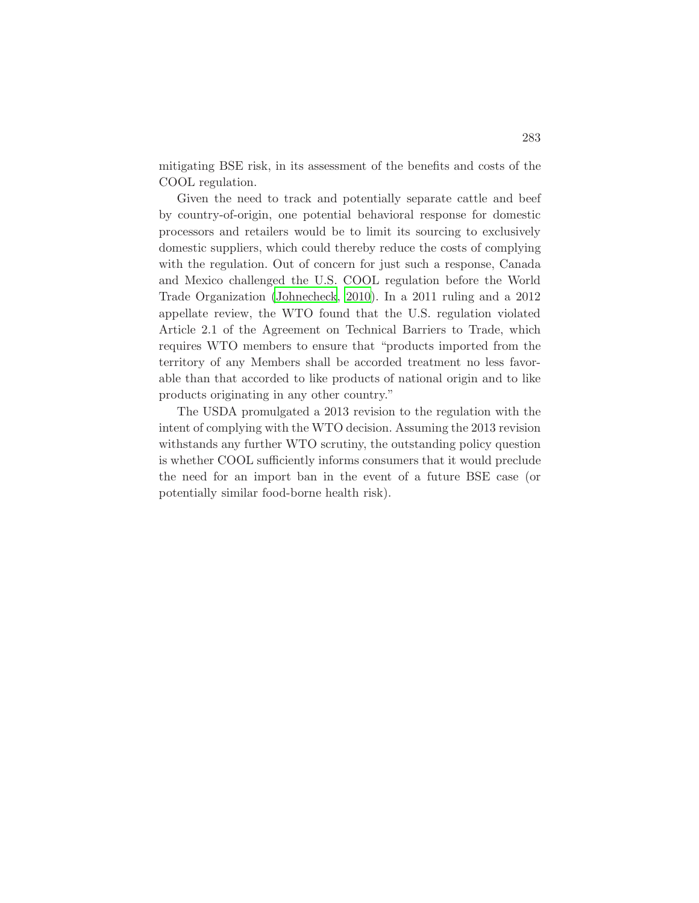mitigating BSE risk, in its assessment of the benefits and costs of the COOL regulation.

Given the need to track and potentially separate cattle and beef by country-of-origin, one potential behavioral response for domestic processors and retailers would be to limit its sourcing to exclusively domestic suppliers, which could thereby reduce the costs of complying with the regulation. Out of concern for just such a response, Canada and Mexico challenged the U.S. COOL regulation before the World Trade Organization [\(Johnecheck](#page-79-9), [2010\)](#page-79-9). In a 2011 ruling and a 2012 appellate review, the WTO found that the U.S. regulation violated Article 2.1 of the Agreement on Technical Barriers to Trade, which requires WTO members to ensure that "products imported from the territory of any Members shall be accorded treatment no less favorable than that accorded to like products of national origin and to like products originating in any other country."

The USDA promulgated a 2013 revision to the regulation with the intent of complying with the WTO decision. Assuming the 2013 revision withstands any further WTO scrutiny, the outstanding policy question is whether COOL sufficiently informs consumers that it would preclude the need for an import ban in the event of a future BSE case (or potentially similar food-borne health risk).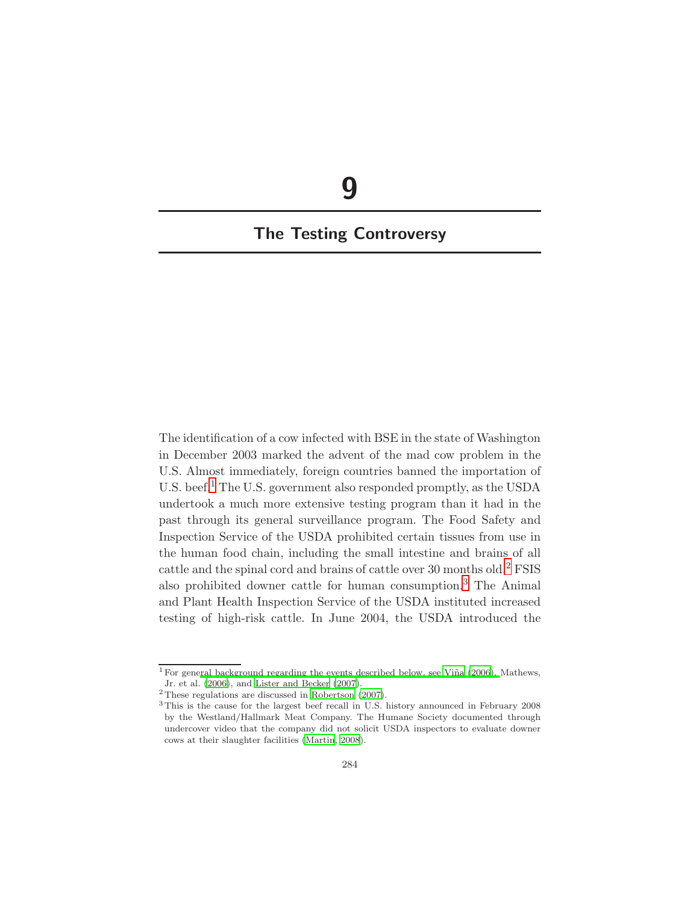# **9**

### **The Testing Controversy**

The identification of a cow infected with BSE in the state of Washington in December 2003 marked the advent of the mad cow problem in the U.S. Almost immediately, foreign countries banned the importation of U.S. beef.<sup>[1](#page-55-0)</sup> The U.S. government also responded promptly, as the USDA undertook a much more extensive testing program than it had in the past through its general surveillance program. The Food Safety and Inspection Service of the USDA prohibited certain tissues from use in the human food chain, including the small intestine and brains of all cattle and the spinal cord and brains of cattle over 30 months old.[2](#page-55-1) FSIS also prohibited downer cattle for human consumption.[3](#page-55-2) The Animal and Plant Health Inspection Service of the USDA instituted increased testing of high-risk cattle. In June 2004, the USDA introduced the

 $1$  For gene[ral background regarding the events described below, see](#page-80-7)Viña [\(2006](#page-83-7)[\),](#page-80-7) Mathews, Jr. et al. [\(2006\)](#page-80-7), and [Lister and Becker](#page-80-8) [\(2007\)](#page-80-8).

<span id="page-55-0"></span><sup>2</sup> These regulations are discussed in [Robertson](#page-81-4) [\(2007\)](#page-81-4).

<span id="page-55-2"></span><span id="page-55-1"></span><sup>&</sup>lt;sup>3</sup>This is the cause for the largest beef recall in U.S. history announced in February 2008 by the Westland/Hallmark Meat Company. The Humane Society documented through undercover video that the company did not solicit USDA inspectors to evaluate downer cows at their slaughter facilities [\(Martin](#page-80-9), [2008](#page-80-9)).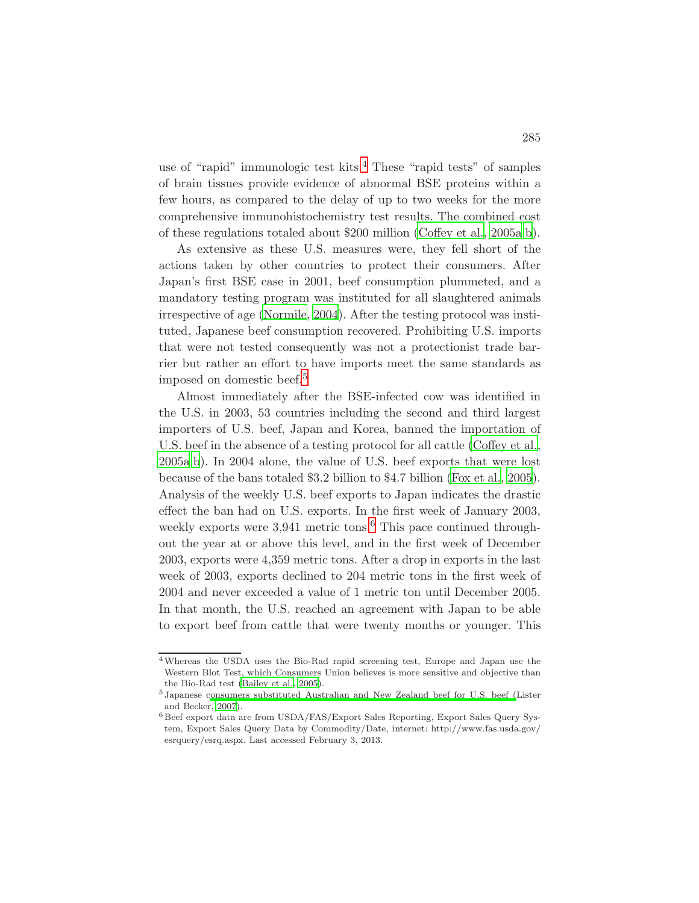use of "rapid" immunologic test kits.<sup>[4](#page-56-0)</sup> These "rapid tests" of samples of brain tissues provide evidence of abnormal BSE proteins within a few hours, as compared to the delay of up to two weeks for the more comprehensive immunohistochemistry test results. The combined cost of these regulations totaled about \$200 million [\(Coffey et al., 2005a](#page-76-4)[,b](#page-76-5)).

As extensive as these U.S. measures were, they fell short of the actions taken by other countries to protect their consumers. After Japan's first BSE case in 2001, beef consumption plummeted, and a mandatory testing program was instituted for all slaughtered animals irrespective of age [\(Normile, 2004](#page-81-5)). After the testing protocol was instituted, Japanese beef consumption recovered. Prohibiting U.S. imports that were not tested consequently was not a protectionist trade barrier but rather an effort to have imports meet the same standards as imposed on domestic beef.<sup>[5](#page-56-1)</sup>

Almost immediately after the BSE-infected cow was identified in the U.S. in 2003, 53 countries including the second and third largest importers of U.S. beef, Japan and Korea, banned the importation of U.S. beef in the absence of a testing protocol for all cattle [\(Coffey et al.,](#page-76-4) [2005a](#page-76-4)[,b](#page-76-5)). In 2004 alone, the value of U.S. beef exports that were lost because of the bans totaled \$3.2 billion to \$4.7 billion [\(Fox et al., 2005](#page-78-2)). Analysis of the weekly U.S. beef exports to Japan indicates the drastic effect the ban had on U.S. exports. In the first week of January 2003, weekly exports were  $3,941$  metric tons.<sup>[6](#page-56-2)</sup> This pace continued throughout the year at or above this level, and in the first week of December 2003, exports were 4,359 metric tons. After a drop in exports in the last week of 2003, exports declined to 204 metric tons in the first week of 2004 and never exceeded a value of 1 metric ton until December 2005. In that month, the U.S. reached an agreement with Japan to be able to export beef from cattle that were twenty months or younger. This

<span id="page-56-0"></span><sup>4</sup>Whereas the USDA uses the Bio-Rad rapid screening test, Europe and Japan use the Western Blot Test, which Consumers Union believes is more sensitive and objective than the Bio-Rad test [\(Bailey et al., 2005\)](#page-74-3).

<sup>5</sup> Japanese c[onsumers substituted Australian and New Zealand beef for U.S. beef \(](#page-80-8)Lister and Becker, [2007](#page-80-8)).

<span id="page-56-2"></span><span id="page-56-1"></span><sup>6</sup> Beef export data are from USDA/FAS/Export Sales Reporting, Export Sales Query System, Export Sales Query Data by Commodity/Date, internet: http://www.fas.usda.gov/ esrquery/esrq.aspx. Last accessed February 3, 2013.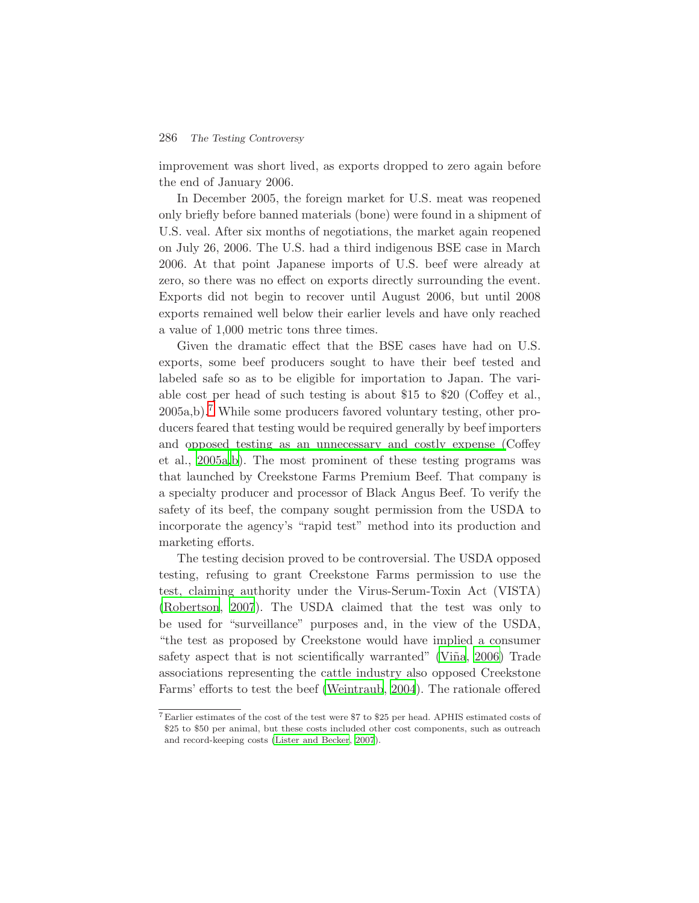### 286 *The Testing Controversy*

improvement was short lived, as exports dropped to zero again before the end of January 2006.

In December 2005, the foreign market for U.S. meat was reopened only briefly before banned materials (bone) were found in a shipment of U.S. veal. After six months of negotiations, the market again reopened on July 26, 2006. The U.S. had a third indigenous BSE case in March 2006. At that point Japanese imports of U.S. beef were already at zero, so there was no effect on exports directly surrounding the event. Exports did not begin to recover until August 2006, but until 2008 exports remained well below their earlier levels and have only reached a value of 1,000 metric tons three times.

Given the dramatic effect that the BSE cases have had on U.S. exports, some beef producers sought to have their beef tested and labeled safe so as to be eligible for importation to Japan. The variable cost per head of such testing is about \$15 to \$20 (Coffey et al.,  $2005a,b$ .<sup>[7](#page-57-0)</sup> While some producers favored voluntary testing, other producers feared that testing would be required generally by beef importers and [opposed testing as an unnecessary and costly expense \(](#page-76-4)Coffey et al., [2005a](#page-76-4)[,b\)](#page-76-5). The most prominent of these testing programs was that launched by Creekstone Farms Premium Beef. That company is a specialty producer and processor of Black Angus Beef. To verify the safety of its beef, the company sought permission from the USDA to incorporate the agency's "rapid test" method into its production and marketing efforts.

The testing decision proved to be controversial. The USDA opposed testing, refusing to grant Creekstone Farms permission to use the test, claiming authority under the Virus-Serum-Toxin Act (VISTA) [\(Robertson](#page-81-4), [2007](#page-81-4)). The USDA claimed that the test was only to be used for "surveillance" purposes and, in the view of the USDA, "the test as proposed by Creekstone would have implied a consumer safety aspect that is not scientifically warranted" (Viña, [2006\)](#page-83-7) Trade associations representing the cattle industry also opposed Creekstone Farms' efforts to test the beef [\(Weintraub](#page-83-0), [2004](#page-83-0)). The rationale offered

<span id="page-57-0"></span><sup>7</sup> Earlier estimates of the cost of the test were \$7 to \$25 per head. APHIS estimated costs of \$25 to \$50 per animal, but these costs included other cost components, such as outreach and record-keeping costs [\(Lister and Becker](#page-80-8), [2007](#page-80-8)).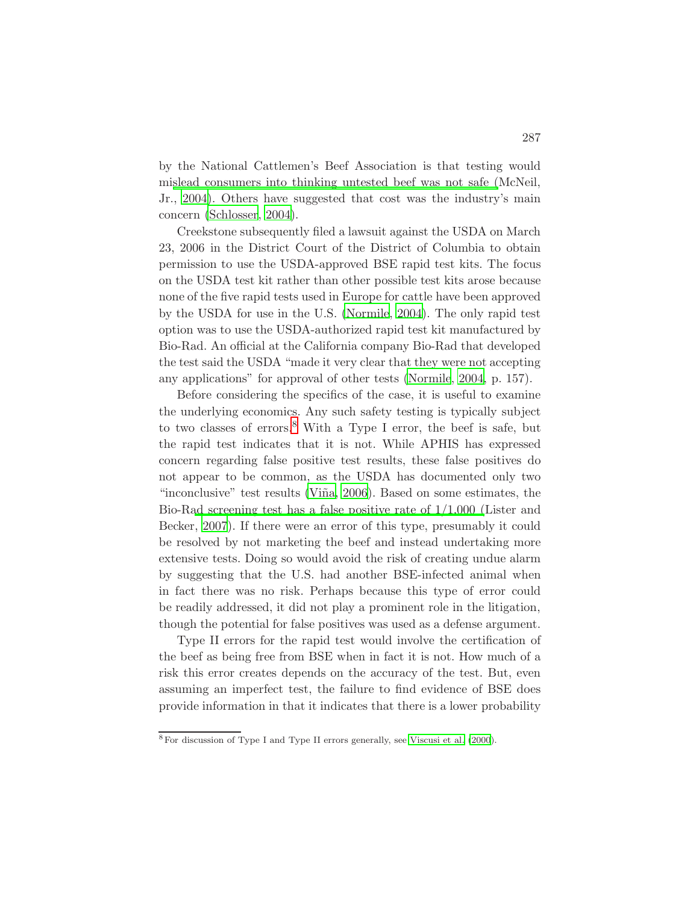by the National Cattlemen's Beef Association is that testing would mi[slead consumers into thinking untested beef was not safe \(](#page-80-10)McNeil, Jr., [2004\)](#page-80-10). Others have suggested that cost was the industry's main concern [\(Schlosser](#page-82-6), [2004\)](#page-82-6).

Creekstone subsequently filed a lawsuit against the USDA on March 23, 2006 in the District Court of the District of Columbia to obtain permission to use the USDA-approved BSE rapid test kits. The focus on the USDA test kit rather than other possible test kits arose because none of the five rapid tests used in Europe for cattle have been approved by the USDA for use in the U.S. [\(Normile](#page-81-5), [2004\)](#page-81-5). The only rapid test option was to use the USDA-authorized rapid test kit manufactured by Bio-Rad. An official at the California company Bio-Rad that developed the test said the USDA "made it very clear that they were not accepting any applications" for approval of other tests [\(Normile](#page-81-5), [2004,](#page-81-5) p. 157).

Before considering the specifics of the case, it is useful to examine the underlying economics. Any such safety testing is typically subject to two classes of errors.[8](#page-58-0) With a Type I error, the beef is safe, but the rapid test indicates that it is not. While APHIS has expressed concern regarding false positive test results, these false positives do not appear to be common, as the USDA has documented only two "inconclusive" test results (Viña, 2006). Based on some estimates, the Bio-R[ad screening test has a false positive rate of 1/1,000 \(](#page-80-8)Lister and Becker, [2007](#page-80-8)). If there were an error of this type, presumably it could be resolved by not marketing the beef and instead undertaking more extensive tests. Doing so would avoid the risk of creating undue alarm by suggesting that the U.S. had another BSE-infected animal when in fact there was no risk. Perhaps because this type of error could be readily addressed, it did not play a prominent role in the litigation, though the potential for false positives was used as a defense argument.

Type II errors for the rapid test would involve the certification of the beef as being free from BSE when in fact it is not. How much of a risk this error creates depends on the accuracy of the test. But, even assuming an imperfect test, the failure to find evidence of BSE does provide information in that it indicates that there is a lower probability

<span id="page-58-0"></span> $8\overline{8}$  For discussion of Type I and Type II errors generally, see [Viscusi et al.](#page-83-8) [\(2000\)](#page-83-8).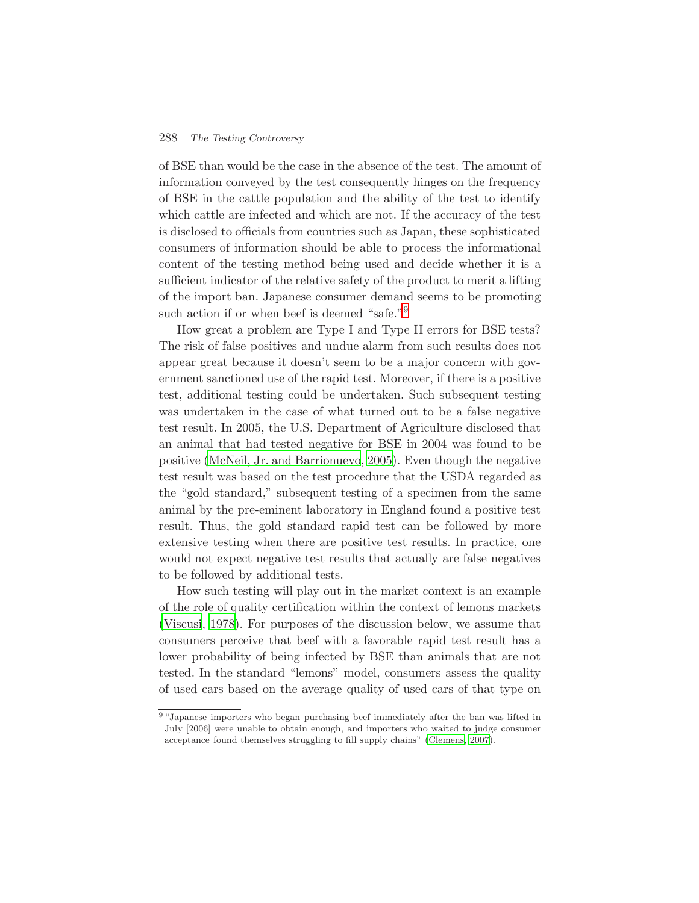### 288 *The Testing Controversy*

of BSE than would be the case in the absence of the test. The amount of information conveyed by the test consequently hinges on the frequency of BSE in the cattle population and the ability of the test to identify which cattle are infected and which are not. If the accuracy of the test is disclosed to officials from countries such as Japan, these sophisticated consumers of information should be able to process the informational content of the testing method being used and decide whether it is a sufficient indicator of the relative safety of the product to merit a lifting of the import ban. Japanese consumer demand seems to be promoting such action if or when beef is deemed "safe."<sup>[9](#page-59-0)</sup>

How great a problem are Type I and Type II errors for BSE tests? The risk of false positives and undue alarm from such results does not appear great because it doesn't seem to be a major concern with government sanctioned use of the rapid test. Moreover, if there is a positive test, additional testing could be undertaken. Such subsequent testing was undertaken in the case of what turned out to be a false negative test result. In 2005, the U.S. Department of Agriculture disclosed that an animal that had tested negative for BSE in 2004 was found to be positive [\(McNeil, Jr. and Barrionuevo](#page-80-11), [2005\)](#page-80-11). Even though the negative test result was based on the test procedure that the USDA regarded as the "gold standard," subsequent testing of a specimen from the same animal by the pre-eminent laboratory in England found a positive test result. Thus, the gold standard rapid test can be followed by more extensive testing when there are positive test results. In practice, one would not expect negative test results that actually are false negatives to be followed by additional tests.

How such testing will play out in the market context is an example of the role of quality certification within the context of lemons markets [\(Viscusi](#page-83-9), [1978\)](#page-83-9). For purposes of the discussion below, we assume that consumers perceive that beef with a favorable rapid test result has a lower probability of being infected by BSE than animals that are not tested. In the standard "lemons" model, consumers assess the quality of used cars based on the average quality of used cars of that type on

<span id="page-59-0"></span><sup>&</sup>lt;sup>9</sup> "Japanese importers who began purchasing beef immediately after the ban was lifted in July [2006] were unable to obtain enough, and importers who waited to judge consumer acceptance found themselves struggling to fill supply chains" [\(Clemens, 2007\)](#page-76-6).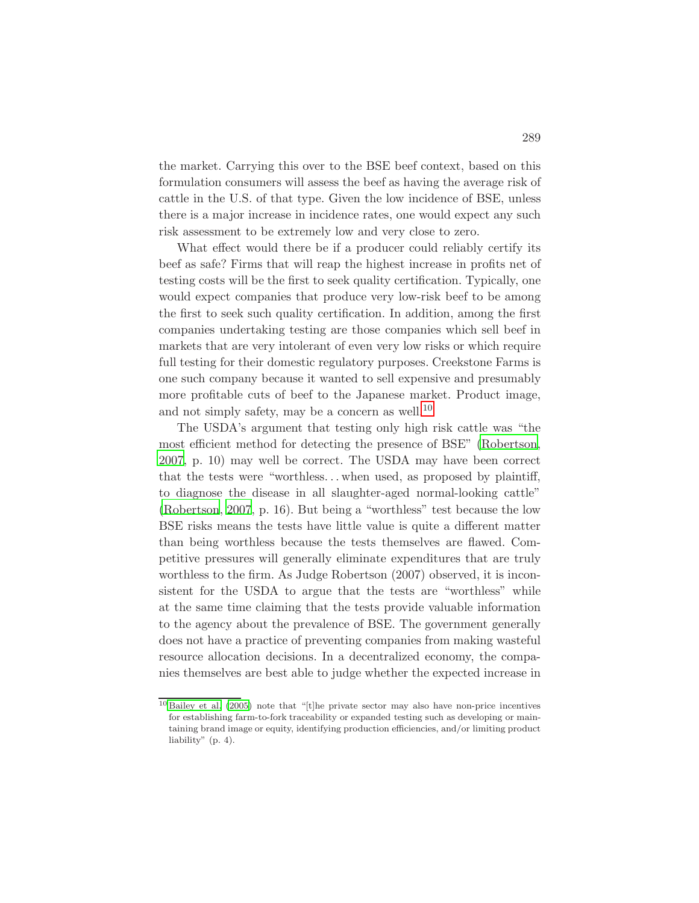the market. Carrying this over to the BSE beef context, based on this formulation consumers will assess the beef as having the average risk of cattle in the U.S. of that type. Given the low incidence of BSE, unless there is a major increase in incidence rates, one would expect any such risk assessment to be extremely low and very close to zero.

What effect would there be if a producer could reliably certify its beef as safe? Firms that will reap the highest increase in profits net of testing costs will be the first to seek quality certification. Typically, one would expect companies that produce very low-risk beef to be among the first to seek such quality certification. In addition, among the first companies undertaking testing are those companies which sell beef in markets that are very intolerant of even very low risks or which require full testing for their domestic regulatory purposes. Creekstone Farms is one such company because it wanted to sell expensive and presumably more profitable cuts of beef to the Japanese market. Product image, and not simply safety, may be a concern as well.<sup>[10](#page-60-0)</sup>

The USDA's argument that testing only high risk cattle was "the most efficient method for detecting the presence of BSE" [\(Robertson,](#page-81-4) [2007,](#page-81-4) p. 10) may well be correct. The USDA may have been correct that the tests were "worthless. . . when used, as proposed by plaintiff, to diagnose the disease in all slaughter-aged normal-looking cattle" [\(Robertson](#page-81-4), [2007](#page-81-4), p. 16). But being a "worthless" test because the low BSE risks means the tests have little value is quite a different matter than being worthless because the tests themselves are flawed. Competitive pressures will generally eliminate expenditures that are truly worthless to the firm. As Judge Robertson (2007) observed, it is inconsistent for the USDA to argue that the tests are "worthless" while at the same time claiming that the tests provide valuable information to the agency about the prevalence of BSE. The government generally does not have a practice of preventing companies from making wasteful resource allocation decisions. In a decentralized economy, the companies themselves are best able to judge whether the expected increase in

<span id="page-60-0"></span><sup>10</sup> [Bailey et al.](#page-74-3) [\(2005\)](#page-74-3) note that "[t]he private sector may also have non-price incentives for establishing farm-to-fork traceability or expanded testing such as developing or maintaining brand image or equity, identifying production efficiencies, and/or limiting product liability" (p. 4).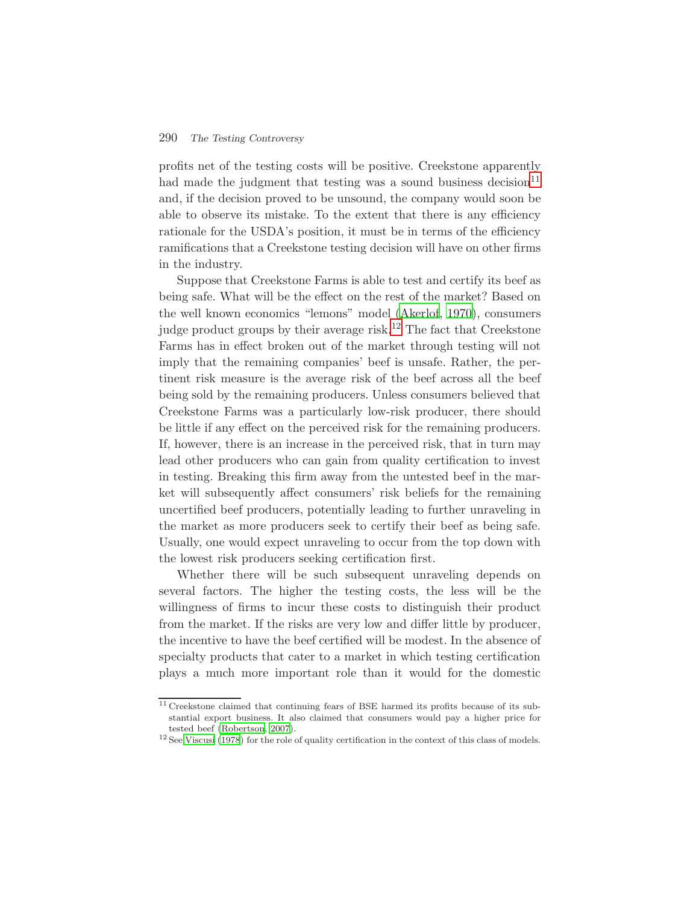### 290 *The Testing Controversy*

profits net of the testing costs will be positive. Creekstone apparently had made the judgment that testing was a sound business decision<sup>[11](#page-61-0)</sup> and, if the decision proved to be unsound, the company would soon be able to observe its mistake. To the extent that there is any efficiency rationale for the USDA's position, it must be in terms of the efficiency ramifications that a Creekstone testing decision will have on other firms in the industry.

Suppose that Creekstone Farms is able to test and certify its beef as being safe. What will be the effect on the rest of the market? Based on the well known economics "lemons" model [\(Akerlof, 1970\)](#page-74-4), consumers judge product groups by their average risk.<sup>[12](#page-61-1)</sup> The fact that Creekstone Farms has in effect broken out of the market through testing will not imply that the remaining companies' beef is unsafe. Rather, the pertinent risk measure is the average risk of the beef across all the beef being sold by the remaining producers. Unless consumers believed that Creekstone Farms was a particularly low-risk producer, there should be little if any effect on the perceived risk for the remaining producers. If, however, there is an increase in the perceived risk, that in turn may lead other producers who can gain from quality certification to invest in testing. Breaking this firm away from the untested beef in the market will subsequently affect consumers' risk beliefs for the remaining uncertified beef producers, potentially leading to further unraveling in the market as more producers seek to certify their beef as being safe. Usually, one would expect unraveling to occur from the top down with the lowest risk producers seeking certification first.

Whether there will be such subsequent unraveling depends on several factors. The higher the testing costs, the less will be the willingness of firms to incur these costs to distinguish their product from the market. If the risks are very low and differ little by producer, the incentive to have the beef certified will be modest. In the absence of specialty products that cater to a market in which testing certification plays a much more important role than it would for the domestic

<span id="page-61-0"></span><sup>&</sup>lt;sup>11</sup> Creekstone claimed that continuing fears of BSE harmed its profits because of its substantial export business. It also claimed that consumers would pay a higher price for tested beef [\(Robertson, 2007\)](#page-81-4).

<span id="page-61-1"></span><sup>&</sup>lt;sup>12</sup> See [Viscusi](#page-83-9) [\(1978](#page-83-9)) for the role of quality certification in the context of this class of models.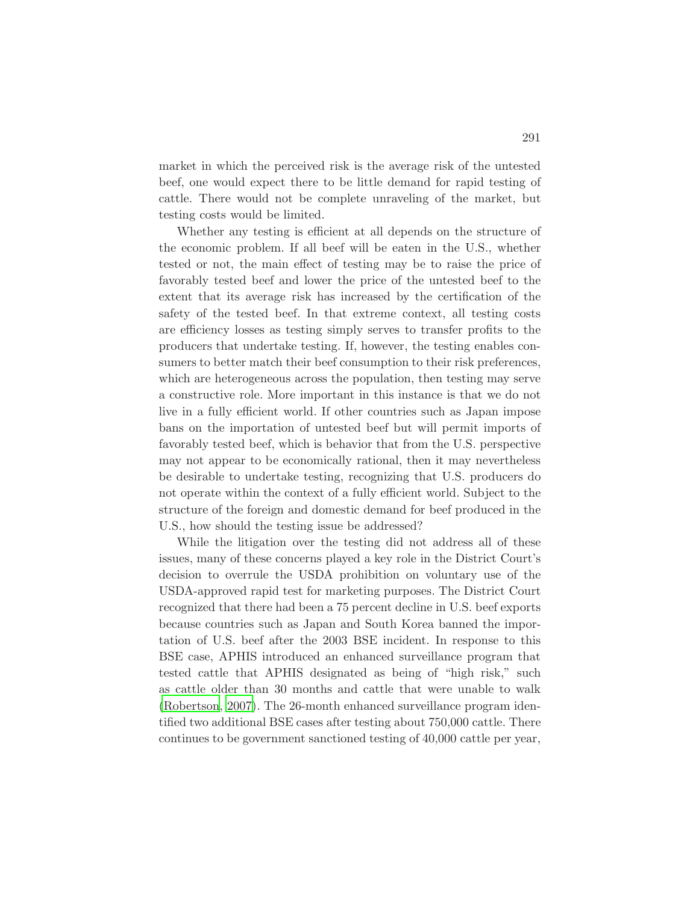market in which the perceived risk is the average risk of the untested beef, one would expect there to be little demand for rapid testing of cattle. There would not be complete unraveling of the market, but testing costs would be limited.

Whether any testing is efficient at all depends on the structure of the economic problem. If all beef will be eaten in the U.S., whether tested or not, the main effect of testing may be to raise the price of favorably tested beef and lower the price of the untested beef to the extent that its average risk has increased by the certification of the safety of the tested beef. In that extreme context, all testing costs are efficiency losses as testing simply serves to transfer profits to the producers that undertake testing. If, however, the testing enables consumers to better match their beef consumption to their risk preferences, which are heterogeneous across the population, then testing may serve a constructive role. More important in this instance is that we do not live in a fully efficient world. If other countries such as Japan impose bans on the importation of untested beef but will permit imports of favorably tested beef, which is behavior that from the U.S. perspective may not appear to be economically rational, then it may nevertheless be desirable to undertake testing, recognizing that U.S. producers do not operate within the context of a fully efficient world. Subject to the structure of the foreign and domestic demand for beef produced in the U.S., how should the testing issue be addressed?

While the litigation over the testing did not address all of these issues, many of these concerns played a key role in the District Court's decision to overrule the USDA prohibition on voluntary use of the USDA-approved rapid test for marketing purposes. The District Court recognized that there had been a 75 percent decline in U.S. beef exports because countries such as Japan and South Korea banned the importation of U.S. beef after the 2003 BSE incident. In response to this BSE case, APHIS introduced an enhanced surveillance program that tested cattle that APHIS designated as being of "high risk," such as cattle older than 30 months and cattle that were unable to walk [\(Robertson](#page-81-4), [2007\)](#page-81-4). The 26-month enhanced surveillance program identified two additional BSE cases after testing about 750,000 cattle. There continues to be government sanctioned testing of 40,000 cattle per year,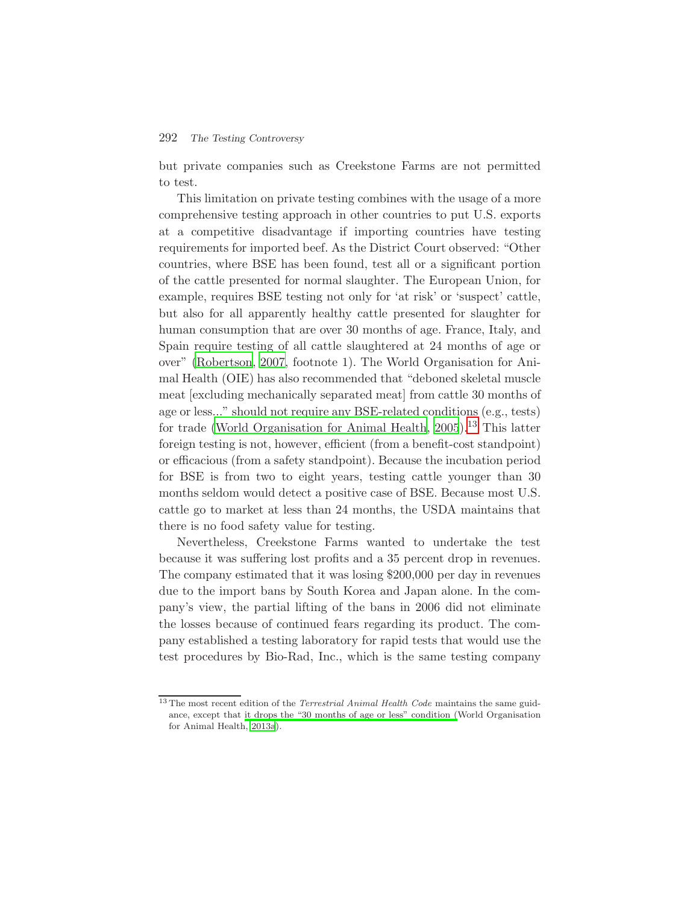### 292 *The Testing Controversy*

but private companies such as Creekstone Farms are not permitted to test.

This limitation on private testing combines with the usage of a more comprehensive testing approach in other countries to put U.S. exports at a competitive disadvantage if importing countries have testing requirements for imported beef. As the District Court observed: "Other countries, where BSE has been found, test all or a significant portion of the cattle presented for normal slaughter. The European Union, for example, requires BSE testing not only for 'at risk' or 'suspect' cattle, but also for all apparently healthy cattle presented for slaughter for human consumption that are over 30 months of age. France, Italy, and Spain require testing of all cattle slaughtered at 24 months of age or over" [\(Robertson](#page-81-4), [2007,](#page-81-4) footnote 1). The World Organisation for Animal Health (OIE) has also recommended that "deboned skeletal muscle meat [excluding mechanically separated meat] from cattle 30 months of age or less..." should not require any BSE-related conditions (e.g., tests) for trade (World Organisation for Animal Health,  $2005$ ).<sup>[13](#page-63-0)</sup> This latter foreign testing is not, however, efficient (from a benefit-cost standpoint) or efficacious (from a safety standpoint). Because the incubation period for BSE is from two to eight years, testing cattle younger than 30 months seldom would detect a positive case of BSE. Because most U.S. cattle go to market at less than 24 months, the USDA maintains that there is no food safety value for testing.

Nevertheless, Creekstone Farms wanted to undertake the test because it was suffering lost profits and a 35 percent drop in revenues. The company estimated that it was losing \$200,000 per day in revenues due to the import bans by South Korea and Japan alone. In the company's view, the partial lifting of the bans in 2006 did not eliminate the losses because of continued fears regarding its product. The company established a testing laboratory for rapid tests that would use the test procedures by Bio-Rad, Inc., which is the same testing company

<span id="page-63-0"></span><sup>13</sup> The most recent edition of the *Terrestrial Animal Health Code* maintains the same guidance, except that [it drops the "30 months of age or less" condition \(](#page-84-2)World Organisation for Animal Health, [2013a](#page-84-2)).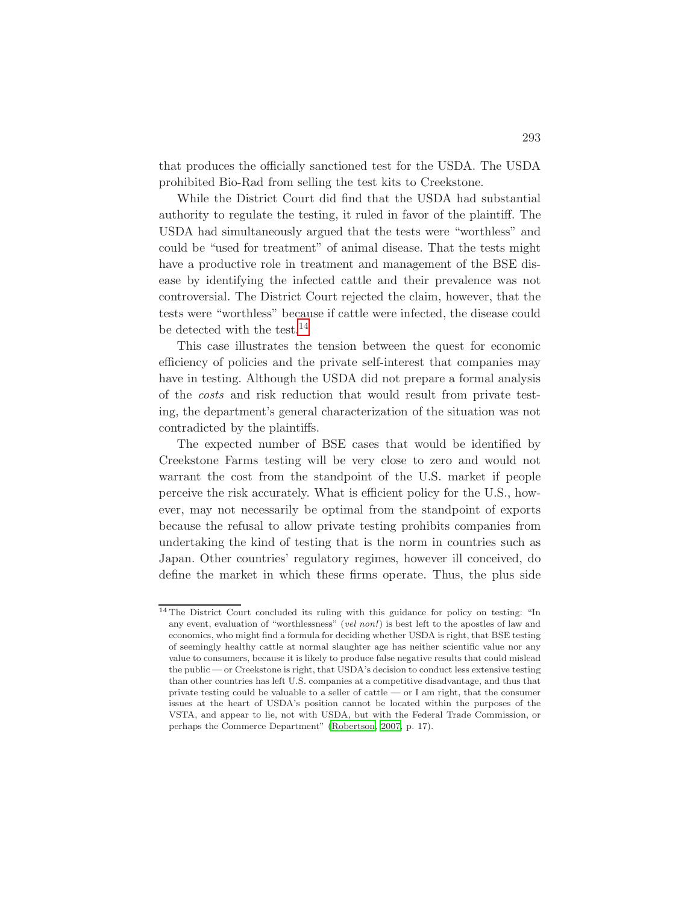that produces the officially sanctioned test for the USDA. The USDA prohibited Bio-Rad from selling the test kits to Creekstone.

While the District Court did find that the USDA had substantial authority to regulate the testing, it ruled in favor of the plaintiff. The USDA had simultaneously argued that the tests were "worthless" and could be "used for treatment" of animal disease. That the tests might have a productive role in treatment and management of the BSE disease by identifying the infected cattle and their prevalence was not controversial. The District Court rejected the claim, however, that the tests were "worthless" because if cattle were infected, the disease could be detected with the test.<sup>[14](#page-64-0)</sup>

This case illustrates the tension between the quest for economic efficiency of policies and the private self-interest that companies may have in testing. Although the USDA did not prepare a formal analysis of the *costs* and risk reduction that would result from private testing, the department's general characterization of the situation was not contradicted by the plaintiffs.

The expected number of BSE cases that would be identified by Creekstone Farms testing will be very close to zero and would not warrant the cost from the standpoint of the U.S. market if people perceive the risk accurately. What is efficient policy for the U.S., however, may not necessarily be optimal from the standpoint of exports because the refusal to allow private testing prohibits companies from undertaking the kind of testing that is the norm in countries such as Japan. Other countries' regulatory regimes, however ill conceived, do define the market in which these firms operate. Thus, the plus side

<span id="page-64-0"></span><sup>14</sup> The District Court concluded its ruling with this guidance for policy on testing: "In any event, evaluation of "worthlessness" (*vel non!* ) is best left to the apostles of law and economics, who might find a formula for deciding whether USDA is right, that BSE testing of seemingly healthy cattle at normal slaughter age has neither scientific value nor any value to consumers, because it is likely to produce false negative results that could mislead the public — or Creekstone is right, that USDA's decision to conduct less extensive testing than other countries has left U.S. companies at a competitive disadvantage, and thus that private testing could be valuable to a seller of cattle — or I am right, that the consumer issues at the heart of USDA's position cannot be located within the purposes of the VSTA, and appear to lie, not with USDA, but with the Federal Trade Commission, or perhaps the Commerce Department" [\(Robertson, 2007,](#page-81-4) p. 17).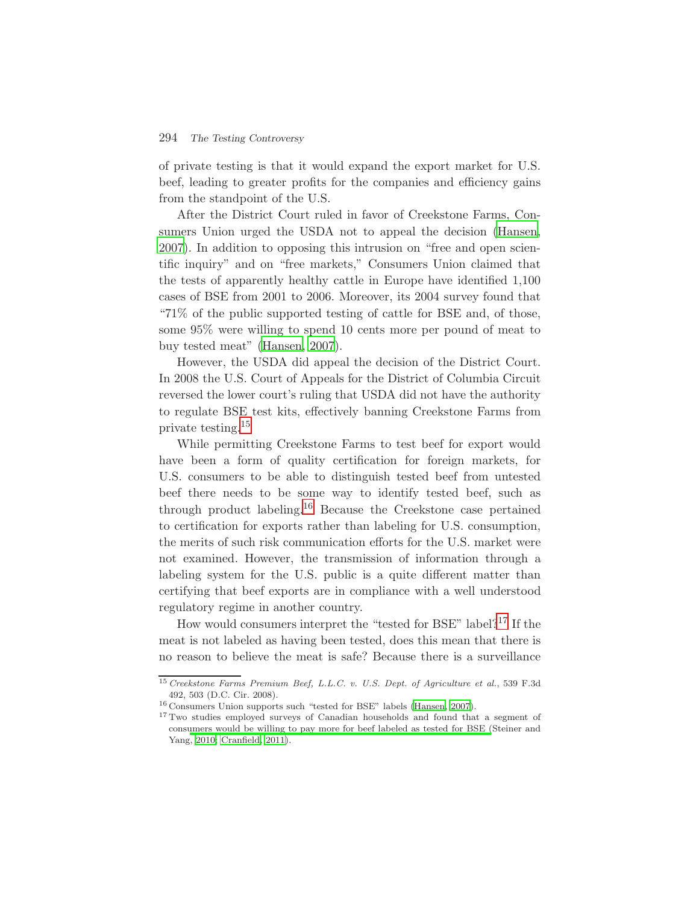### 294 *The Testing Controversy*

of private testing is that it would expand the export market for U.S. beef, leading to greater profits for the companies and efficiency gains from the standpoint of the U.S.

After the District Court ruled in favor of Creekstone Farms, Consumers Union urged the USDA not to appeal the decision [\(Hansen,](#page-78-3) [2007\)](#page-78-3). In addition to opposing this intrusion on "free and open scientific inquiry" and on "free markets," Consumers Union claimed that the tests of apparently healthy cattle in Europe have identified 1,100 cases of BSE from 2001 to 2006. Moreover, its 2004 survey found that "71% of the public supported testing of cattle for BSE and, of those, some 95% were willing to spend 10 cents more per pound of meat to buy tested meat" [\(Hansen, 2007](#page-78-3)).

However, the USDA did appeal the decision of the District Court. In 2008 the U.S. Court of Appeals for the District of Columbia Circuit reversed the lower court's ruling that USDA did not have the authority to regulate BSE test kits, effectively banning Creekstone Farms from private testing.[15](#page-65-0)

While permitting Creekstone Farms to test beef for export would have been a form of quality certification for foreign markets, for U.S. consumers to be able to distinguish tested beef from untested beef there needs to be some way to identify tested beef, such as through product labeling.<sup>[16](#page-65-1)</sup> Because the Creekstone case pertained to certification for exports rather than labeling for U.S. consumption, the merits of such risk communication efforts for the U.S. market were not examined. However, the transmission of information through a labeling system for the U.S. public is a quite different matter than certifying that beef exports are in compliance with a well understood regulatory regime in another country.

How would consumers interpret the "tested for BSE" label?<sup>[17](#page-65-2)</sup> If the meat is not labeled as having been tested, does this mean that there is no reason to believe the meat is safe? Because there is a surveillance

<span id="page-65-0"></span><sup>15</sup> *Creekstone Farms Premium Beef, L.L.C. v. U.S. Dept. of Agriculture et al.*, 539 F.3d 492, 503 (D.C. Cir. 2008).

<sup>16</sup> Consumers Union supports such "tested for BSE" labels [\(Hansen, 2007\)](#page-78-3).

<span id="page-65-2"></span><span id="page-65-1"></span><sup>&</sup>lt;sup>17</sup> Two studies employed surveys of Canadian households and found that a segment of cons[umers](#page-82-7) [would](#page-82-7) [be](#page-82-7) [willing](#page-82-7) [to](#page-82-7) [pay](#page-82-7) [more](#page-82-7) [for](#page-82-7) [beef](#page-82-7) [labeled](#page-82-7) [as](#page-82-7) [tested](#page-82-7) [for](#page-82-7) [BSE](#page-82-7) [\(](#page-82-7)Steiner and Yang, [2010;](#page-82-7) [Cranfield, 2011\)](#page-77-3).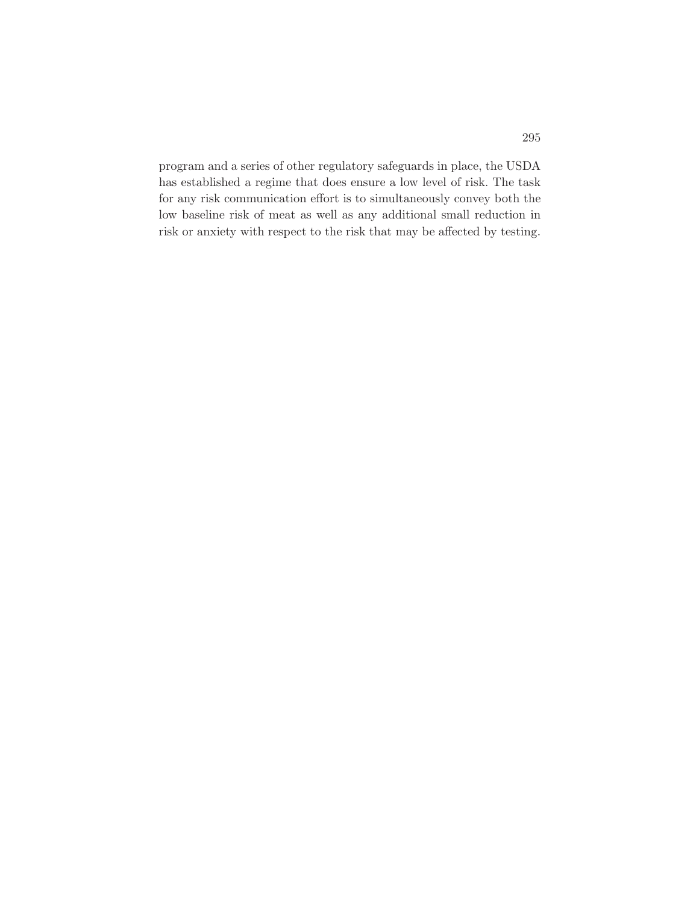program and a series of other regulatory safeguards in place, the USDA has established a regime that does ensure a low level of risk. The task for any risk communication effort is to simultaneously convey both the low baseline risk of meat as well as any additional small reduction in risk or anxiety with respect to the risk that may be affected by testing.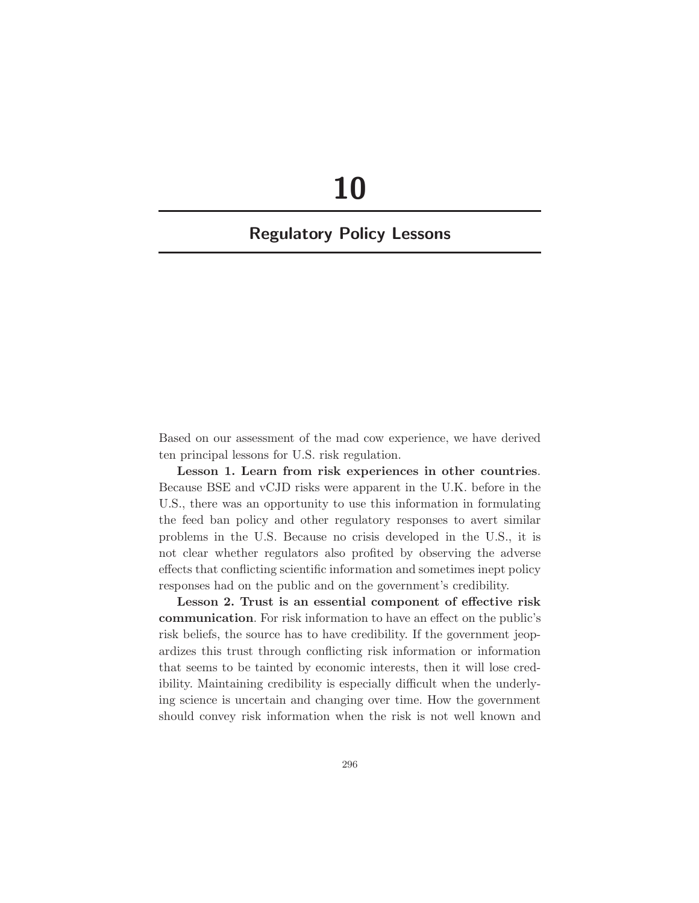# **10**

### **Regulatory Policy Lessons**

Based on our assessment of the mad cow experience, we have derived ten principal lessons for U.S. risk regulation.

**Lesson 1. Learn from risk experiences in other countries**. Because BSE and vCJD risks were apparent in the U.K. before in the U.S., there was an opportunity to use this information in formulating the feed ban policy and other regulatory responses to avert similar problems in the U.S. Because no crisis developed in the U.S., it is not clear whether regulators also profited by observing the adverse effects that conflicting scientific information and sometimes inept policy responses had on the public and on the government's credibility.

**Lesson 2. Trust is an essential component of effective risk communication**. For risk information to have an effect on the public's risk beliefs, the source has to have credibility. If the government jeopardizes this trust through conflicting risk information or information that seems to be tainted by economic interests, then it will lose credibility. Maintaining credibility is especially difficult when the underlying science is uncertain and changing over time. How the government should convey risk information when the risk is not well known and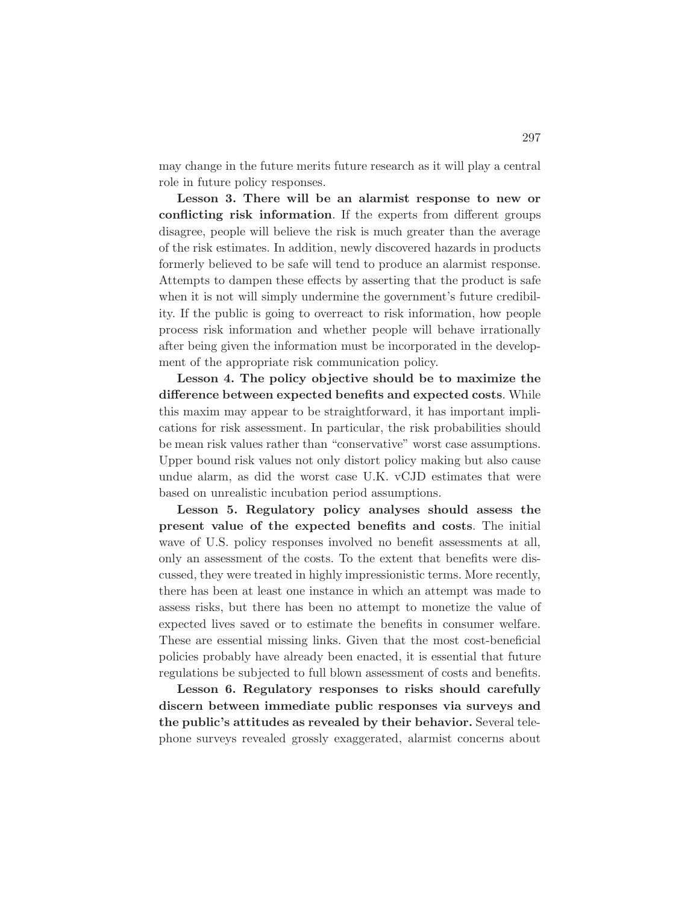may change in the future merits future research as it will play a central role in future policy responses.

**Lesson 3. There will be an alarmist response to new or conflicting risk information**. If the experts from different groups disagree, people will believe the risk is much greater than the average of the risk estimates. In addition, newly discovered hazards in products formerly believed to be safe will tend to produce an alarmist response. Attempts to dampen these effects by asserting that the product is safe when it is not will simply undermine the government's future credibility. If the public is going to overreact to risk information, how people process risk information and whether people will behave irrationally after being given the information must be incorporated in the development of the appropriate risk communication policy.

**Lesson 4. The policy objective should be to maximize the difference between expected benefits and expected costs**. While this maxim may appear to be straightforward, it has important implications for risk assessment. In particular, the risk probabilities should be mean risk values rather than "conservative" worst case assumptions. Upper bound risk values not only distort policy making but also cause undue alarm, as did the worst case U.K. vCJD estimates that were based on unrealistic incubation period assumptions.

**Lesson 5. Regulatory policy analyses should assess the present value of the expected benefits and costs**. The initial wave of U.S. policy responses involved no benefit assessments at all, only an assessment of the costs. To the extent that benefits were discussed, they were treated in highly impressionistic terms. More recently, there has been at least one instance in which an attempt was made to assess risks, but there has been no attempt to monetize the value of expected lives saved or to estimate the benefits in consumer welfare. These are essential missing links. Given that the most cost-beneficial policies probably have already been enacted, it is essential that future regulations be subjected to full blown assessment of costs and benefits.

**Lesson 6. Regulatory responses to risks should carefully discern between immediate public responses via surveys and the public's attitudes as revealed by their behavior.** Several telephone surveys revealed grossly exaggerated, alarmist concerns about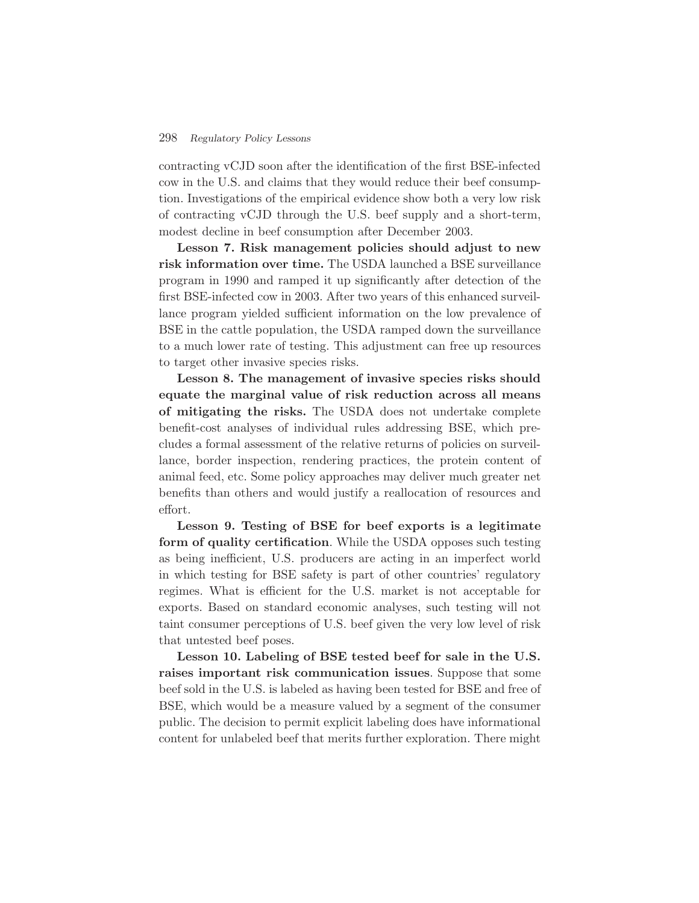### 298 *Regulatory Policy Lessons*

contracting vCJD soon after the identification of the first BSE-infected cow in the U.S. and claims that they would reduce their beef consumption. Investigations of the empirical evidence show both a very low risk of contracting vCJD through the U.S. beef supply and a short-term, modest decline in beef consumption after December 2003.

**Lesson 7. Risk management policies should adjust to new risk information over time.** The USDA launched a BSE surveillance program in 1990 and ramped it up significantly after detection of the first BSE-infected cow in 2003. After two years of this enhanced surveillance program yielded sufficient information on the low prevalence of BSE in the cattle population, the USDA ramped down the surveillance to a much lower rate of testing. This adjustment can free up resources to target other invasive species risks.

**Lesson 8. The management of invasive species risks should equate the marginal value of risk reduction across all means of mitigating the risks.** The USDA does not undertake complete benefit-cost analyses of individual rules addressing BSE, which precludes a formal assessment of the relative returns of policies on surveillance, border inspection, rendering practices, the protein content of animal feed, etc. Some policy approaches may deliver much greater net benefits than others and would justify a reallocation of resources and effort.

**Lesson 9. Testing of BSE for beef exports is a legitimate form of quality certification**. While the USDA opposes such testing as being inefficient, U.S. producers are acting in an imperfect world in which testing for BSE safety is part of other countries' regulatory regimes. What is efficient for the U.S. market is not acceptable for exports. Based on standard economic analyses, such testing will not taint consumer perceptions of U.S. beef given the very low level of risk that untested beef poses.

**Lesson 10. Labeling of BSE tested beef for sale in the U.S. raises important risk communication issues**. Suppose that some beef sold in the U.S. is labeled as having been tested for BSE and free of BSE, which would be a measure valued by a segment of the consumer public. The decision to permit explicit labeling does have informational content for unlabeled beef that merits further exploration. There might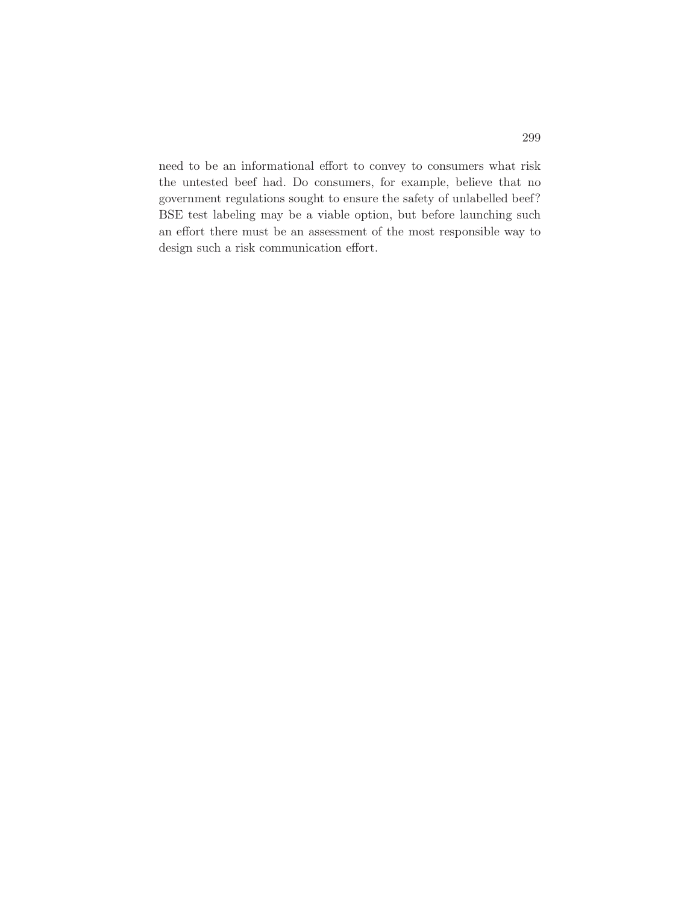need to be an informational effort to convey to consumers what risk the untested beef had. Do consumers, for example, believe that no government regulations sought to ensure the safety of unlabelled beef? BSE test labeling may be a viable option, but before launching such an effort there must be an assessment of the most responsible way to design such a risk communication effort.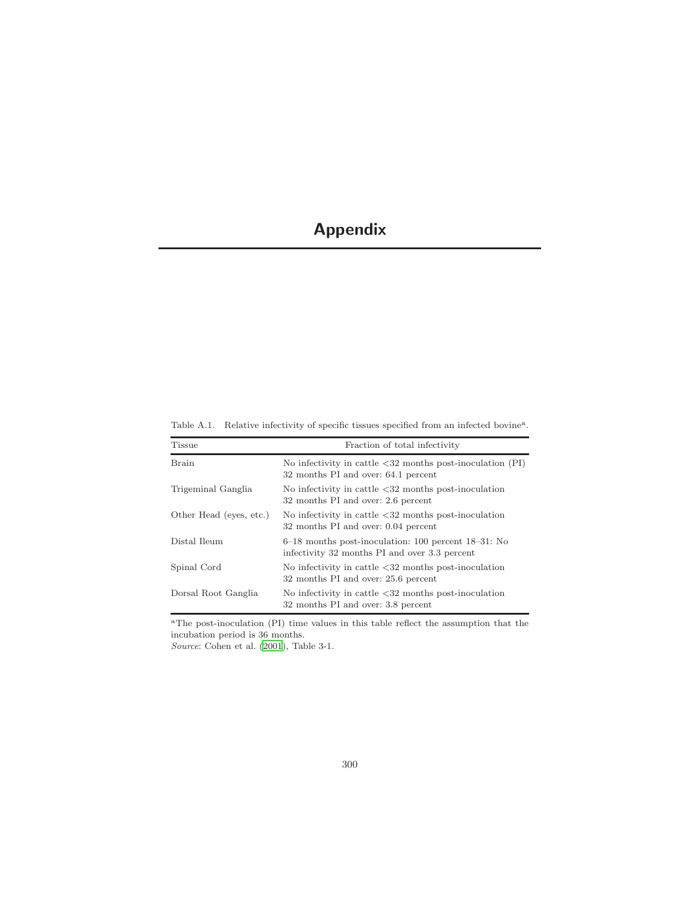## **Appendix**

Table A.1. Relative infectivity of specific tissues specified from an infected bovine<sup>a</sup>.

| <b>Tissue</b>           | Fraction of total infectivity                                                                                     |
|-------------------------|-------------------------------------------------------------------------------------------------------------------|
| <b>Brain</b>            | No infectivity in cattle $\langle 32 \rangle$ months post-inoculation (PI)<br>32 months PI and over: 64.1 percent |
| Trigeminal Ganglia      | No infectivity in cattle $\langle 32 \rangle$ months post-inoculation<br>32 months PI and over: 2.6 percent       |
| Other Head (eyes, etc.) | No infectivity in cattle $\langle 32 \rangle$ months post-inoculation<br>32 months PI and over: 0.04 percent      |
| Distal Ileum            | 6–18 months post-inoculation: 100 percent 18–31: No<br>infectivity 32 months PI and over 3.3 percent              |
| Spinal Cord             | No infectivity in cattle $\langle 32 \rangle$ months post-inoculation<br>32 months PI and over: 25.6 percent      |
| Dorsal Root Ganglia     | No infectivity in cattle $\langle 32 \rangle$ months post-inoculation<br>32 months PI and over: 3.8 percent       |

<sup>a</sup>The post-inoculation (PI) time values in this table reflect the assumption that the incubation period is 36 months.

*Source*: Cohen et al. [\(2001](#page-76-1)), Table 3-1.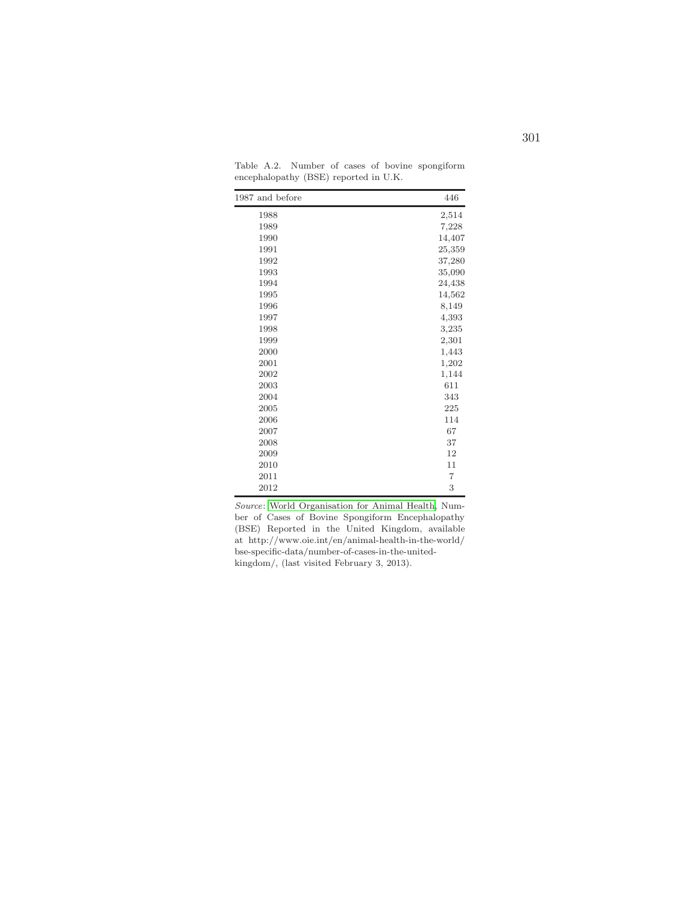| 1987 and before | 446    |
|-----------------|--------|
| 1988            | 2,514  |
| 1989            | 7,228  |
| 1990            | 14,407 |
| 1991            | 25,359 |
| 1992            | 37,280 |
| 1993            | 35,090 |
| 1994            | 24,438 |
| 1995            | 14,562 |
| 1996            | 8,149  |
| 1997            | 4,393  |
| 1998            | 3,235  |
| 1999            | 2,301  |
| 2000            | 1,443  |
| 2001            | 1,202  |
| 2002            | 1,144  |
| 2003            | 611    |
| 2004            | 343    |
| 2005            | 225    |
| 2006            | 114    |
| 2007            | 67     |
| 2008            | 37     |
| 2009            | 12     |
| 2010            | 11     |
| 2011            | 7      |
| 2012            | 3      |

Table A.2. Number of cases of bovine spongiform encephalopathy (BSE) reported in U.K.

*Source*: [World Organisation for Animal Health,](#page-84-0) Number of Cases of Bovine Spongiform Encephalopathy (BSE) Reported in the United Kingdom, available at http://www.oie.int/en/animal-health-in-the-world/ bse-specific-data/number-of-cases-in-the-unitedkingdom/, (last visited February 3, 2013).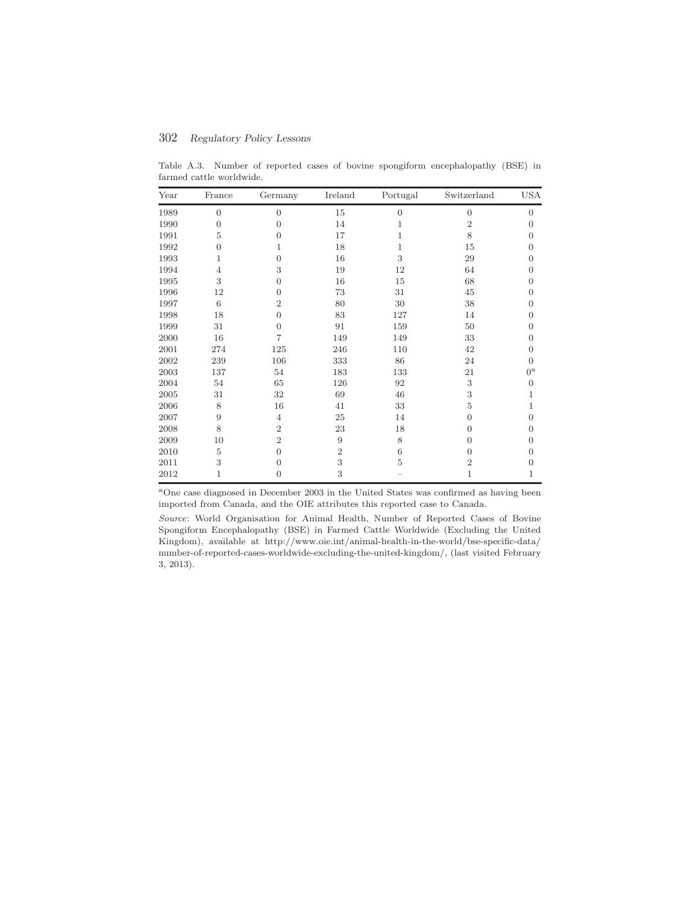## 302 *Regulatory Policy Lessons*

Table A.3. Number of reported cases of bovine spongiform encephalopathy (BSE) in farmed cattle worldwide.

| Year | $\operatorname{France}$ | Germany        | Ireland        | Portugal       | Switzerland    | <b>USA</b>     |
|------|-------------------------|----------------|----------------|----------------|----------------|----------------|
| 1989 | $\overline{0}$          | $\overline{0}$ | 15             | $\overline{0}$ | $\overline{0}$ | $\overline{0}$ |
| 1990 | $\overline{0}$          | $\Omega$       | 14             | 1              | $\overline{2}$ | $\overline{0}$ |
| 1991 | 5                       | $\Omega$       | 17             | 1              | 8              | $\Omega$       |
| 1992 | $\overline{0}$          | 1              | 18             | 1              | 15             | $\overline{0}$ |
| 1993 | 1                       | $\Omega$       | 16             | 3              | 29             | $\Omega$       |
| 1994 | $\overline{4}$          | 3              | 19             | 12             | 64             | $\Omega$       |
| 1995 | 3                       | $\Omega$       | 16             | 15             | 68             | $\Omega$       |
| 1996 | 12                      | $\Omega$       | 73             | 31             | 45             | $\Omega$       |
| 1997 | 6                       | $\overline{2}$ | 80             | 30             | 38             | $\overline{0}$ |
| 1998 | 18                      | $\Omega$       | 83             | 127            | 14             | $\Omega$       |
| 1999 | 31                      | $\Omega$       | 91             | 159            | $50\,$         | $\overline{0}$ |
| 2000 | 16                      | $\overline{7}$ | 149            | 149            | 33             | $\overline{0}$ |
| 2001 | 274                     | 125            | 246            | 110            | 42             | $\overline{0}$ |
| 2002 | 239                     | 106            | 333            | 86             | 24             | $\Omega$       |
| 2003 | 137                     | 54             | 183            | 133            | 21             | $0^{\rm a}$    |
| 2004 | 54                      | 65             | 126            | 92             | 3              | $\overline{0}$ |
| 2005 | 31                      | 32             | 69             | 46             | 3              | 1              |
| 2006 | 8                       | 16             | 41             | 33             | $\overline{5}$ | 1              |
| 2007 | 9                       | $\overline{4}$ | 25             | 14             | $\Omega$       | $\Omega$       |
| 2008 | 8                       | $\overline{2}$ | 23             | 18             | $\Omega$       | $\Omega$       |
| 2009 | 10                      | $\overline{2}$ | 9              | 8              | $\Omega$       | $\Omega$       |
| 2010 | $\overline{5}$          | $\theta$       | $\overline{2}$ | 6              | $\Omega$       | $\Omega$       |
| 2011 | 3                       | $\overline{0}$ | 3              | $\overline{5}$ | $\overline{2}$ | $\overline{0}$ |
| 2012 | 1                       | $\overline{0}$ | 3              |                | 1              | 1              |

<sup>a</sup>One case diagnosed in December 2003 in the United States was confirmed as having been imported from Canada, and the OIE attributes this reported case to Canada.

*Source*: World Organisation for Animal Health, Number of Reported Cases of Bovine Spongiform Encephalopathy (BSE) in Farmed Cattle Worldwide (Excluding the United Kingdom), available at http://www.oie.int/animal-health-in-the-world/bse-specific-data/ number-of-reported-cases-worldwide-excluding-the-united-kingdom/, (last visited February 3, 2013).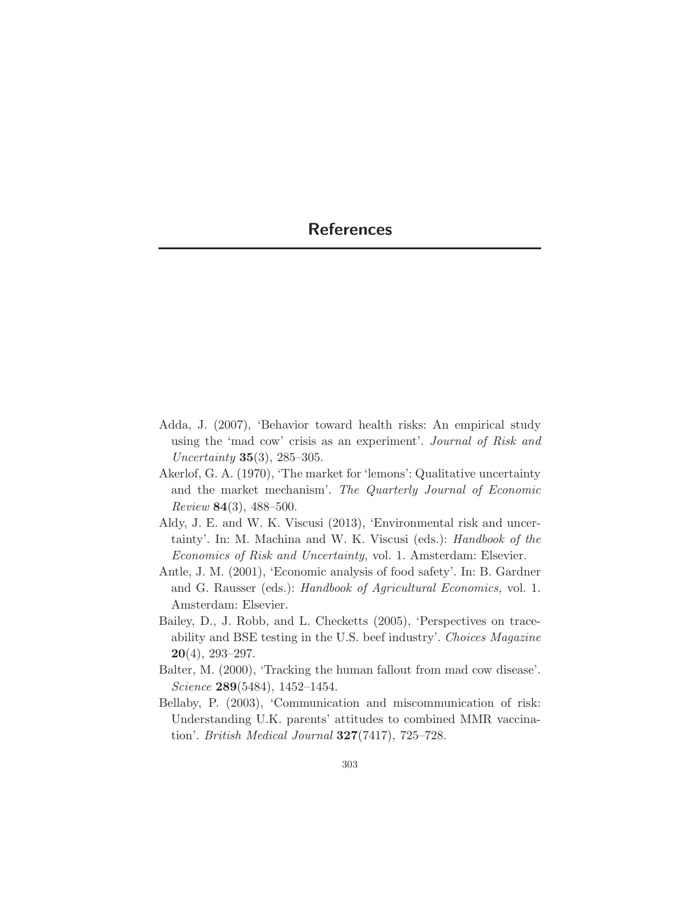- Adda, J. (2007), 'Behavior toward health risks: An empirical study using the 'mad cow' crisis as an experiment'. *Journal of Risk and Uncertainty* **35**(3), 285–305.
- Akerlof, G. A. (1970), 'The market for 'lemons': Qualitative uncertainty and the market mechanism'. *The Quarterly Journal of Economic Review* **84**(3), 488–500.
- Aldy, J. E. and W. K. Viscusi (2013), 'Environmental risk and uncertainty'. In: M. Machina and W. K. Viscusi (eds.): *Handbook of the Economics of Risk and Uncertainty,* vol. 1. Amsterdam: Elsevier.
- Antle, J. M. (2001), 'Economic analysis of food safety'. In: B. Gardner and G. Rausser (eds.): *Handbook of Agricultural Economics,* vol. 1. Amsterdam: Elsevier.
- Bailey, D., J. Robb, and L. Checketts (2005), 'Perspectives on traceability and BSE testing in the U.S. beef industry'. *Choices Magazine* **20**(4), 293–297.
- Balter, M. (2000), 'Tracking the human fallout from mad cow disease'. *Science* **289**(5484), 1452–1454.
- Bellaby, P. (2003), 'Communication and miscommunication of risk: Understanding U.K. parents' attitudes to combined MMR vaccination'. *British Medical Journal* **327**(7417), 725–728.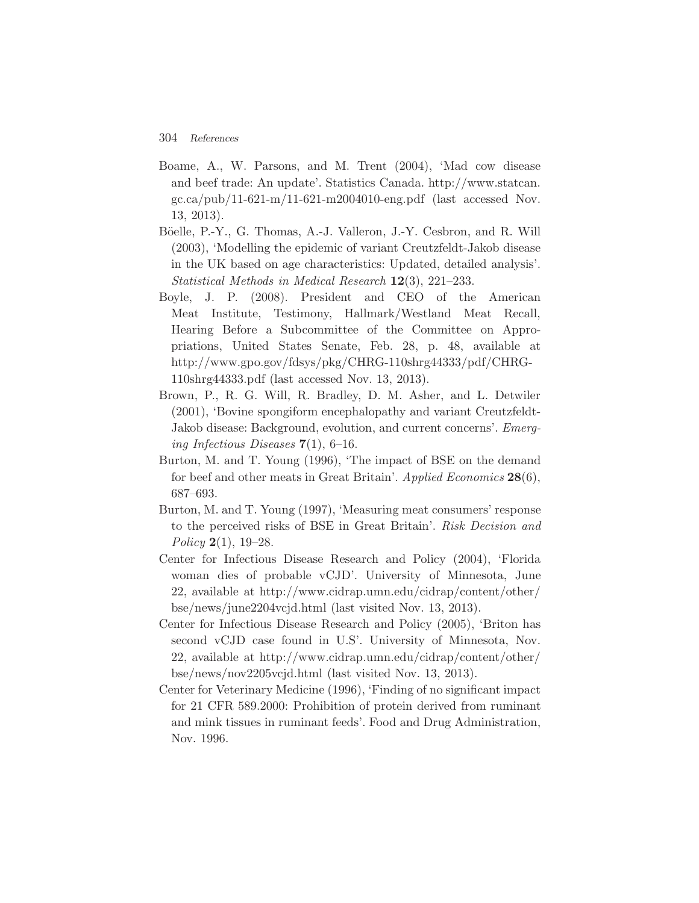- Boame, A., W. Parsons, and M. Trent (2004), 'Mad cow disease and beef trade: An update'. Statistics Canada. http://www.statcan.  $\text{gc.ca/public/11-621-m/11-621-m2004010-eng.pdf}$  (last accessed Nov. 13, 2013).
- Böelle, P.-Y., G. Thomas, A.-J. Valleron, J.-Y. Cesbron, and R. Will (2003), 'Modelling the epidemic of variant Creutzfeldt-Jakob disease in the UK based on age characteristics: Updated, detailed analysis'. *Statistical Methods in Medical Research* **12**(3), 221–233.
- Boyle, J. P. (2008). President and CEO of the American Meat Institute, Testimony, Hallmark/Westland Meat Recall, Hearing Before a Subcommittee of the Committee on Appropriations, United States Senate, Feb. 28, p. 48, available at http://www.gpo.gov/fdsys/pkg/CHRG-110shrg44333/pdf/CHRG-110shrg44333.pdf (last accessed Nov. 13, 2013).
- Brown, P., R. G. Will, R. Bradley, D. M. Asher, and L. Detwiler (2001), 'Bovine spongiform encephalopathy and variant Creutzfeldt-Jakob disease: Background, evolution, and current concerns'. *Emerging Infectious Diseases* **7**(1), 6–16.
- Burton, M. and T. Young (1996), 'The impact of BSE on the demand for beef and other meats in Great Britain'. *Applied Economics* **28**(6), 687–693.
- Burton, M. and T. Young (1997), 'Measuring meat consumers' response to the perceived risks of BSE in Great Britain'. *Risk Decision and Policy* **2**(1), 19–28.
- Center for Infectious Disease Research and Policy (2004), 'Florida woman dies of probable vCJD'. University of Minnesota, June 22, available at http://www.cidrap.umn.edu/cidrap/content/other/ bse/news/june2204vcjd.html (last visited Nov. 13, 2013).
- Center for Infectious Disease Research and Policy (2005), 'Briton has second vCJD case found in U.S'. University of Minnesota, Nov. 22, available at http://www.cidrap.umn.edu/cidrap/content/other/ bse/news/nov2205vcjd.html (last visited Nov. 13, 2013).
- Center for Veterinary Medicine (1996), 'Finding of no significant impact for 21 CFR 589.2000: Prohibition of protein derived from ruminant and mink tissues in ruminant feeds'. Food and Drug Administration, Nov. 1996.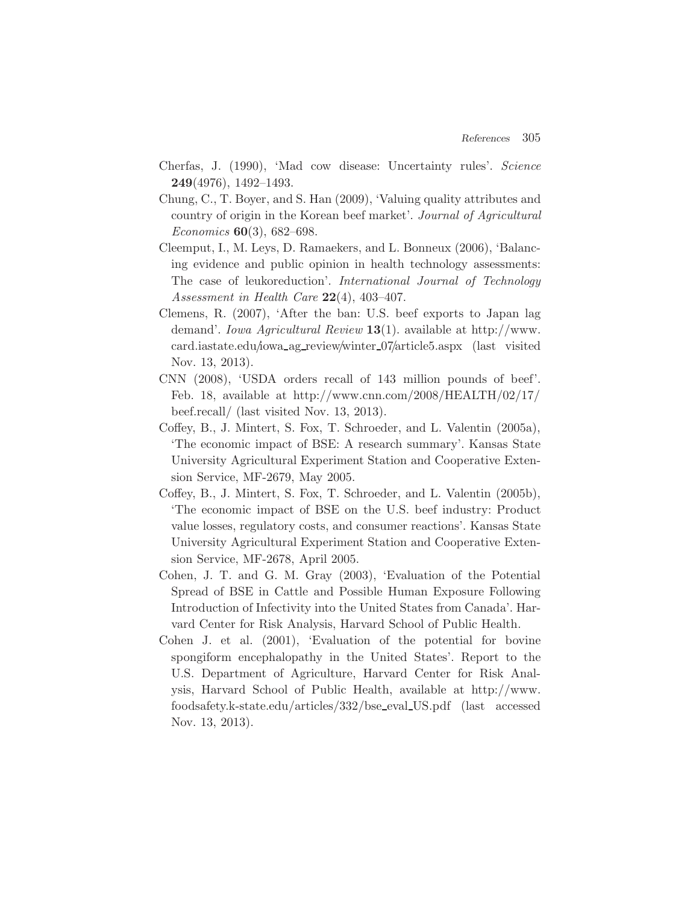- Cherfas, J. (1990), 'Mad cow disease: Uncertainty rules'. *Science* **249**(4976), 1492–1493.
- Chung, C., T. Boyer, and S. Han (2009), 'Valuing quality attributes and country of origin in the Korean beef market'. *Journal of Agricultural Economics* **60**(3), 682–698.
- Cleemput, I., M. Leys, D. Ramaekers, and L. Bonneux (2006), 'Balancing evidence and public opinion in health technology assessments: The case of leukoreduction'. *International Journal of Technology Assessment in Health Care* **22**(4), 403–407.
- Clemens, R. (2007), 'After the ban: U.S. beef exports to Japan lag demand'. *Iowa Agricultural Review* **13**(1). available at http://www. card.iastate.edu/iowa ag review/winter 07/article5.aspx (last visited Nov. 13, 2013).
- CNN (2008), 'USDA orders recall of 143 million pounds of beef'. Feb. 18, available at http://www.cnn.com/2008/HEALTH/02/17/ beef.recall/ (last visited Nov. 13, 2013).
- Coffey, B., J. Mintert, S. Fox, T. Schroeder, and L. Valentin (2005a), 'The economic impact of BSE: A research summary'. Kansas State University Agricultural Experiment Station and Cooperative Extension Service, MF-2679, May 2005.
- Coffey, B., J. Mintert, S. Fox, T. Schroeder, and L. Valentin (2005b), 'The economic impact of BSE on the U.S. beef industry: Product value losses, regulatory costs, and consumer reactions'. Kansas State University Agricultural Experiment Station and Cooperative Extension Service, MF-2678, April 2005.
- Cohen, J. T. and G. M. Gray (2003), 'Evaluation of the Potential Spread of BSE in Cattle and Possible Human Exposure Following Introduction of Infectivity into the United States from Canada'. Harvard Center for Risk Analysis, Harvard School of Public Health.
- Cohen J. et al. (2001), 'Evaluation of the potential for bovine spongiform encephalopathy in the United States'. Report to the U.S. Department of Agriculture, Harvard Center for Risk Analysis, Harvard School of Public Health, available at http://www. foodsafety.k-state.edu/articles/332/bse eval US.pdf (last accessed Nov. 13, 2013).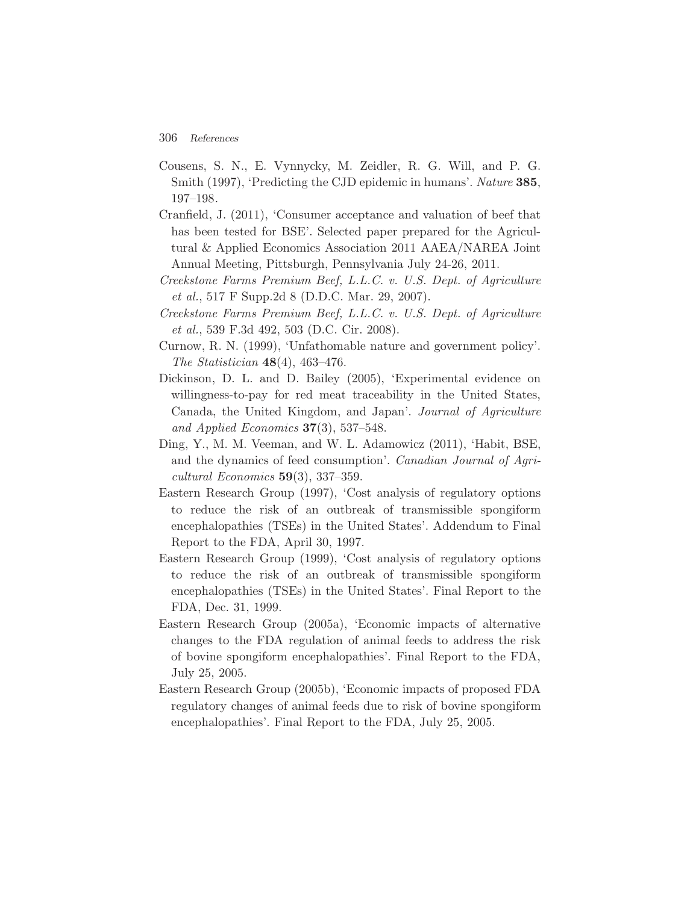- Cousens, S. N., E. Vynnycky, M. Zeidler, R. G. Will, and P. G. Smith (1997), 'Predicting the CJD epidemic in humans'. *Nature* **385**, 197–198.
- Cranfield, J. (2011), 'Consumer acceptance and valuation of beef that has been tested for BSE'. Selected paper prepared for the Agricultural & Applied Economics Association 2011 AAEA/NAREA Joint Annual Meeting, Pittsburgh, Pennsylvania July 24-26, 2011.
- *Creekstone Farms Premium Beef, L.L.C. v. U.S. Dept. of Agriculture et al.*, 517 F Supp.2d 8 (D.D.C. Mar. 29, 2007).
- *Creekstone Farms Premium Beef, L.L.C. v. U.S. Dept. of Agriculture et al.*, 539 F.3d 492, 503 (D.C. Cir. 2008).
- Curnow, R. N. (1999), 'Unfathomable nature and government policy'. *The Statistician* **48**(4), 463–476.
- Dickinson, D. L. and D. Bailey (2005), 'Experimental evidence on willingness-to-pay for red meat traceability in the United States, Canada, the United Kingdom, and Japan'. *Journal of Agriculture and Applied Economics* **37**(3), 537–548.
- Ding, Y., M. M. Veeman, and W. L. Adamowicz (2011), 'Habit, BSE, and the dynamics of feed consumption'. *Canadian Journal of Agricultural Economics* **59**(3), 337–359.
- Eastern Research Group (1997), 'Cost analysis of regulatory options to reduce the risk of an outbreak of transmissible spongiform encephalopathies (TSEs) in the United States'. Addendum to Final Report to the FDA, April 30, 1997.
- Eastern Research Group (1999), 'Cost analysis of regulatory options to reduce the risk of an outbreak of transmissible spongiform encephalopathies (TSEs) in the United States'. Final Report to the FDA, Dec. 31, 1999.
- Eastern Research Group (2005a), 'Economic impacts of alternative changes to the FDA regulation of animal feeds to address the risk of bovine spongiform encephalopathies'. Final Report to the FDA, July 25, 2005.
- Eastern Research Group (2005b), 'Economic impacts of proposed FDA regulatory changes of animal feeds due to risk of bovine spongiform encephalopathies'. Final Report to the FDA, July 25, 2005.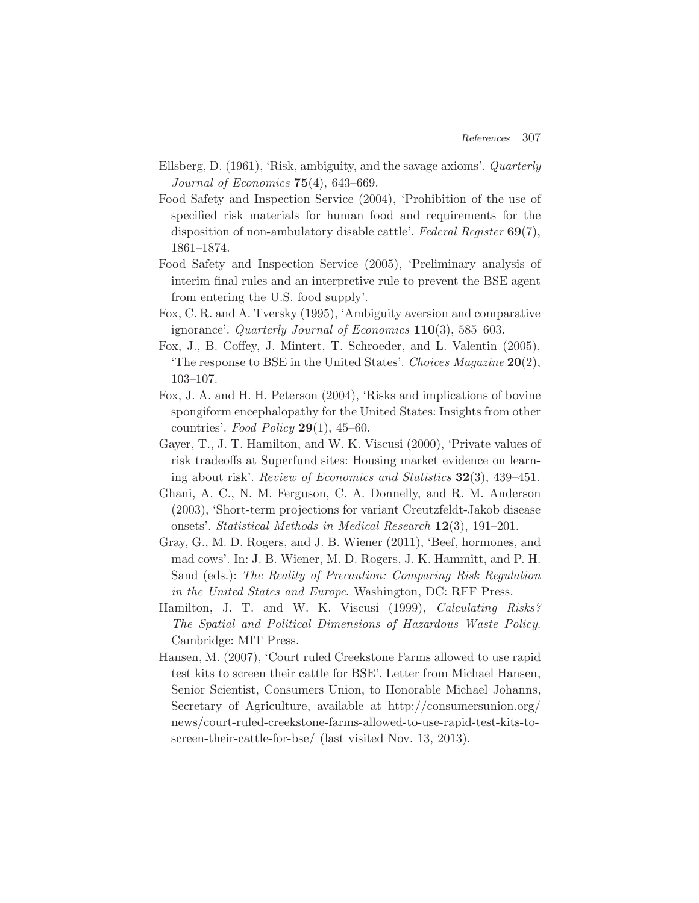- Ellsberg, D. (1961), 'Risk, ambiguity, and the savage axioms'. *Quarterly Journal of Economics* **75**(4), 643–669.
- Food Safety and Inspection Service (2004), 'Prohibition of the use of specified risk materials for human food and requirements for the disposition of non-ambulatory disable cattle'. *Federal Register* **69**(7), 1861–1874.
- Food Safety and Inspection Service (2005), 'Preliminary analysis of interim final rules and an interpretive rule to prevent the BSE agent from entering the U.S. food supply'.
- Fox, C. R. and A. Tversky (1995), 'Ambiguity aversion and comparative ignorance'. *Quarterly Journal of Economics* **110**(3), 585–603.
- Fox, J., B. Coffey, J. Mintert, T. Schroeder, and L. Valentin (2005), 'The response to BSE in the United States'. *Choices Magazine* **20**(2), 103–107.
- Fox, J. A. and H. H. Peterson (2004), 'Risks and implications of bovine spongiform encephalopathy for the United States: Insights from other countries'. *Food Policy* **29**(1), 45–60.
- Gayer, T., J. T. Hamilton, and W. K. Viscusi (2000), 'Private values of risk tradeoffs at Superfund sites: Housing market evidence on learning about risk'. *Review of Economics and Statistics* **32**(3), 439–451.
- Ghani, A. C., N. M. Ferguson, C. A. Donnelly, and R. M. Anderson (2003), 'Short-term projections for variant Creutzfeldt-Jakob disease onsets'. *Statistical Methods in Medical Research* **12**(3), 191–201.
- Gray, G., M. D. Rogers, and J. B. Wiener (2011), 'Beef, hormones, and mad cows'. In: J. B. Wiener, M. D. Rogers, J. K. Hammitt, and P. H. Sand (eds.): *The Reality of Precaution: Comparing Risk Regulation in the United States and Europe*. Washington, DC: RFF Press.
- Hamilton, J. T. and W. K. Viscusi (1999), *Calculating Risks? The Spatial and Political Dimensions of Hazardous Waste Policy*. Cambridge: MIT Press.
- Hansen, M. (2007), 'Court ruled Creekstone Farms allowed to use rapid test kits to screen their cattle for BSE'. Letter from Michael Hansen, Senior Scientist, Consumers Union, to Honorable Michael Johanns, Secretary of Agriculture, available at http://consumersunion.org/ news/court-ruled-creekstone-farms-allowed-to-use-rapid-test-kits-toscreen-their-cattle-for-bse/ (last visited Nov. 13, 2013).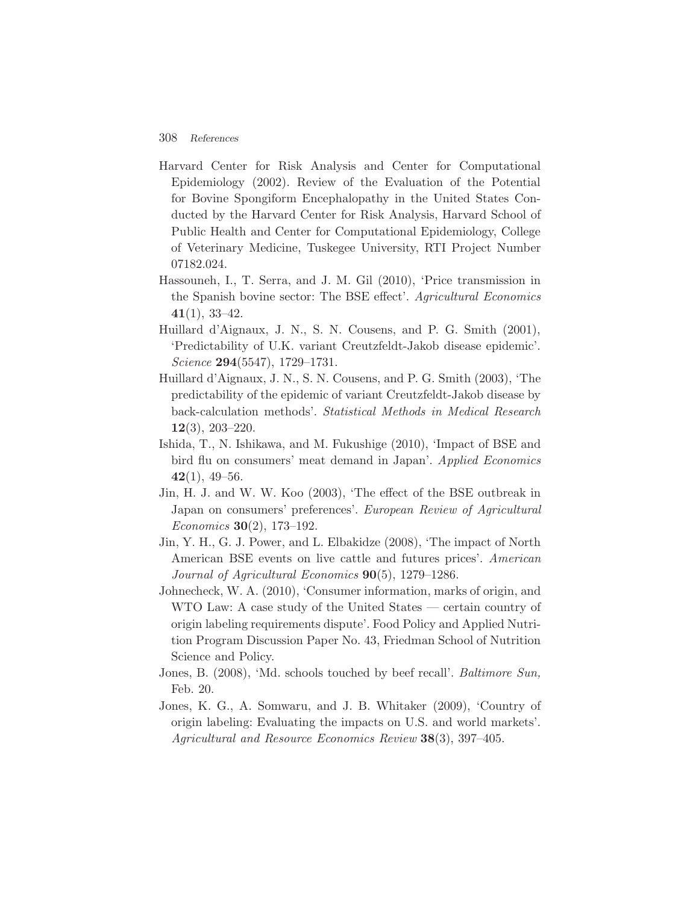- Harvard Center for Risk Analysis and Center for Computational Epidemiology (2002). Review of the Evaluation of the Potential for Bovine Spongiform Encephalopathy in the United States Conducted by the Harvard Center for Risk Analysis, Harvard School of Public Health and Center for Computational Epidemiology, College of Veterinary Medicine, Tuskegee University, RTI Project Number 07182.024.
- Hassouneh, I., T. Serra, and J. M. Gil (2010), 'Price transmission in the Spanish bovine sector: The BSE effect'. *Agricultural Economics* **41**(1), 33–42.
- Huillard d'Aignaux, J. N., S. N. Cousens, and P. G. Smith (2001), 'Predictability of U.K. variant Creutzfeldt-Jakob disease epidemic'. *Science* **294**(5547), 1729–1731.
- Huillard d'Aignaux, J. N., S. N. Cousens, and P. G. Smith (2003), 'The predictability of the epidemic of variant Creutzfeldt-Jakob disease by back-calculation methods'. *Statistical Methods in Medical Research* **12**(3), 203–220.
- Ishida, T., N. Ishikawa, and M. Fukushige (2010), 'Impact of BSE and bird flu on consumers' meat demand in Japan'. *Applied Economics* **42**(1), 49–56.
- Jin, H. J. and W. W. Koo (2003), 'The effect of the BSE outbreak in Japan on consumers' preferences'. *European Review of Agricultural Economics* **30**(2), 173–192.
- Jin, Y. H., G. J. Power, and L. Elbakidze (2008), 'The impact of North American BSE events on live cattle and futures prices'. *American Journal of Agricultural Economics* **90**(5), 1279–1286.
- Johnecheck, W. A. (2010), 'Consumer information, marks of origin, and WTO Law: A case study of the United States — certain country of origin labeling requirements dispute'. Food Policy and Applied Nutrition Program Discussion Paper No. 43, Friedman School of Nutrition Science and Policy.
- Jones, B. (2008), 'Md. schools touched by beef recall'. *Baltimore Sun,* Feb. 20.
- Jones, K. G., A. Somwaru, and J. B. Whitaker (2009), 'Country of origin labeling: Evaluating the impacts on U.S. and world markets'. *Agricultural and Resource Economics Review* **38**(3), 397–405.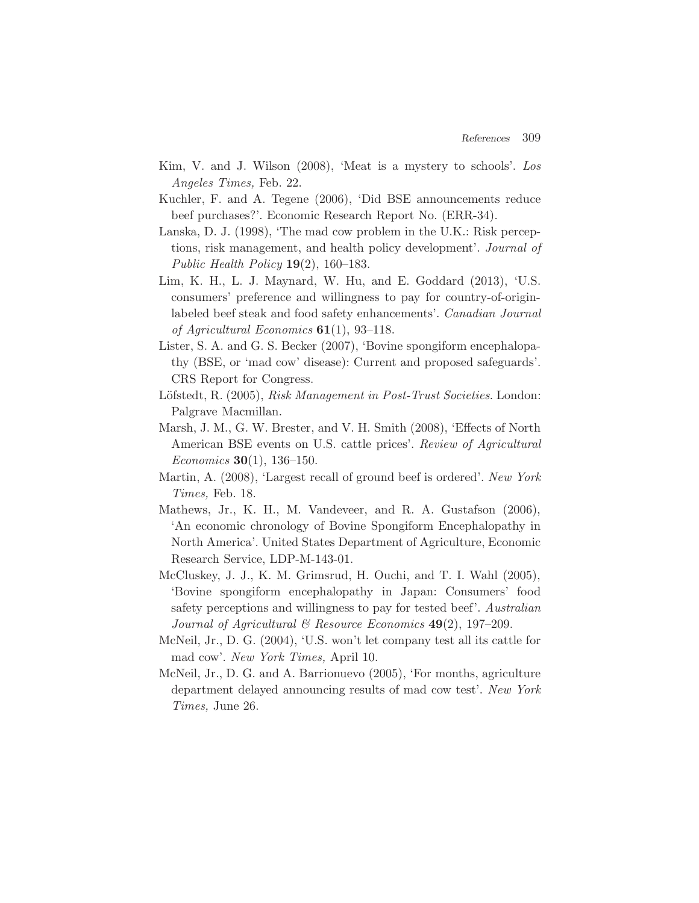- Kim, V. and J. Wilson (2008), 'Meat is a mystery to schools'. *Los Angeles Times,* Feb. 22.
- Kuchler, F. and A. Tegene (2006), 'Did BSE announcements reduce beef purchases?'. Economic Research Report No. (ERR-34).
- Lanska, D. J. (1998), 'The mad cow problem in the U.K.: Risk perceptions, risk management, and health policy development'. *Journal of Public Health Policy* **19**(2), 160–183.
- Lim, K. H., L. J. Maynard, W. Hu, and E. Goddard (2013), 'U.S. consumers' preference and willingness to pay for country-of-originlabeled beef steak and food safety enhancements'. *Canadian Journal of Agricultural Economics* **61**(1), 93–118.
- Lister, S. A. and G. S. Becker (2007), 'Bovine spongiform encephalopathy (BSE, or 'mad cow' disease): Current and proposed safeguards'. CRS Report for Congress.
- Löfstedt, R. (2005), *Risk Management in Post-Trust Societies*. London: Palgrave Macmillan.
- Marsh, J. M., G. W. Brester, and V. H. Smith (2008), 'Effects of North American BSE events on U.S. cattle prices'. *Review of Agricultural Economics* **30**(1), 136–150.
- Martin, A. (2008), 'Largest recall of ground beef is ordered'. *New York Times,* Feb. 18.
- Mathews, Jr., K. H., M. Vandeveer, and R. A. Gustafson (2006), 'An economic chronology of Bovine Spongiform Encephalopathy in North America'. United States Department of Agriculture, Economic Research Service, LDP-M-143-01.
- McCluskey, J. J., K. M. Grimsrud, H. Ouchi, and T. I. Wahl (2005), 'Bovine spongiform encephalopathy in Japan: Consumers' food safety perceptions and willingness to pay for tested beef'. *Australian Journal of Agricultural & Resource Economics* **49**(2), 197–209.
- McNeil, Jr., D. G. (2004), 'U.S. won't let company test all its cattle for mad cow'. *New York Times,* April 10.
- McNeil, Jr., D. G. and A. Barrionuevo (2005), 'For months, agriculture department delayed announcing results of mad cow test'. *New York Times,* June 26.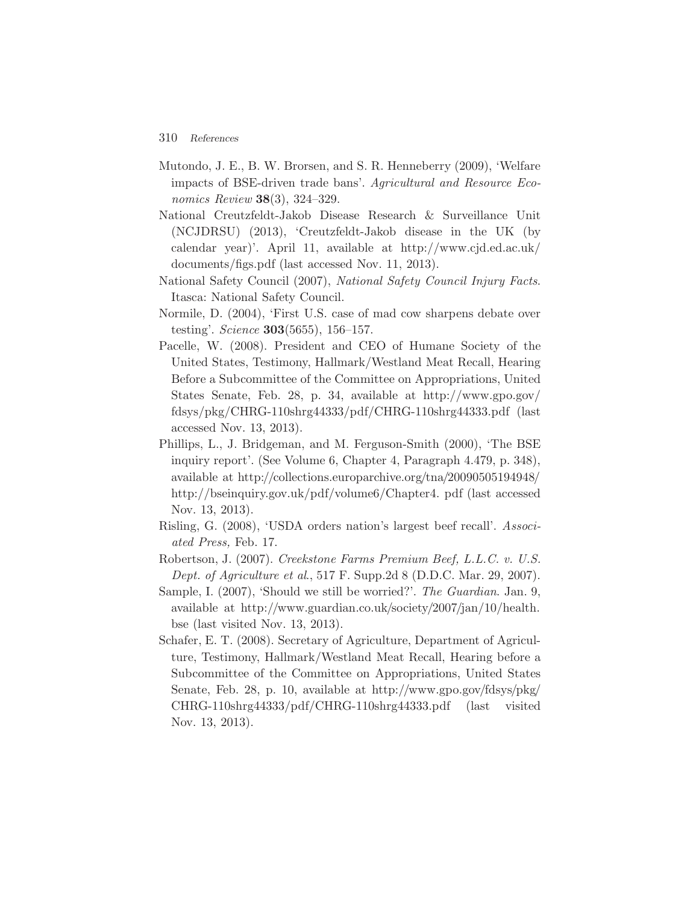- Mutondo, J. E., B. W. Brorsen, and S. R. Henneberry (2009), 'Welfare impacts of BSE-driven trade bans'. *Agricultural and Resource Economics Review* **38**(3), 324–329.
- National Creutzfeldt-Jakob Disease Research & Surveillance Unit (NCJDRSU) (2013), 'Creutzfeldt-Jakob disease in the UK (by calendar year)'. April 11, available at http://www.cjd.ed.ac.uk/ documents/figs.pdf (last accessed Nov. 11, 2013).
- National Safety Council (2007), *National Safety Council Injury Facts*. Itasca: National Safety Council.
- Normile, D. (2004), 'First U.S. case of mad cow sharpens debate over testing'. *Science* **303**(5655), 156–157.
- Pacelle, W. (2008). President and CEO of Humane Society of the United States, Testimony, Hallmark/Westland Meat Recall, Hearing Before a Subcommittee of the Committee on Appropriations, United States Senate, Feb. 28, p. 34, available at http://www.gpo.gov/ fdsys/pkg/CHRG-110shrg44333/pdf/CHRG-110shrg44333.pdf (last accessed Nov. 13, 2013).
- Phillips, L., J. Bridgeman, and M. Ferguson-Smith (2000), 'The BSE inquiry report'. (See Volume 6, Chapter 4, Paragraph 4.479, p. 348), available at http://collections.europarchive.org/tna/20090505194948/ http://bseinquiry.gov.uk/pdf/volume6/Chapter4. pdf (last accessed Nov. 13, 2013).
- Risling, G. (2008), 'USDA orders nation's largest beef recall'. *Associated Press,* Feb. 17.
- Robertson, J. (2007). *Creekstone Farms Premium Beef, L.L.C. v. U.S. Dept. of Agriculture et al*., 517 F. Supp.2d 8 (D.D.C. Mar. 29, 2007).
- Sample, I. (2007), 'Should we still be worried?'. *The Guardian*. Jan. 9, available at http://www.guardian.co.uk/society/2007/jan/10/health. bse (last visited Nov. 13, 2013).
- Schafer, E. T. (2008). Secretary of Agriculture, Department of Agriculture, Testimony, Hallmark/Westland Meat Recall, Hearing before a Subcommittee of the Committee on Appropriations, United States Senate, Feb. 28, p. 10, available at http://www.gpo.gov/fdsys/pkg/ CHRG-110shrg44333/pdf/CHRG-110shrg44333.pdf (last visited Nov. 13, 2013).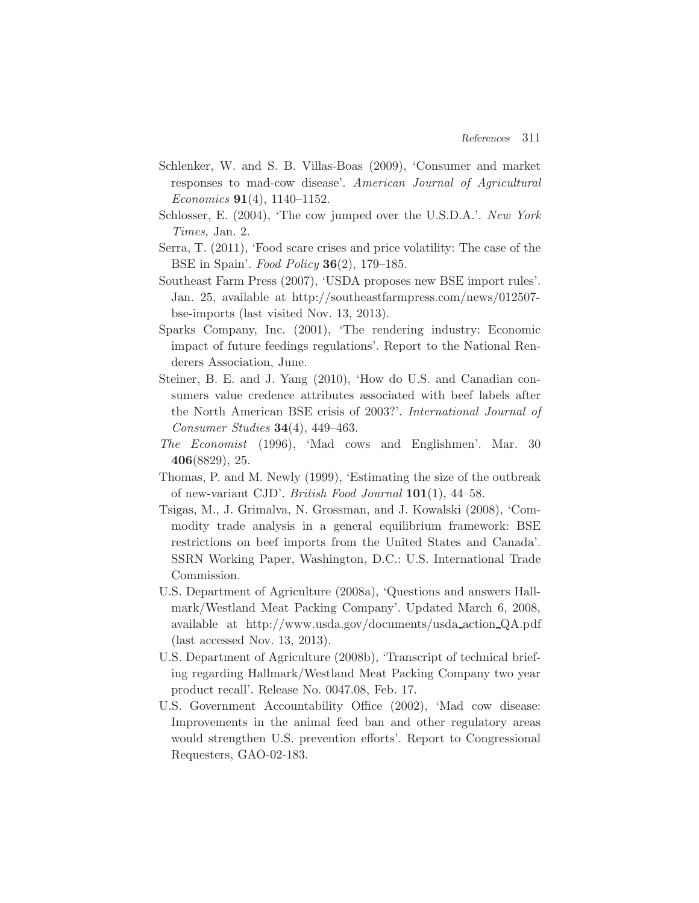- Schlenker, W. and S. B. Villas-Boas (2009), 'Consumer and market responses to mad-cow disease'. *American Journal of Agricultural Economics* **91**(4), 1140–1152.
- Schlosser, E. (2004), 'The cow jumped over the U.S.D.A.'. *New York Times,* Jan. 2.
- Serra, T. (2011), 'Food scare crises and price volatility: The case of the BSE in Spain'. *Food Policy* **36**(2), 179–185.
- Southeast Farm Press (2007), 'USDA proposes new BSE import rules'. Jan. 25, available at http://southeastfarmpress.com/news/012507 bse-imports (last visited Nov. 13, 2013).
- Sparks Company, Inc. (2001), 'The rendering industry: Economic impact of future feedings regulations'. Report to the National Renderers Association, June.
- Steiner, B. E. and J. Yang (2010), 'How do U.S. and Canadian consumers value credence attributes associated with beef labels after the North American BSE crisis of 2003?'. *International Journal of Consumer Studies* **34**(4), 449–463.
- *The Economist* (1996), 'Mad cows and Englishmen'. Mar. 30 **406**(8829), 25.
- Thomas, P. and M. Newly (1999), 'Estimating the size of the outbreak of new-variant CJD'. *British Food Journal* **101**(1), 44–58.
- Tsigas, M., J. Grimalva, N. Grossman, and J. Kowalski (2008), 'Commodity trade analysis in a general equilibrium framework: BSE restrictions on beef imports from the United States and Canada'. SSRN Working Paper, Washington, D.C.: U.S. International Trade Commission.
- U.S. Department of Agriculture (2008a), 'Questions and answers Hallmark/Westland Meat Packing Company'. Updated March 6, 2008, available at http://www.usda.gov/documents/usda action QA.pdf (last accessed Nov. 13, 2013).
- U.S. Department of Agriculture (2008b), 'Transcript of technical briefing regarding Hallmark/Westland Meat Packing Company two year product recall'. Release No. 0047.08, Feb. 17.
- U.S. Government Accountability Office (2002), 'Mad cow disease: Improvements in the animal feed ban and other regulatory areas would strengthen U.S. prevention efforts'. Report to Congressional Requesters, GAO-02-183.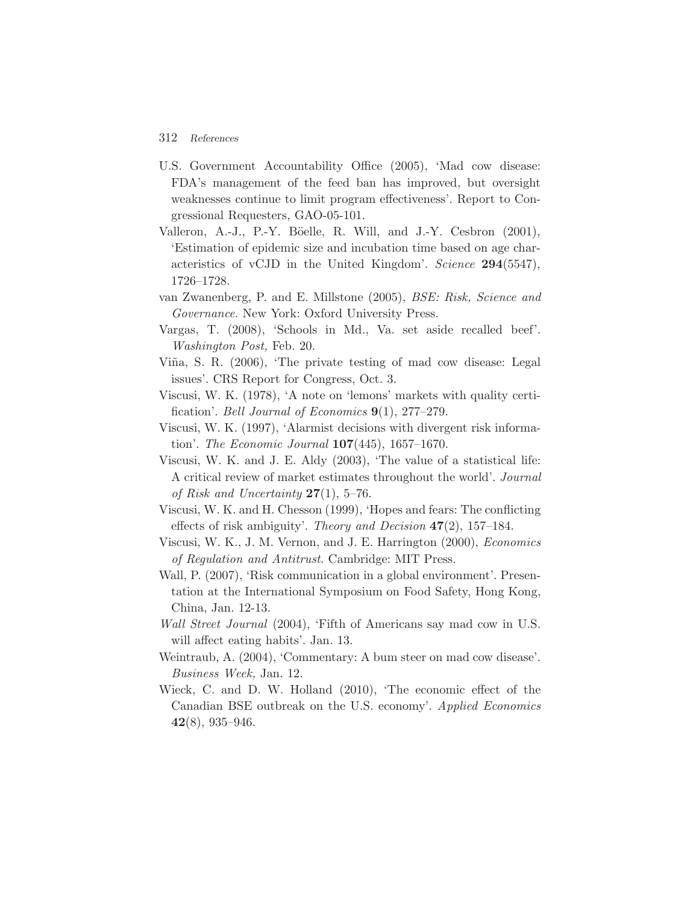- U.S. Government Accountability Office (2005), 'Mad cow disease: FDA's management of the feed ban has improved, but oversight weaknesses continue to limit program effectiveness'. Report to Congressional Requesters, GAO-05-101.
- Valleron, A.-J., P.-Y. Böelle, R. Will, and J.-Y. Cesbron (2001), 'Estimation of epidemic size and incubation time based on age characteristics of vCJD in the United Kingdom'. *Science* **294**(5547), 1726–1728.
- van Zwanenberg, P. and E. Millstone (2005), *BSE: Risk, Science and Governance*. New York: Oxford University Press.
- Vargas, T. (2008), 'Schools in Md., Va. set aside recalled beef'. *Washington Post,* Feb. 20.
- Viña, S. R. (2006), 'The private testing of mad cow disease: Legal issues'. CRS Report for Congress, Oct. 3.
- Viscusi, W. K. (1978), 'A note on 'lemons' markets with quality certification'. *Bell Journal of Economics* **9**(1), 277–279.
- Viscusi, W. K. (1997), 'Alarmist decisions with divergent risk information'. *The Economic Journal* **107**(445), 1657–1670.
- Viscusi, W. K. and J. E. Aldy (2003), 'The value of a statistical life: A critical review of market estimates throughout the world'. *Journal of Risk and Uncertainty* **27**(1), 5–76.
- Viscusi, W. K. and H. Chesson (1999), 'Hopes and fears: The conflicting effects of risk ambiguity'. *Theory and Decision* **47**(2), 157–184.
- Viscusi, W. K., J. M. Vernon, and J. E. Harrington (2000), *Economics of Regulation and Antitrust*. Cambridge: MIT Press.
- Wall, P. (2007), 'Risk communication in a global environment'. Presentation at the International Symposium on Food Safety, Hong Kong, China, Jan. 12-13.
- *Wall Street Journal* (2004), 'Fifth of Americans say mad cow in U.S. will affect eating habits'. Jan. 13.
- Weintraub, A. (2004), 'Commentary: A bum steer on mad cow disease'. *Business Week,* Jan. 12.
- Wieck, C. and D. W. Holland (2010), 'The economic effect of the Canadian BSE outbreak on the U.S. economy'. *Applied Economics* **42**(8), 935–946.